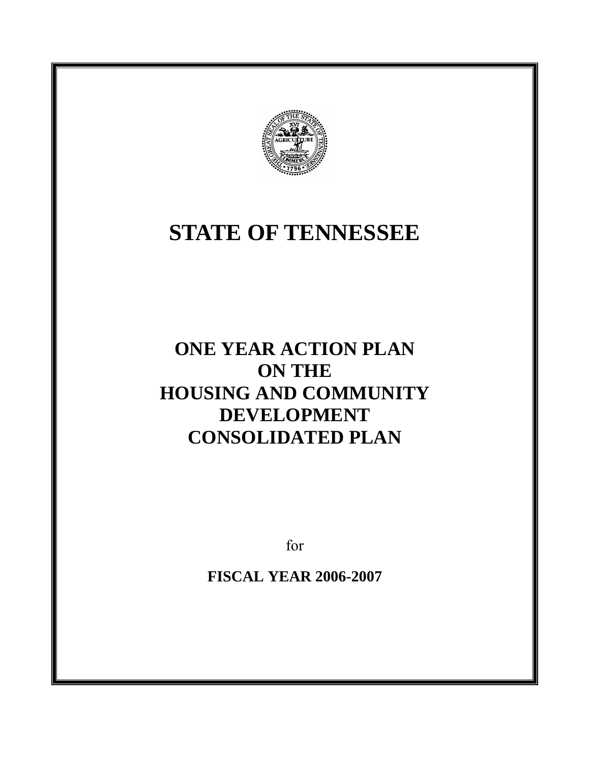

# **STATE OF TENNESSEE**

# **ONE YEAR ACTION PLAN ON THE HOUSING AND COMMUNITY DEVELOPMENT CONSOLIDATED PLAN**

for

**FISCAL YEAR 2006-2007**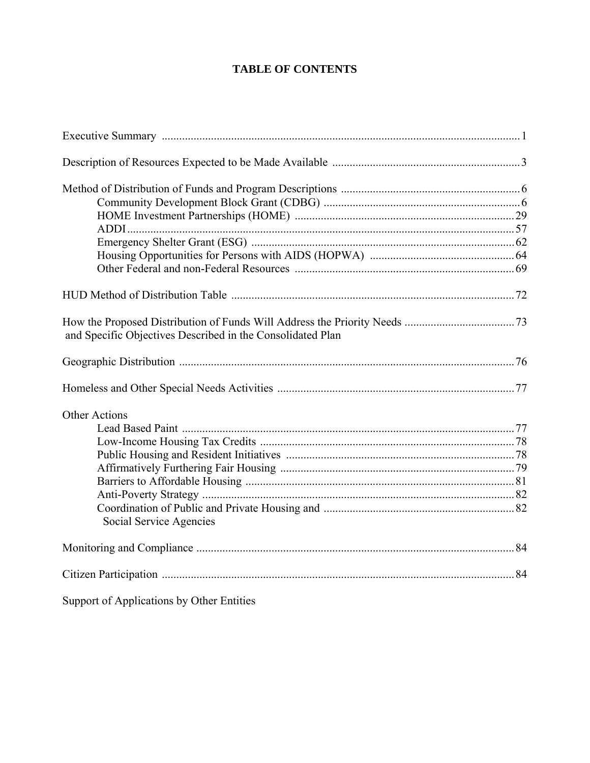# **TABLE OF CONTENTS**

| and Specific Objectives Described in the Consolidated Plan |  |
|------------------------------------------------------------|--|
|                                                            |  |
|                                                            |  |
| <b>Other Actions</b>                                       |  |
|                                                            |  |
|                                                            |  |
|                                                            |  |
|                                                            |  |
|                                                            |  |
|                                                            |  |
| Social Service Agencies                                    |  |
|                                                            |  |
|                                                            |  |
| Support of Applications by Other Entities                  |  |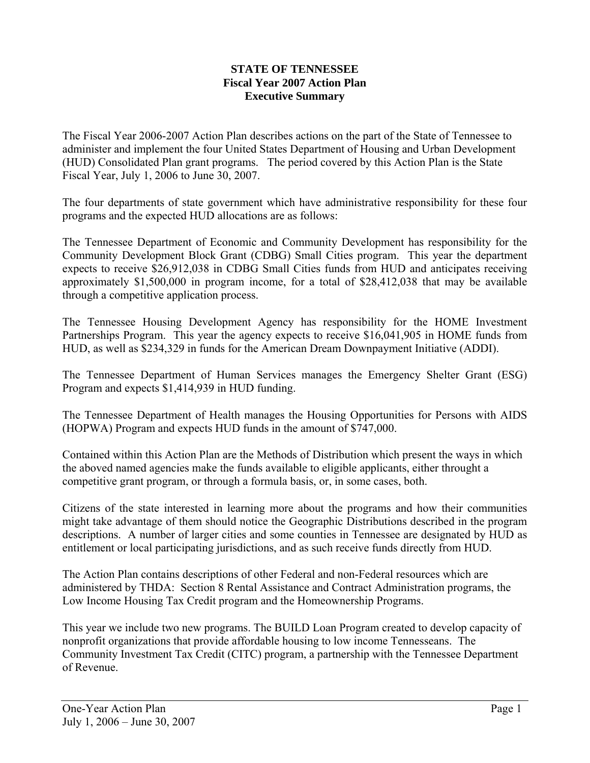#### **STATE OF TENNESSEE Fiscal Year 2007 Action Plan Executive Summary**

The Fiscal Year 2006-2007 Action Plan describes actions on the part of the State of Tennessee to administer and implement the four United States Department of Housing and Urban Development (HUD) Consolidated Plan grant programs. The period covered by this Action Plan is the State Fiscal Year, July 1, 2006 to June 30, 2007.

The four departments of state government which have administrative responsibility for these four programs and the expected HUD allocations are as follows:

The Tennessee Department of Economic and Community Development has responsibility for the Community Development Block Grant (CDBG) Small Cities program. This year the department expects to receive \$26,912,038 in CDBG Small Cities funds from HUD and anticipates receiving approximately \$1,500,000 in program income, for a total of \$28,412,038 that may be available through a competitive application process.

The Tennessee Housing Development Agency has responsibility for the HOME Investment Partnerships Program. This year the agency expects to receive \$16,041,905 in HOME funds from HUD, as well as \$234,329 in funds for the American Dream Downpayment Initiative (ADDI).

The Tennessee Department of Human Services manages the Emergency Shelter Grant (ESG) Program and expects \$1,414,939 in HUD funding.

The Tennessee Department of Health manages the Housing Opportunities for Persons with AIDS (HOPWA) Program and expects HUD funds in the amount of \$747,000.

Contained within this Action Plan are the Methods of Distribution which present the ways in which the aboved named agencies make the funds available to eligible applicants, either throught a competitive grant program, or through a formula basis, or, in some cases, both.

Citizens of the state interested in learning more about the programs and how their communities might take advantage of them should notice the Geographic Distributions described in the program descriptions. A number of larger cities and some counties in Tennessee are designated by HUD as entitlement or local participating jurisdictions, and as such receive funds directly from HUD.

The Action Plan contains descriptions of other Federal and non-Federal resources which are administered by THDA: Section 8 Rental Assistance and Contract Administration programs, the Low Income Housing Tax Credit program and the Homeownership Programs.

This year we include two new programs. The BUILD Loan Program created to develop capacity of nonprofit organizations that provide affordable housing to low income Tennesseans. The Community Investment Tax Credit (CITC) program, a partnership with the Tennessee Department of Revenue.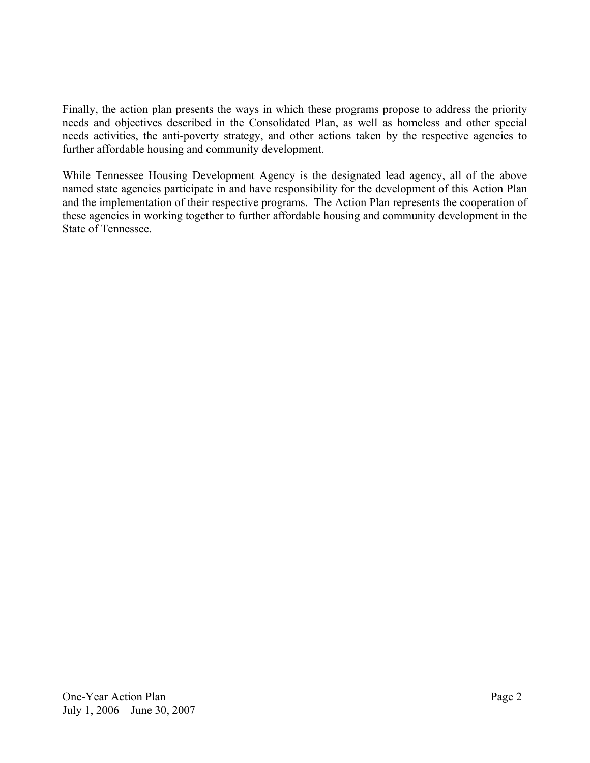Finally, the action plan presents the ways in which these programs propose to address the priority needs and objectives described in the Consolidated Plan, as well as homeless and other special needs activities, the anti-poverty strategy, and other actions taken by the respective agencies to further affordable housing and community development.

While Tennessee Housing Development Agency is the designated lead agency, all of the above named state agencies participate in and have responsibility for the development of this Action Plan and the implementation of their respective programs. The Action Plan represents the cooperation of these agencies in working together to further affordable housing and community development in the State of Tennessee.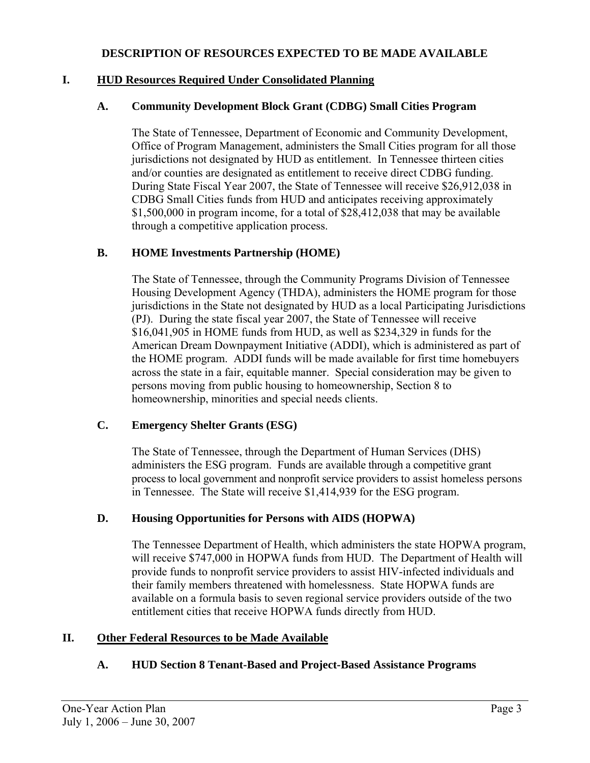#### **DESCRIPTION OF RESOURCES EXPECTED TO BE MADE AVAILABLE**

#### **I. HUD Resources Required Under Consolidated Planning**

#### **A. Community Development Block Grant (CDBG) Small Cities Program**

The State of Tennessee, Department of Economic and Community Development, Office of Program Management, administers the Small Cities program for all those jurisdictions not designated by HUD as entitlement. In Tennessee thirteen cities and/or counties are designated as entitlement to receive direct CDBG funding. During State Fiscal Year 2007, the State of Tennessee will receive \$26,912,038 in CDBG Small Cities funds from HUD and anticipates receiving approximately \$1,500,000 in program income, for a total of \$28,412,038 that may be available through a competitive application process.

#### **B. HOME Investments Partnership (HOME)**

The State of Tennessee, through the Community Programs Division of Tennessee Housing Development Agency (THDA), administers the HOME program for those jurisdictions in the State not designated by HUD as a local Participating Jurisdictions (PJ). During the state fiscal year 2007, the State of Tennessee will receive \$16,041,905 in HOME funds from HUD, as well as \$234,329 in funds for the American Dream Downpayment Initiative (ADDI), which is administered as part of the HOME program. ADDI funds will be made available for first time homebuyers across the state in a fair, equitable manner. Special consideration may be given to persons moving from public housing to homeownership, Section 8 to homeownership, minorities and special needs clients.

#### **C. Emergency Shelter Grants (ESG)**

The State of Tennessee, through the Department of Human Services (DHS) administers the ESG program. Funds are available through a competitive grant process to local government and nonprofit service providers to assist homeless persons in Tennessee. The State will receive \$1,414,939 for the ESG program.

#### **D. Housing Opportunities for Persons with AIDS (HOPWA)**

The Tennessee Department of Health, which administers the state HOPWA program, will receive \$747,000 in HOPWA funds from HUD. The Department of Health will provide funds to nonprofit service providers to assist HIV-infected individuals and their family members threatened with homelessness. State HOPWA funds are available on a formula basis to seven regional service providers outside of the two entitlement cities that receive HOPWA funds directly from HUD.

#### **II. Other Federal Resources to be Made Available**

#### **A. HUD Section 8 Tenant-Based and Project-Based Assistance Programs**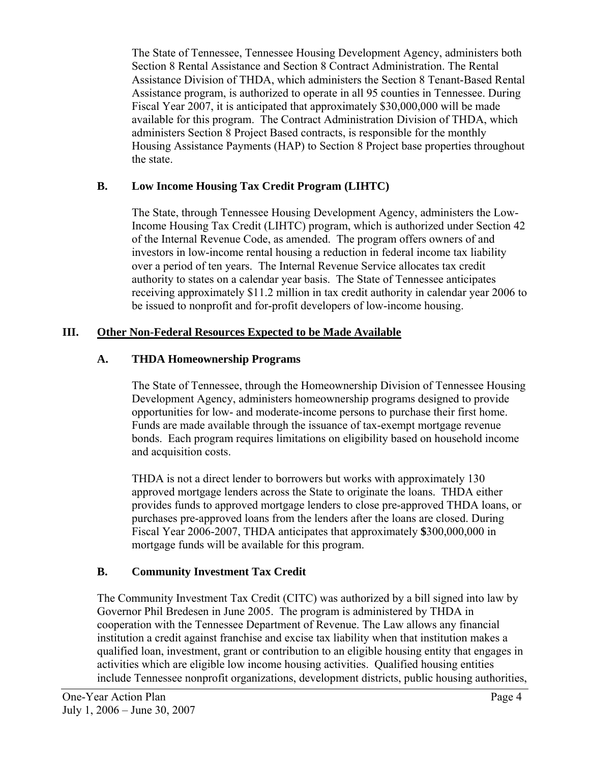The State of Tennessee, Tennessee Housing Development Agency, administers both Section 8 Rental Assistance and Section 8 Contract Administration. The Rental Assistance Division of THDA, which administers the Section 8 Tenant-Based Rental Assistance program, is authorized to operate in all 95 counties in Tennessee. During Fiscal Year 2007, it is anticipated that approximately \$30,000,000 will be made available for this program. The Contract Administration Division of THDA, which administers Section 8 Project Based contracts, is responsible for the monthly Housing Assistance Payments (HAP) to Section 8 Project base properties throughout the state.

# **B. Low Income Housing Tax Credit Program (LIHTC)**

The State, through Tennessee Housing Development Agency, administers the Low-Income Housing Tax Credit (LIHTC) program, which is authorized under Section 42 of the Internal Revenue Code, as amended. The program offers owners of and investors in low-income rental housing a reduction in federal income tax liability over a period of ten years. The Internal Revenue Service allocates tax credit authority to states on a calendar year basis. The State of Tennessee anticipates receiving approximately \$11.2 million in tax credit authority in calendar year 2006 to be issued to nonprofit and for-profit developers of low-income housing.

# **III. Other Non-Federal Resources Expected to be Made Available**

# **A. THDA Homeownership Programs**

The State of Tennessee, through the Homeownership Division of Tennessee Housing Development Agency, administers homeownership programs designed to provide opportunities for low- and moderate-income persons to purchase their first home. Funds are made available through the issuance of tax-exempt mortgage revenue bonds. Each program requires limitations on eligibility based on household income and acquisition costs.

THDA is not a direct lender to borrowers but works with approximately 130 approved mortgage lenders across the State to originate the loans. THDA either provides funds to approved mortgage lenders to close pre-approved THDA loans, or purchases pre-approved loans from the lenders after the loans are closed. During Fiscal Year 2006-2007, THDA anticipates that approximately **\$**300,000,000 in mortgage funds will be available for this program.

# **B. Community Investment Tax Credit**

 The Community Investment Tax Credit (CITC) was authorized by a bill signed into law by Governor Phil Bredesen in June 2005. The program is administered by THDA in cooperation with the Tennessee Department of Revenue. The Law allows any financial institution a credit against franchise and excise tax liability when that institution makes a qualified loan, investment, grant or contribution to an eligible housing entity that engages in activities which are eligible low income housing activities. Qualified housing entities include Tennessee nonprofit organizations, development districts, public housing authorities,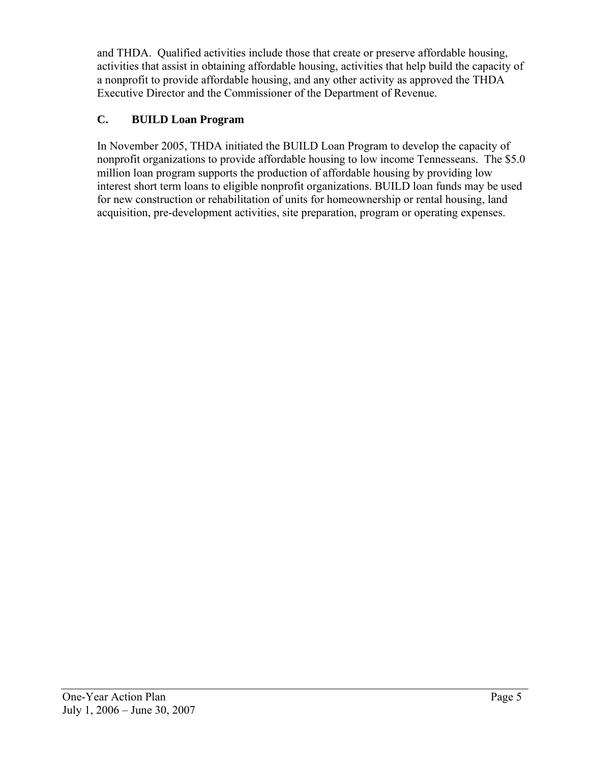and THDA. Qualified activities include those that create or preserve affordable housing, activities that assist in obtaining affordable housing, activities that help build the capacity of a nonprofit to provide affordable housing, and any other activity as approved the THDA Executive Director and the Commissioner of the Department of Revenue.

# **C. BUILD Loan Program**

 In November 2005, THDA initiated the BUILD Loan Program to develop the capacity of nonprofit organizations to provide affordable housing to low income Tennesseans. The \$5.0 million loan program supports the production of affordable housing by providing low interest short term loans to eligible nonprofit organizations. BUILD loan funds may be used for new construction or rehabilitation of units for homeownership or rental housing, land acquisition, pre-development activities, site preparation, program or operating expenses.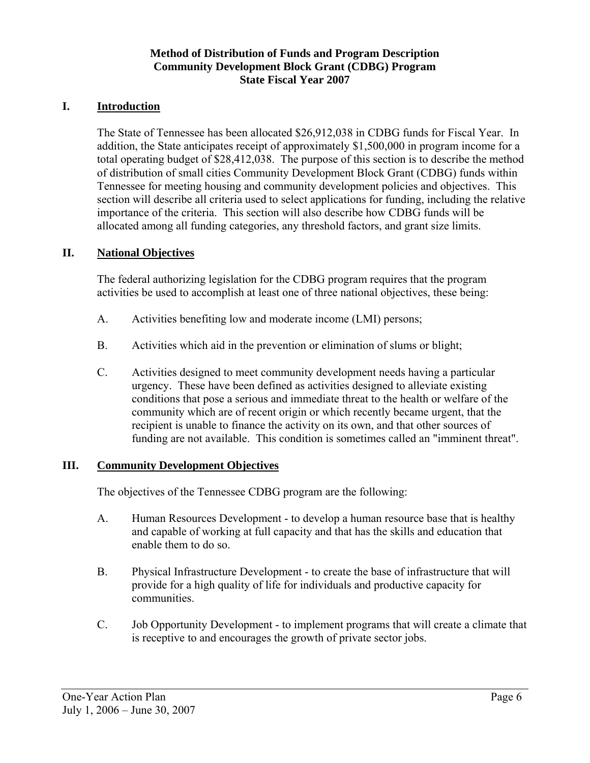#### **Method of Distribution of Funds and Program Description Community Development Block Grant (CDBG) Program State Fiscal Year 2007**

#### **I. Introduction**

The State of Tennessee has been allocated \$26,912,038 in CDBG funds for Fiscal Year. In addition, the State anticipates receipt of approximately \$1,500,000 in program income for a total operating budget of \$28,412,038. The purpose of this section is to describe the method of distribution of small cities Community Development Block Grant (CDBG) funds within Tennessee for meeting housing and community development policies and objectives. This section will describe all criteria used to select applications for funding, including the relative importance of the criteria. This section will also describe how CDBG funds will be allocated among all funding categories, any threshold factors, and grant size limits.

## **II. National Objectives**

The federal authorizing legislation for the CDBG program requires that the program activities be used to accomplish at least one of three national objectives, these being:

- A. Activities benefiting low and moderate income (LMI) persons;
- B. Activities which aid in the prevention or elimination of slums or blight;
- C. Activities designed to meet community development needs having a particular urgency. These have been defined as activities designed to alleviate existing conditions that pose a serious and immediate threat to the health or welfare of the community which are of recent origin or which recently became urgent, that the recipient is unable to finance the activity on its own, and that other sources of funding are not available. This condition is sometimes called an "imminent threat".

#### **III. Community Development Objectives**

The objectives of the Tennessee CDBG program are the following:

- A. Human Resources Development to develop a human resource base that is healthy and capable of working at full capacity and that has the skills and education that enable them to do so.
- B. Physical Infrastructure Development to create the base of infrastructure that will provide for a high quality of life for individuals and productive capacity for communities.
- C. Job Opportunity Development to implement programs that will create a climate that is receptive to and encourages the growth of private sector jobs.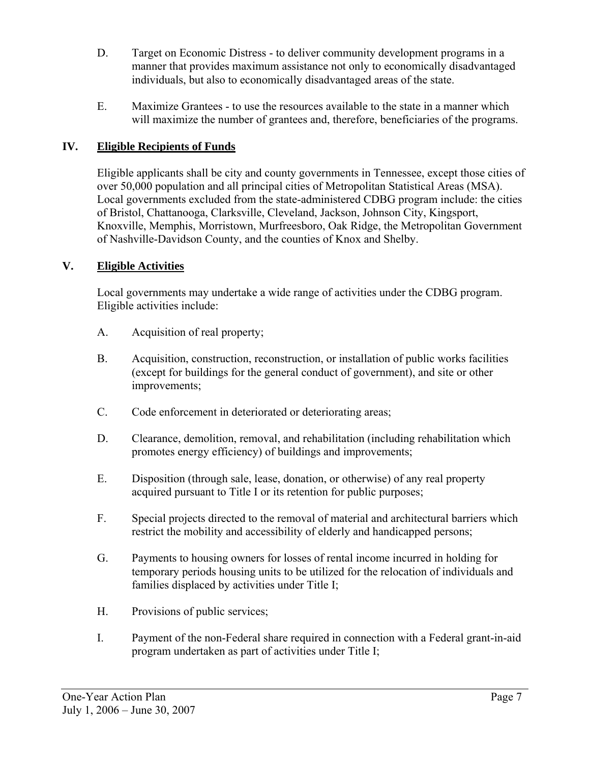- D. Target on Economic Distress to deliver community development programs in a manner that provides maximum assistance not only to economically disadvantaged individuals, but also to economically disadvantaged areas of the state.
- E. Maximize Grantees to use the resources available to the state in a manner which will maximize the number of grantees and, therefore, beneficiaries of the programs.

# **IV. Eligible Recipients of Funds**

Eligible applicants shall be city and county governments in Tennessee, except those cities of over 50,000 population and all principal cities of Metropolitan Statistical Areas (MSA). Local governments excluded from the state-administered CDBG program include: the cities of Bristol, Chattanooga, Clarksville, Cleveland, Jackson, Johnson City, Kingsport, Knoxville, Memphis, Morristown, Murfreesboro, Oak Ridge, the Metropolitan Government of Nashville-Davidson County, and the counties of Knox and Shelby.

# **V. Eligible Activities**

Local governments may undertake a wide range of activities under the CDBG program. Eligible activities include:

- A. Acquisition of real property;
- B. Acquisition, construction, reconstruction, or installation of public works facilities (except for buildings for the general conduct of government), and site or other improvements;
- C. Code enforcement in deteriorated or deteriorating areas;
- D. Clearance, demolition, removal, and rehabilitation (including rehabilitation which promotes energy efficiency) of buildings and improvements;
- E. Disposition (through sale, lease, donation, or otherwise) of any real property acquired pursuant to Title I or its retention for public purposes;
- F. Special projects directed to the removal of material and architectural barriers which restrict the mobility and accessibility of elderly and handicapped persons;
- G. Payments to housing owners for losses of rental income incurred in holding for temporary periods housing units to be utilized for the relocation of individuals and families displaced by activities under Title I;
- H. Provisions of public services;
- I. Payment of the non-Federal share required in connection with a Federal grant-in-aid program undertaken as part of activities under Title I;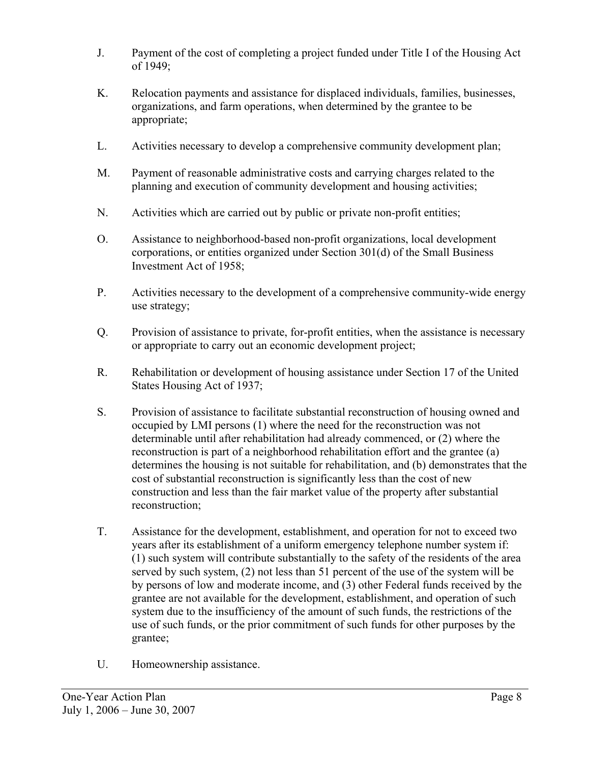- J. Payment of the cost of completing a project funded under Title I of the Housing Act of 1949;
- K. Relocation payments and assistance for displaced individuals, families, businesses, organizations, and farm operations, when determined by the grantee to be appropriate;
- L. Activities necessary to develop a comprehensive community development plan;
- M. Payment of reasonable administrative costs and carrying charges related to the planning and execution of community development and housing activities;
- N. Activities which are carried out by public or private non-profit entities;
- O. Assistance to neighborhood-based non-profit organizations, local development corporations, or entities organized under Section 301(d) of the Small Business Investment Act of 1958;
- P. Activities necessary to the development of a comprehensive community-wide energy use strategy;
- Q. Provision of assistance to private, for-profit entities, when the assistance is necessary or appropriate to carry out an economic development project;
- R. Rehabilitation or development of housing assistance under Section 17 of the United States Housing Act of 1937;
- S. Provision of assistance to facilitate substantial reconstruction of housing owned and occupied by LMI persons (1) where the need for the reconstruction was not determinable until after rehabilitation had already commenced, or (2) where the reconstruction is part of a neighborhood rehabilitation effort and the grantee (a) determines the housing is not suitable for rehabilitation, and (b) demonstrates that the cost of substantial reconstruction is significantly less than the cost of new construction and less than the fair market value of the property after substantial reconstruction;
- T. Assistance for the development, establishment, and operation for not to exceed two years after its establishment of a uniform emergency telephone number system if: (1) such system will contribute substantially to the safety of the residents of the area served by such system, (2) not less than 51 percent of the use of the system will be by persons of low and moderate income, and (3) other Federal funds received by the grantee are not available for the development, establishment, and operation of such system due to the insufficiency of the amount of such funds, the restrictions of the use of such funds, or the prior commitment of such funds for other purposes by the grantee;
- U. Homeownership assistance.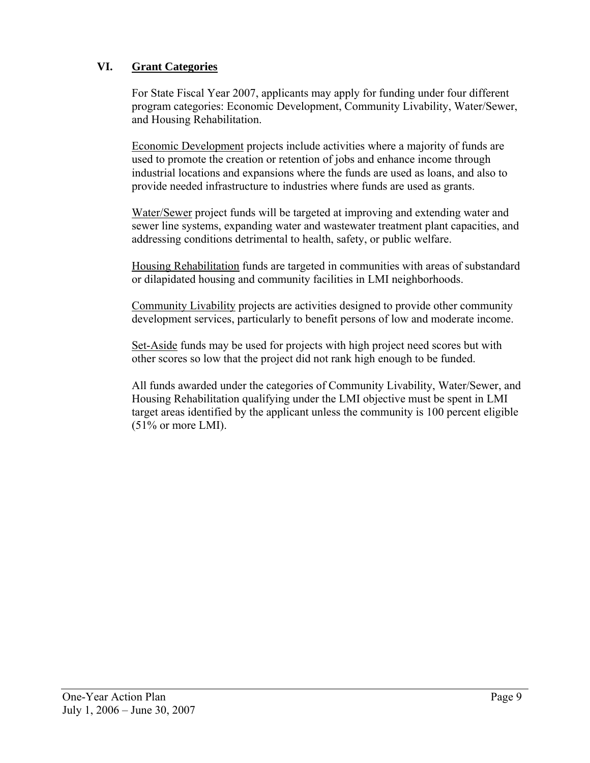# **VI. Grant Categories**

For State Fiscal Year 2007, applicants may apply for funding under four different program categories: Economic Development, Community Livability, Water/Sewer, and Housing Rehabilitation.

Economic Development projects include activities where a majority of funds are used to promote the creation or retention of jobs and enhance income through industrial locations and expansions where the funds are used as loans, and also to provide needed infrastructure to industries where funds are used as grants.

Water/Sewer project funds will be targeted at improving and extending water and sewer line systems, expanding water and wastewater treatment plant capacities, and addressing conditions detrimental to health, safety, or public welfare.

Housing Rehabilitation funds are targeted in communities with areas of substandard or dilapidated housing and community facilities in LMI neighborhoods.

Community Livability projects are activities designed to provide other community development services, particularly to benefit persons of low and moderate income.

Set-Aside funds may be used for projects with high project need scores but with other scores so low that the project did not rank high enough to be funded.

All funds awarded under the categories of Community Livability, Water/Sewer, and Housing Rehabilitation qualifying under the LMI objective must be spent in LMI target areas identified by the applicant unless the community is 100 percent eligible  $(51\% \text{ or more LMI}).$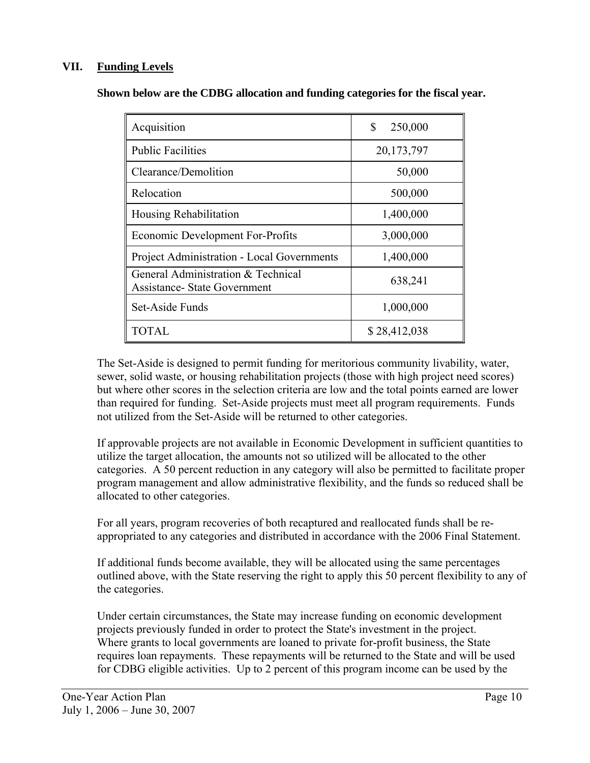# **VII. Funding Levels**

| Acquisition                                                               | \$<br>250,000 |
|---------------------------------------------------------------------------|---------------|
| <b>Public Facilities</b>                                                  | 20,173,797    |
| Clearance/Demolition                                                      | 50,000        |
| Relocation                                                                | 500,000       |
| Housing Rehabilitation                                                    | 1,400,000     |
| <b>Economic Development For-Profits</b>                                   | 3,000,000     |
| <b>Project Administration - Local Governments</b>                         | 1,400,000     |
| General Administration & Technical<br><b>Assistance- State Government</b> | 638,241       |
| Set-Aside Funds                                                           | 1,000,000     |
| <b>TOTAL</b>                                                              | \$28,412,038  |

**Shown below are the CDBG allocation and funding categories for the fiscal year.** 

The Set-Aside is designed to permit funding for meritorious community livability, water, sewer, solid waste, or housing rehabilitation projects (those with high project need scores) but where other scores in the selection criteria are low and the total points earned are lower than required for funding. Set-Aside projects must meet all program requirements. Funds not utilized from the Set-Aside will be returned to other categories.

If approvable projects are not available in Economic Development in sufficient quantities to utilize the target allocation, the amounts not so utilized will be allocated to the other categories. A 50 percent reduction in any category will also be permitted to facilitate proper program management and allow administrative flexibility, and the funds so reduced shall be allocated to other categories.

For all years, program recoveries of both recaptured and reallocated funds shall be reappropriated to any categories and distributed in accordance with the 2006 Final Statement.

If additional funds become available, they will be allocated using the same percentages outlined above, with the State reserving the right to apply this 50 percent flexibility to any of the categories.

Under certain circumstances, the State may increase funding on economic development projects previously funded in order to protect the State's investment in the project. Where grants to local governments are loaned to private for-profit business, the State requires loan repayments. These repayments will be returned to the State and will be used for CDBG eligible activities. Up to 2 percent of this program income can be used by the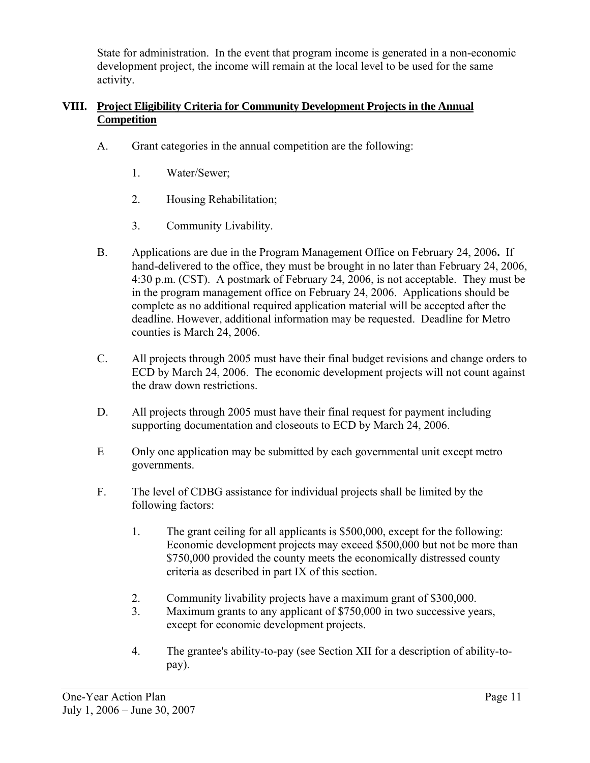State for administration. In the event that program income is generated in a non-economic development project, the income will remain at the local level to be used for the same activity.

# **VIII. Project Eligibility Criteria for Community Development Projects in the Annual Competition**

- A. Grant categories in the annual competition are the following:
	- 1. Water/Sewer;
	- 2. Housing Rehabilitation;
	- 3. Community Livability.
- B. Applications are due in the Program Management Office on February 24, 2006**.** If hand-delivered to the office, they must be brought in no later than February 24, 2006, 4:30 p.m. (CST). A postmark of February 24, 2006, is not acceptable. They must be in the program management office on February 24, 2006. Applications should be complete as no additional required application material will be accepted after the deadline. However, additional information may be requested. Deadline for Metro counties is March 24, 2006.
- C. All projects through 2005 must have their final budget revisions and change orders to ECD by March 24, 2006. The economic development projects will not count against the draw down restrictions.
- D. All projects through 2005 must have their final request for payment including supporting documentation and closeouts to ECD by March 24, 2006.
- E Only one application may be submitted by each governmental unit except metro governments.
- F. The level of CDBG assistance for individual projects shall be limited by the following factors:
	- 1. The grant ceiling for all applicants is \$500,000, except for the following: Economic development projects may exceed \$500,000 but not be more than \$750,000 provided the county meets the economically distressed county criteria as described in part IX of this section.
	- 2. Community livability projects have a maximum grant of \$300,000.
	- 3. Maximum grants to any applicant of \$750,000 in two successive years, except for economic development projects.
	- 4. The grantee's ability-to-pay (see Section XII for a description of ability-topay).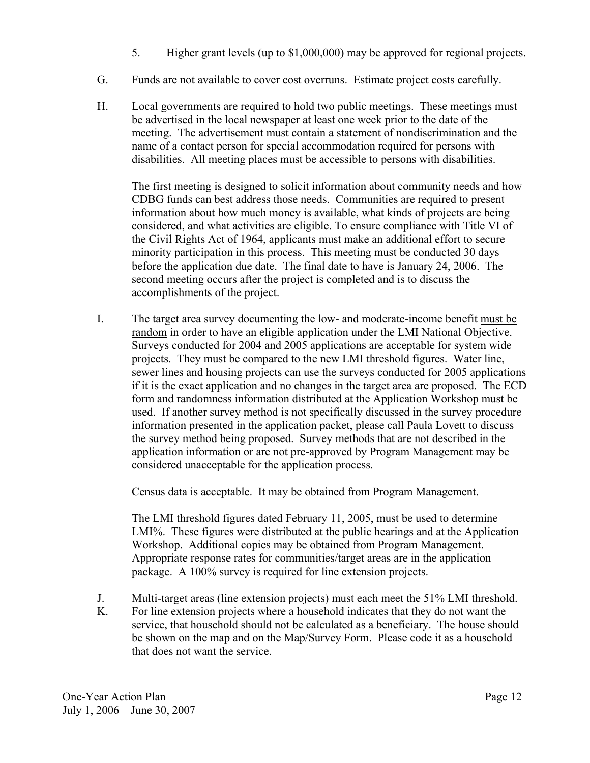- 5. Higher grant levels (up to \$1,000,000) may be approved for regional projects.
- G. Funds are not available to cover cost overruns. Estimate project costs carefully.
- H. Local governments are required to hold two public meetings. These meetings must be advertised in the local newspaper at least one week prior to the date of the meeting. The advertisement must contain a statement of nondiscrimination and the name of a contact person for special accommodation required for persons with disabilities. All meeting places must be accessible to persons with disabilities.

 The first meeting is designed to solicit information about community needs and how CDBG funds can best address those needs. Communities are required to present information about how much money is available, what kinds of projects are being considered, and what activities are eligible. To ensure compliance with Title VI of the Civil Rights Act of 1964, applicants must make an additional effort to secure minority participation in this process. This meeting must be conducted 30 days before the application due date. The final date to have is January 24, 2006. The second meeting occurs after the project is completed and is to discuss the accomplishments of the project.

I. The target area survey documenting the low- and moderate-income benefit must be random in order to have an eligible application under the LMI National Objective. Surveys conducted for 2004 and 2005 applications are acceptable for system wide projects. They must be compared to the new LMI threshold figures. Water line, sewer lines and housing projects can use the surveys conducted for 2005 applications if it is the exact application and no changes in the target area are proposed. The ECD form and randomness information distributed at the Application Workshop must be used. If another survey method is not specifically discussed in the survey procedure information presented in the application packet, please call Paula Lovett to discuss the survey method being proposed. Survey methods that are not described in the application information or are not pre-approved by Program Management may be considered unacceptable for the application process.

Census data is acceptable. It may be obtained from Program Management.

 The LMI threshold figures dated February 11, 2005, must be used to determine LMI%. These figures were distributed at the public hearings and at the Application Workshop. Additional copies may be obtained from Program Management. Appropriate response rates for communities/target areas are in the application package. A 100% survey is required for line extension projects.

- J. Multi-target areas (line extension projects) must each meet the 51% LMI threshold.
- K. For line extension projects where a household indicates that they do not want the service, that household should not be calculated as a beneficiary. The house should be shown on the map and on the Map/Survey Form. Please code it as a household that does not want the service.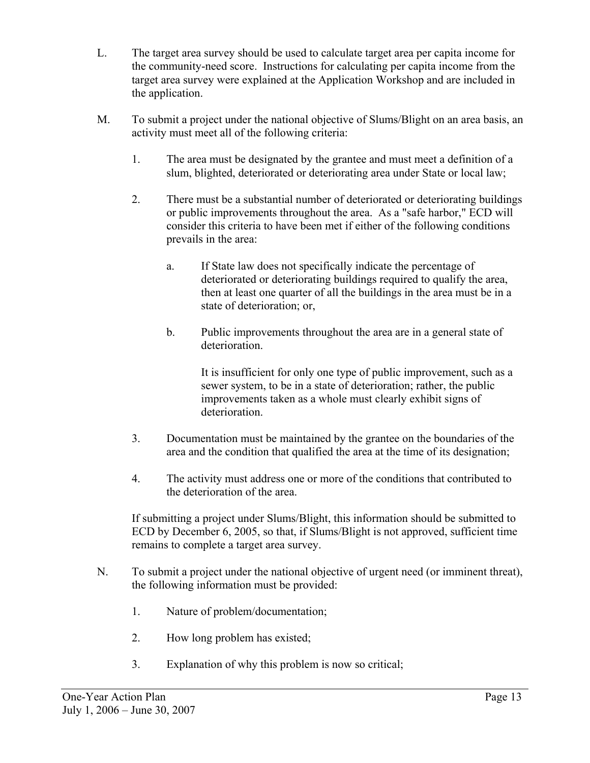- L. The target area survey should be used to calculate target area per capita income for the community-need score. Instructions for calculating per capita income from the target area survey were explained at the Application Workshop and are included in the application.
- M. To submit a project under the national objective of Slums/Blight on an area basis, an activity must meet all of the following criteria:
	- 1. The area must be designated by the grantee and must meet a definition of a slum, blighted, deteriorated or deteriorating area under State or local law;
	- 2. There must be a substantial number of deteriorated or deteriorating buildings or public improvements throughout the area. As a "safe harbor," ECD will consider this criteria to have been met if either of the following conditions prevails in the area:
		- a. If State law does not specifically indicate the percentage of deteriorated or deteriorating buildings required to qualify the area, then at least one quarter of all the buildings in the area must be in a state of deterioration; or,
		- b. Public improvements throughout the area are in a general state of deterioration.

 It is insufficient for only one type of public improvement, such as a sewer system, to be in a state of deterioration; rather, the public improvements taken as a whole must clearly exhibit signs of deterioration.

- 3. Documentation must be maintained by the grantee on the boundaries of the area and the condition that qualified the area at the time of its designation;
- 4. The activity must address one or more of the conditions that contributed to the deterioration of the area.

If submitting a project under Slums/Blight, this information should be submitted to ECD by December 6, 2005, so that, if Slums/Blight is not approved, sufficient time remains to complete a target area survey.

- N. To submit a project under the national objective of urgent need (or imminent threat), the following information must be provided:
	- 1. Nature of problem/documentation;
	- 2. How long problem has existed;
	- 3. Explanation of why this problem is now so critical;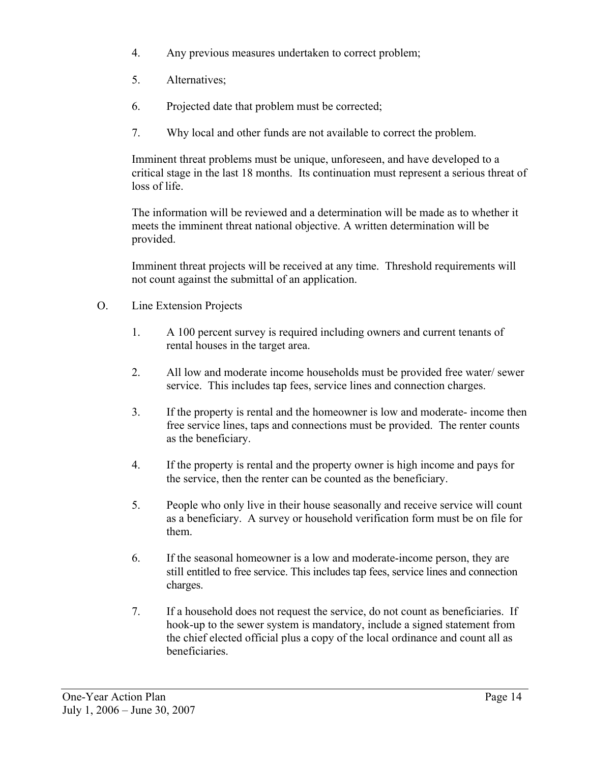- 4. Any previous measures undertaken to correct problem;
- 5. Alternatives;
- 6. Projected date that problem must be corrected;
- 7. Why local and other funds are not available to correct the problem.

Imminent threat problems must be unique, unforeseen, and have developed to a critical stage in the last 18 months. Its continuation must represent a serious threat of loss of life.

The information will be reviewed and a determination will be made as to whether it meets the imminent threat national objective. A written determination will be provided.

Imminent threat projects will be received at any time. Threshold requirements will not count against the submittal of an application.

- O. Line Extension Projects
	- 1. A 100 percent survey is required including owners and current tenants of rental houses in the target area.
	- 2. All low and moderate income households must be provided free water/ sewer service. This includes tap fees, service lines and connection charges.
	- 3. If the property is rental and the homeowner is low and moderate- income then free service lines, taps and connections must be provided. The renter counts as the beneficiary.
	- 4. If the property is rental and the property owner is high income and pays for the service, then the renter can be counted as the beneficiary.
	- 5. People who only live in their house seasonally and receive service will count as a beneficiary. A survey or household verification form must be on file for them.
	- 6. If the seasonal homeowner is a low and moderate-income person, they are still entitled to free service. This includes tap fees, service lines and connection charges.
	- 7. If a household does not request the service, do not count as beneficiaries. If hook-up to the sewer system is mandatory, include a signed statement from the chief elected official plus a copy of the local ordinance and count all as beneficiaries.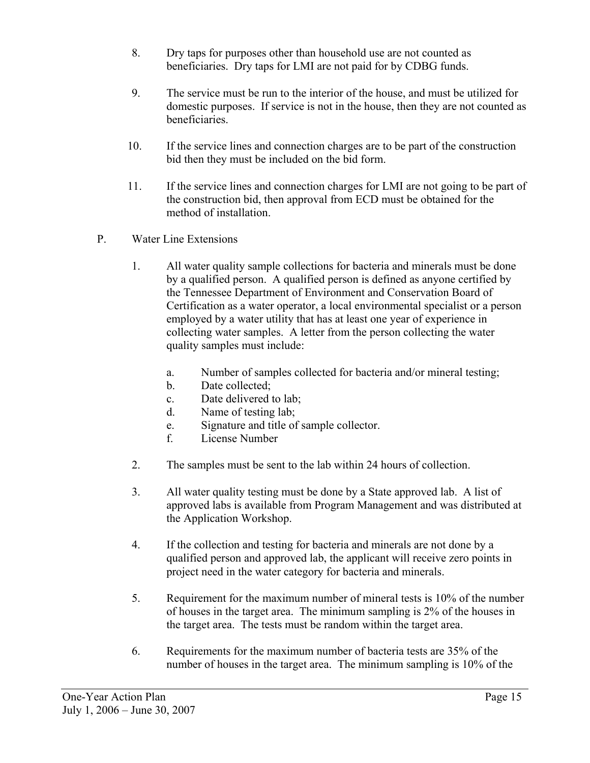- 8. Dry taps for purposes other than household use are not counted as beneficiaries. Dry taps for LMI are not paid for by CDBG funds.
- 9. The service must be run to the interior of the house, and must be utilized for domestic purposes. If service is not in the house, then they are not counted as beneficiaries.
- 10. If the service lines and connection charges are to be part of the construction bid then they must be included on the bid form.
- 11. If the service lines and connection charges for LMI are not going to be part of the construction bid, then approval from ECD must be obtained for the method of installation.
- P. Water Line Extensions
	- 1. All water quality sample collections for bacteria and minerals must be done by a qualified person. A qualified person is defined as anyone certified by the Tennessee Department of Environment and Conservation Board of Certification as a water operator, a local environmental specialist or a person employed by a water utility that has at least one year of experience in collecting water samples. A letter from the person collecting the water quality samples must include:
		- a. Number of samples collected for bacteria and/or mineral testing;
		- b. Date collected;
		- c. Date delivered to lab;
		- d. Name of testing lab;
		- e. Signature and title of sample collector.
		- f. License Number
	- 2. The samples must be sent to the lab within 24 hours of collection.
	- 3. All water quality testing must be done by a State approved lab. A list of approved labs is available from Program Management and was distributed at the Application Workshop.
	- 4. If the collection and testing for bacteria and minerals are not done by a qualified person and approved lab, the applicant will receive zero points in project need in the water category for bacteria and minerals.
	- 5. Requirement for the maximum number of mineral tests is 10% of the number of houses in the target area. The minimum sampling is 2% of the houses in the target area. The tests must be random within the target area.
	- 6. Requirements for the maximum number of bacteria tests are 35% of the number of houses in the target area. The minimum sampling is 10% of the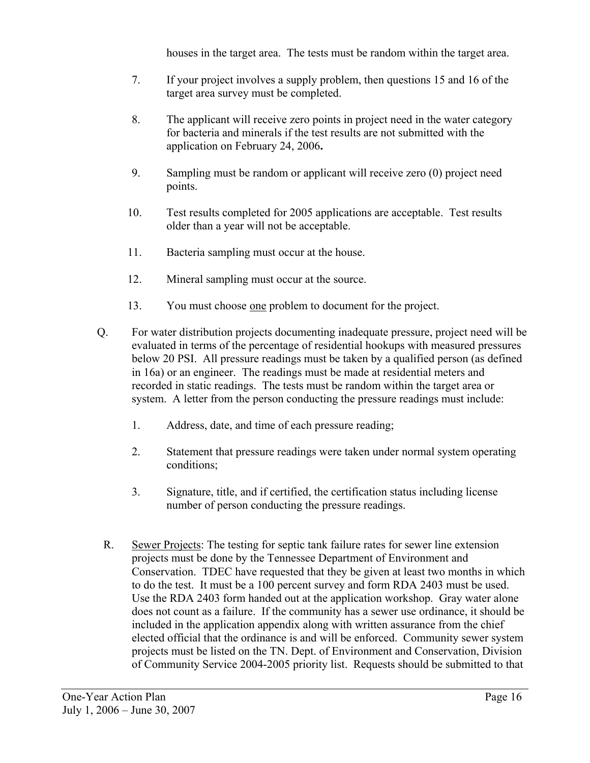houses in the target area. The tests must be random within the target area.

- 7. If your project involves a supply problem, then questions 15 and 16 of the target area survey must be completed.
- 8. The applicant will receive zero points in project need in the water category for bacteria and minerals if the test results are not submitted with the application on February 24, 2006**.**
- 9. Sampling must be random or applicant will receive zero (0) project need points.
- 10. Test results completed for 2005 applications are acceptable. Test results older than a year will not be acceptable.
- 11. Bacteria sampling must occur at the house.
- 12. Mineral sampling must occur at the source.
- 13. You must choose one problem to document for the project.
- Q. For water distribution projects documenting inadequate pressure, project need will be evaluated in terms of the percentage of residential hookups with measured pressures below 20 PSI. All pressure readings must be taken by a qualified person (as defined in 16a) or an engineer. The readings must be made at residential meters and recorded in static readings. The tests must be random within the target area or system. A letter from the person conducting the pressure readings must include:
	- 1. Address, date, and time of each pressure reading;
	- 2. Statement that pressure readings were taken under normal system operating conditions;
	- 3. Signature, title, and if certified, the certification status including license number of person conducting the pressure readings.
- R. Sewer Projects: The testing for septic tank failure rates for sewer line extension projects must be done by the Tennessee Department of Environment and Conservation. TDEC have requested that they be given at least two months in which to do the test. It must be a 100 percent survey and form RDA 2403 must be used. Use the RDA 2403 form handed out at the application workshop. Gray water alone does not count as a failure. If the community has a sewer use ordinance, it should be included in the application appendix along with written assurance from the chief elected official that the ordinance is and will be enforced. Community sewer system projects must be listed on the TN. Dept. of Environment and Conservation, Division of Community Service 2004-2005 priority list. Requests should be submitted to that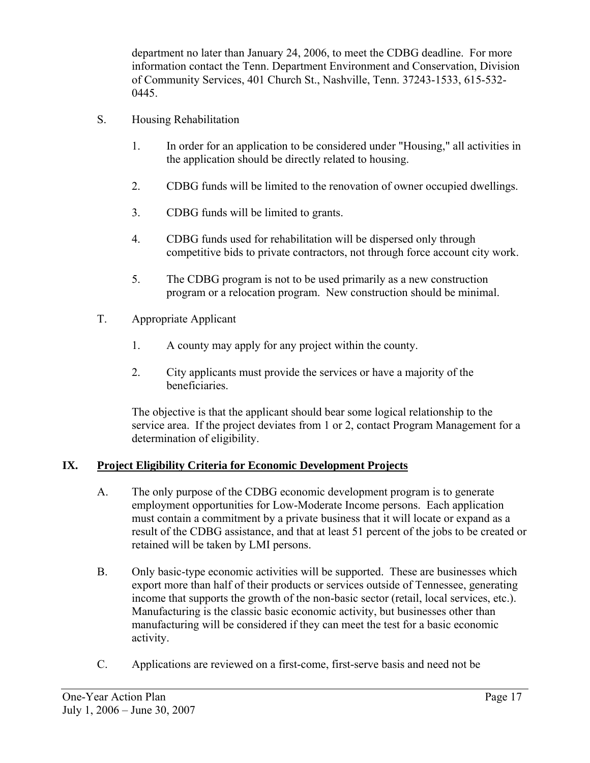department no later than January 24, 2006, to meet the CDBG deadline. For more information contact the Tenn. Department Environment and Conservation, Division of Community Services, 401 Church St., Nashville, Tenn. 37243-1533, 615-532- 0445.

- S. Housing Rehabilitation
	- 1. In order for an application to be considered under "Housing," all activities in the application should be directly related to housing.
	- 2. CDBG funds will be limited to the renovation of owner occupied dwellings.
	- 3. CDBG funds will be limited to grants.
	- 4. CDBG funds used for rehabilitation will be dispersed only through competitive bids to private contractors, not through force account city work.
	- 5. The CDBG program is not to be used primarily as a new construction program or a relocation program. New construction should be minimal.
- T. Appropriate Applicant
	- 1. A county may apply for any project within the county.
	- 2. City applicants must provide the services or have a majority of the beneficiaries.

The objective is that the applicant should bear some logical relationship to the service area. If the project deviates from 1 or 2, contact Program Management for a determination of eligibility.

# **IX. Project Eligibility Criteria for Economic Development Projects**

- A. The only purpose of the CDBG economic development program is to generate employment opportunities for Low-Moderate Income persons. Each application must contain a commitment by a private business that it will locate or expand as a result of the CDBG assistance, and that at least 51 percent of the jobs to be created or retained will be taken by LMI persons.
- B. Only basic-type economic activities will be supported. These are businesses which export more than half of their products or services outside of Tennessee, generating income that supports the growth of the non-basic sector (retail, local services, etc.). Manufacturing is the classic basic economic activity, but businesses other than manufacturing will be considered if they can meet the test for a basic economic activity.
- C. Applications are reviewed on a first-come, first-serve basis and need not be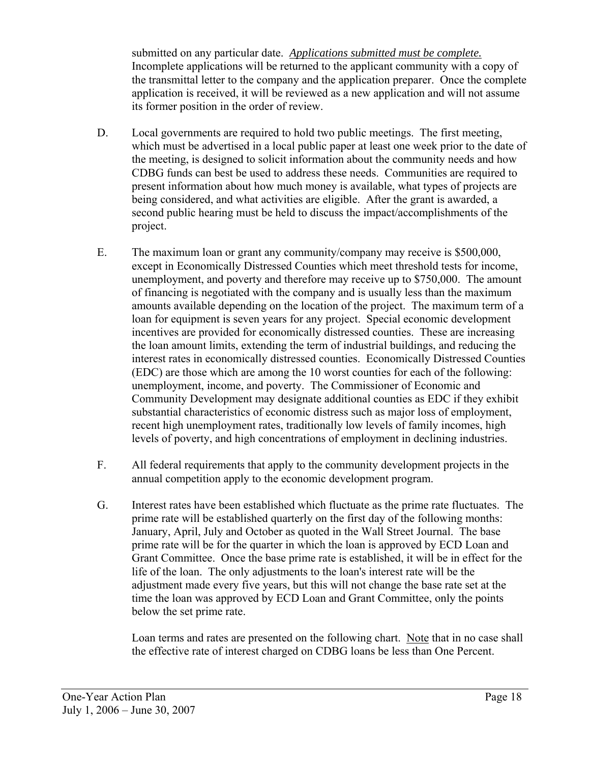submitted on any particular date. *Applications submitted must be complete.* Incomplete applications will be returned to the applicant community with a copy of the transmittal letter to the company and the application preparer. Once the complete application is received, it will be reviewed as a new application and will not assume its former position in the order of review.

- D. Local governments are required to hold two public meetings. The first meeting, which must be advertised in a local public paper at least one week prior to the date of the meeting, is designed to solicit information about the community needs and how CDBG funds can best be used to address these needs. Communities are required to present information about how much money is available, what types of projects are being considered, and what activities are eligible. After the grant is awarded, a second public hearing must be held to discuss the impact/accomplishments of the project.
- E. The maximum loan or grant any community/company may receive is \$500,000, except in Economically Distressed Counties which meet threshold tests for income, unemployment, and poverty and therefore may receive up to \$750,000. The amount of financing is negotiated with the company and is usually less than the maximum amounts available depending on the location of the project. The maximum term of a loan for equipment is seven years for any project. Special economic development incentives are provided for economically distressed counties. These are increasing the loan amount limits, extending the term of industrial buildings, and reducing the interest rates in economically distressed counties. Economically Distressed Counties (EDC) are those which are among the 10 worst counties for each of the following: unemployment, income, and poverty. The Commissioner of Economic and Community Development may designate additional counties as EDC if they exhibit substantial characteristics of economic distress such as major loss of employment, recent high unemployment rates, traditionally low levels of family incomes, high levels of poverty, and high concentrations of employment in declining industries.
- F. All federal requirements that apply to the community development projects in the annual competition apply to the economic development program.
- G. Interest rates have been established which fluctuate as the prime rate fluctuates. The prime rate will be established quarterly on the first day of the following months: January, April, July and October as quoted in the Wall Street Journal. The base prime rate will be for the quarter in which the loan is approved by ECD Loan and Grant Committee. Once the base prime rate is established, it will be in effect for the life of the loan. The only adjustments to the loan's interest rate will be the adjustment made every five years, but this will not change the base rate set at the time the loan was approved by ECD Loan and Grant Committee, only the points below the set prime rate.

Loan terms and rates are presented on the following chart. Note that in no case shall the effective rate of interest charged on CDBG loans be less than One Percent.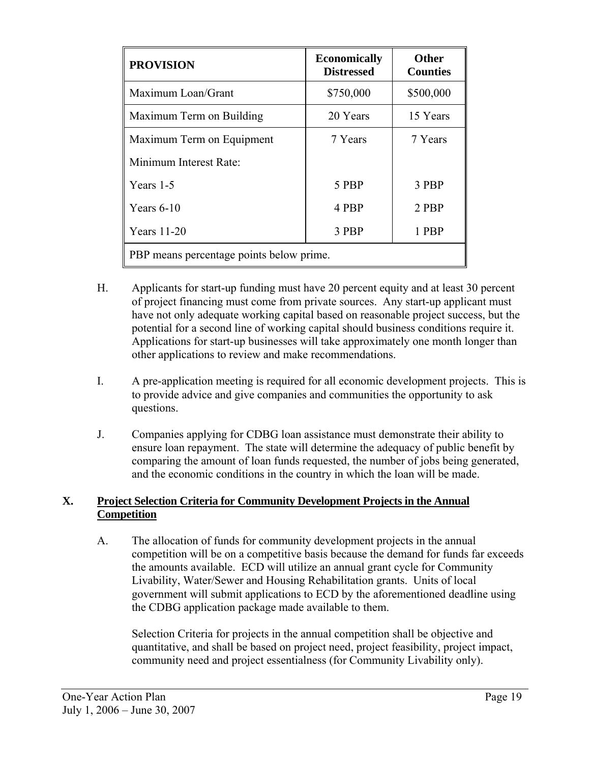| <b>PROVISION</b>                         | <b>Economically</b><br><b>Distressed</b> | <b>Other</b><br><b>Counties</b> |  |
|------------------------------------------|------------------------------------------|---------------------------------|--|
| Maximum Loan/Grant                       | \$750,000                                | \$500,000                       |  |
| Maximum Term on Building                 | 20 Years                                 | 15 Years                        |  |
| Maximum Term on Equipment                | 7 Years                                  | 7 Years                         |  |
| Minimum Interest Rate:                   |                                          |                                 |  |
| Years 1-5                                | 5 PBP                                    | 3 PBP                           |  |
| Years $6-10$                             | 4 PBP                                    | 2 PBP                           |  |
| <b>Years</b> 11-20                       | 3 PBP                                    | 1 PBP                           |  |
| PBP means percentage points below prime. |                                          |                                 |  |

- H. Applicants for start-up funding must have 20 percent equity and at least 30 percent of project financing must come from private sources. Any start-up applicant must have not only adequate working capital based on reasonable project success, but the potential for a second line of working capital should business conditions require it. Applications for start-up businesses will take approximately one month longer than other applications to review and make recommendations.
- I. A pre-application meeting is required for all economic development projects. This is to provide advice and give companies and communities the opportunity to ask questions.
- J. Companies applying for CDBG loan assistance must demonstrate their ability to ensure loan repayment. The state will determine the adequacy of public benefit by comparing the amount of loan funds requested, the number of jobs being generated, and the economic conditions in the country in which the loan will be made.

# **X. Project Selection Criteria for Community Development Projects in the Annual Competition**

A. The allocation of funds for community development projects in the annual competition will be on a competitive basis because the demand for funds far exceeds the amounts available. ECD will utilize an annual grant cycle for Community Livability, Water/Sewer and Housing Rehabilitation grants. Units of local government will submit applications to ECD by the aforementioned deadline using the CDBG application package made available to them.

Selection Criteria for projects in the annual competition shall be objective and quantitative, and shall be based on project need, project feasibility, project impact, community need and project essentialness (for Community Livability only).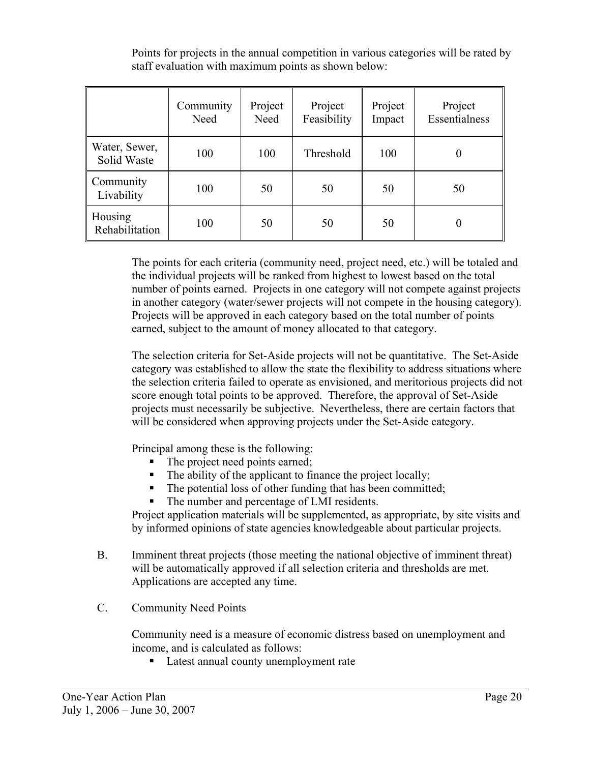|                              | Community<br>Need | Project<br>Need | Project<br>Feasibility | Project<br>Impact | Project<br>Essentialness |
|------------------------------|-------------------|-----------------|------------------------|-------------------|--------------------------|
| Water, Sewer,<br>Solid Waste | 100               | 100             | Threshold              | 100               | 0                        |
| Community<br>Livability      | 100               | 50              | 50                     | 50                | 50                       |
| Housing<br>Rehabilitation    | 100               | 50              | 50                     | 50                | 0                        |

Points for projects in the annual competition in various categories will be rated by staff evaluation with maximum points as shown below:

The points for each criteria (community need, project need, etc.) will be totaled and the individual projects will be ranked from highest to lowest based on the total number of points earned. Projects in one category will not compete against projects in another category (water/sewer projects will not compete in the housing category). Projects will be approved in each category based on the total number of points earned, subject to the amount of money allocated to that category.

The selection criteria for Set-Aside projects will not be quantitative. The Set-Aside category was established to allow the state the flexibility to address situations where the selection criteria failed to operate as envisioned, and meritorious projects did not score enough total points to be approved. Therefore, the approval of Set-Aside projects must necessarily be subjective. Nevertheless, there are certain factors that will be considered when approving projects under the Set-Aside category.

Principal among these is the following:

- The project need points earned;
- The ability of the applicant to finance the project locally;
- The potential loss of other funding that has been committed;
- The number and percentage of LMI residents.

Project application materials will be supplemented, as appropriate, by site visits and by informed opinions of state agencies knowledgeable about particular projects.

- B. Imminent threat projects (those meeting the national objective of imminent threat) will be automatically approved if all selection criteria and thresholds are met. Applications are accepted any time.
- C. Community Need Points

Community need is a measure of economic distress based on unemployment and income, and is calculated as follows:

■ Latest annual county unemployment rate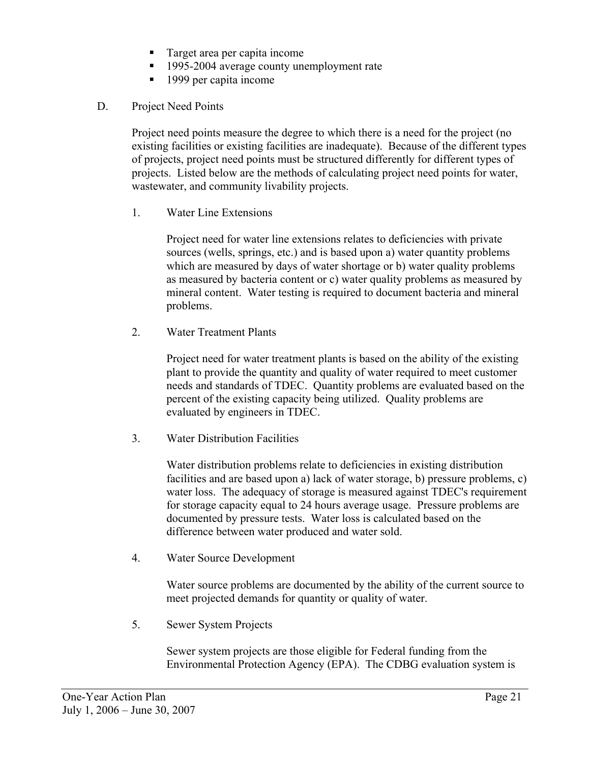- Target area per capita income
- <sup>1995-2004</sup> average county unemployment rate
- 1999 per capita income
- D. Project Need Points

Project need points measure the degree to which there is a need for the project (no existing facilities or existing facilities are inadequate). Because of the different types of projects, project need points must be structured differently for different types of projects. Listed below are the methods of calculating project need points for water, wastewater, and community livability projects.

1. Water Line Extensions

Project need for water line extensions relates to deficiencies with private sources (wells, springs, etc.) and is based upon a) water quantity problems which are measured by days of water shortage or b) water quality problems as measured by bacteria content or c) water quality problems as measured by mineral content. Water testing is required to document bacteria and mineral problems.

2. Water Treatment Plants

Project need for water treatment plants is based on the ability of the existing plant to provide the quantity and quality of water required to meet customer needs and standards of TDEC. Quantity problems are evaluated based on the percent of the existing capacity being utilized. Quality problems are evaluated by engineers in TDEC.

3. Water Distribution Facilities

Water distribution problems relate to deficiencies in existing distribution facilities and are based upon a) lack of water storage, b) pressure problems, c) water loss. The adequacy of storage is measured against TDEC's requirement for storage capacity equal to 24 hours average usage. Pressure problems are documented by pressure tests. Water loss is calculated based on the difference between water produced and water sold.

4. Water Source Development

Water source problems are documented by the ability of the current source to meet projected demands for quantity or quality of water.

5. Sewer System Projects

Sewer system projects are those eligible for Federal funding from the Environmental Protection Agency (EPA). The CDBG evaluation system is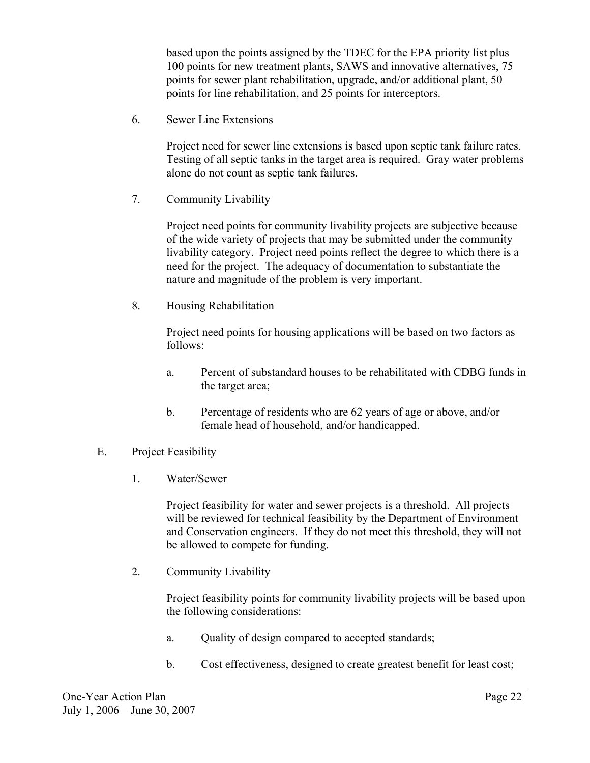based upon the points assigned by the TDEC for the EPA priority list plus 100 points for new treatment plants, SAWS and innovative alternatives, 75 points for sewer plant rehabilitation, upgrade, and/or additional plant, 50 points for line rehabilitation, and 25 points for interceptors.

6. Sewer Line Extensions

Project need for sewer line extensions is based upon septic tank failure rates. Testing of all septic tanks in the target area is required. Gray water problems alone do not count as septic tank failures.

7. Community Livability

Project need points for community livability projects are subjective because of the wide variety of projects that may be submitted under the community livability category. Project need points reflect the degree to which there is a need for the project. The adequacy of documentation to substantiate the nature and magnitude of the problem is very important.

8. Housing Rehabilitation

Project need points for housing applications will be based on two factors as follows:

- a. Percent of substandard houses to be rehabilitated with CDBG funds in the target area;
- b. Percentage of residents who are 62 years of age or above, and/or female head of household, and/or handicapped.
- E. Project Feasibility
	- 1. Water/Sewer

Project feasibility for water and sewer projects is a threshold. All projects will be reviewed for technical feasibility by the Department of Environment and Conservation engineers. If they do not meet this threshold, they will not be allowed to compete for funding.

2. Community Livability

Project feasibility points for community livability projects will be based upon the following considerations:

- a. Quality of design compared to accepted standards;
- b. Cost effectiveness, designed to create greatest benefit for least cost;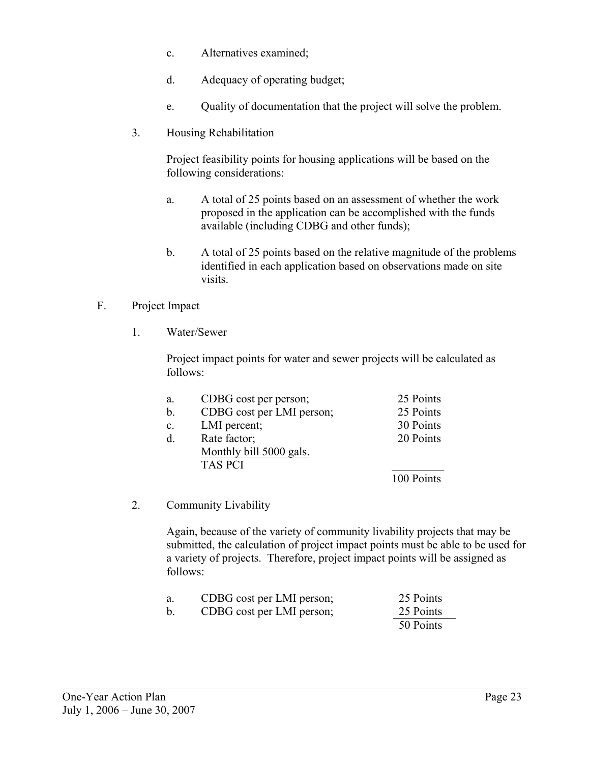- c. Alternatives examined;
- d. Adequacy of operating budget;
- e. Quality of documentation that the project will solve the problem.
- 3. Housing Rehabilitation

Project feasibility points for housing applications will be based on the following considerations:

- a. A total of 25 points based on an assessment of whether the work proposed in the application can be accomplished with the funds available (including CDBG and other funds);
- b. A total of 25 points based on the relative magnitude of the problems identified in each application based on observations made on site visits.

# F. Project Impact

1. Water/Sewer

Project impact points for water and sewer projects will be calculated as follows:

| a.        | CDBG cost per person;     | 25 Points  |
|-----------|---------------------------|------------|
| $b$       | CDBG cost per LMI person; | 25 Points  |
| c.        | LMI percent;              | 30 Points  |
| $\rm d$ . | Rate factor;              | 20 Points  |
|           | Monthly bill 5000 gals.   |            |
|           | <b>TAS PCI</b>            |            |
|           |                           | 100 Points |

2. Community Livability

Again, because of the variety of community livability projects that may be submitted, the calculation of project impact points must be able to be used for a variety of projects. Therefore, project impact points will be assigned as follows:

| a.            | CDBG cost per LMI person; | 25 Points |
|---------------|---------------------------|-----------|
| $\mathbf b$ . | CDBG cost per LMI person; | 25 Points |
|               |                           | 50 Points |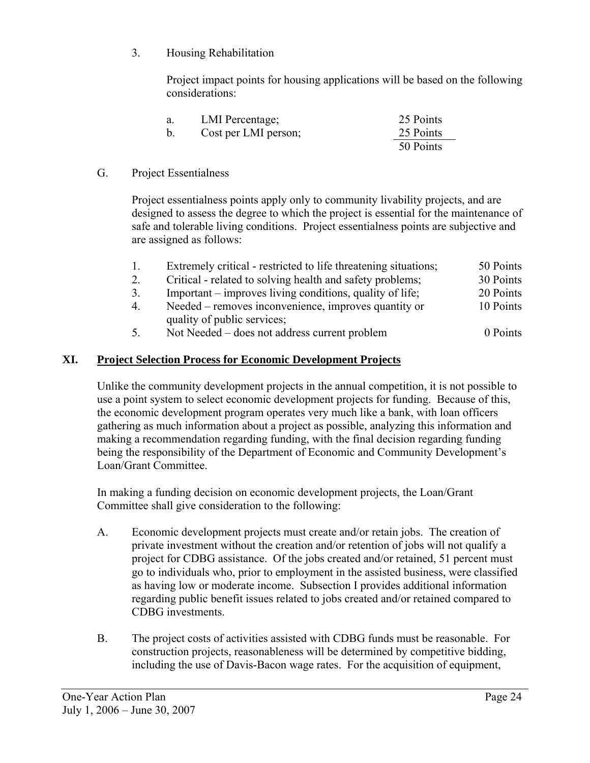3. Housing Rehabilitation

Project impact points for housing applications will be based on the following considerations:

| а.                   | LMI Percentage; | 25 Points |
|----------------------|-----------------|-----------|
| Cost per LMI person; |                 | 25 Points |
|                      |                 | 50 Points |

#### G. Project Essentialness

Project essentialness points apply only to community livability projects, and are designed to assess the degree to which the project is essential for the maintenance of safe and tolerable living conditions. Project essentialness points are subjective and are assigned as follows:

| $\mathbf{1}$   | Extremely critical - restricted to life threatening situations; | 50 Points |
|----------------|-----------------------------------------------------------------|-----------|
| 2.             | Critical - related to solving health and safety problems;       | 30 Points |
| 3.             | Important – improves living conditions, quality of life;        | 20 Points |
| $\overline{4}$ | Needed – removes inconvenience, improves quantity or            | 10 Points |
|                | quality of public services;                                     |           |

5. Not Needed – does not address current problem 0 Points

## **XI. Project Selection Process for Economic Development Projects**

Unlike the community development projects in the annual competition, it is not possible to use a point system to select economic development projects for funding. Because of this, the economic development program operates very much like a bank, with loan officers gathering as much information about a project as possible, analyzing this information and making a recommendation regarding funding, with the final decision regarding funding being the responsibility of the Department of Economic and Community Development's Loan/Grant Committee.

In making a funding decision on economic development projects, the Loan/Grant Committee shall give consideration to the following:

- A. Economic development projects must create and/or retain jobs. The creation of private investment without the creation and/or retention of jobs will not qualify a project for CDBG assistance. Of the jobs created and/or retained, 51 percent must go to individuals who, prior to employment in the assisted business, were classified as having low or moderate income. Subsection I provides additional information regarding public benefit issues related to jobs created and/or retained compared to CDBG investments.
- B. The project costs of activities assisted with CDBG funds must be reasonable. For construction projects, reasonableness will be determined by competitive bidding, including the use of Davis-Bacon wage rates. For the acquisition of equipment,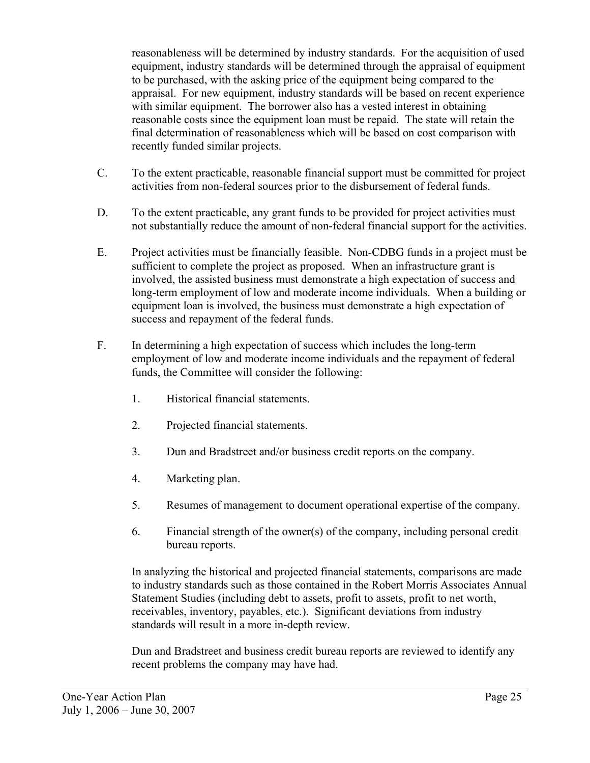reasonableness will be determined by industry standards. For the acquisition of used equipment, industry standards will be determined through the appraisal of equipment to be purchased, with the asking price of the equipment being compared to the appraisal. For new equipment, industry standards will be based on recent experience with similar equipment. The borrower also has a vested interest in obtaining reasonable costs since the equipment loan must be repaid. The state will retain the final determination of reasonableness which will be based on cost comparison with recently funded similar projects.

- C. To the extent practicable, reasonable financial support must be committed for project activities from non-federal sources prior to the disbursement of federal funds.
- D. To the extent practicable, any grant funds to be provided for project activities must not substantially reduce the amount of non-federal financial support for the activities.
- E. Project activities must be financially feasible. Non-CDBG funds in a project must be sufficient to complete the project as proposed. When an infrastructure grant is involved, the assisted business must demonstrate a high expectation of success and long-term employment of low and moderate income individuals. When a building or equipment loan is involved, the business must demonstrate a high expectation of success and repayment of the federal funds.
- F. In determining a high expectation of success which includes the long-term employment of low and moderate income individuals and the repayment of federal funds, the Committee will consider the following:
	- 1. Historical financial statements.
	- 2. Projected financial statements.
	- 3. Dun and Bradstreet and/or business credit reports on the company.
	- 4. Marketing plan.
	- 5. Resumes of management to document operational expertise of the company.
	- 6. Financial strength of the owner(s) of the company, including personal credit bureau reports.

 In analyzing the historical and projected financial statements, comparisons are made to industry standards such as those contained in the Robert Morris Associates Annual Statement Studies (including debt to assets, profit to assets, profit to net worth, receivables, inventory, payables, etc.). Significant deviations from industry standards will result in a more in-depth review.

 Dun and Bradstreet and business credit bureau reports are reviewed to identify any recent problems the company may have had.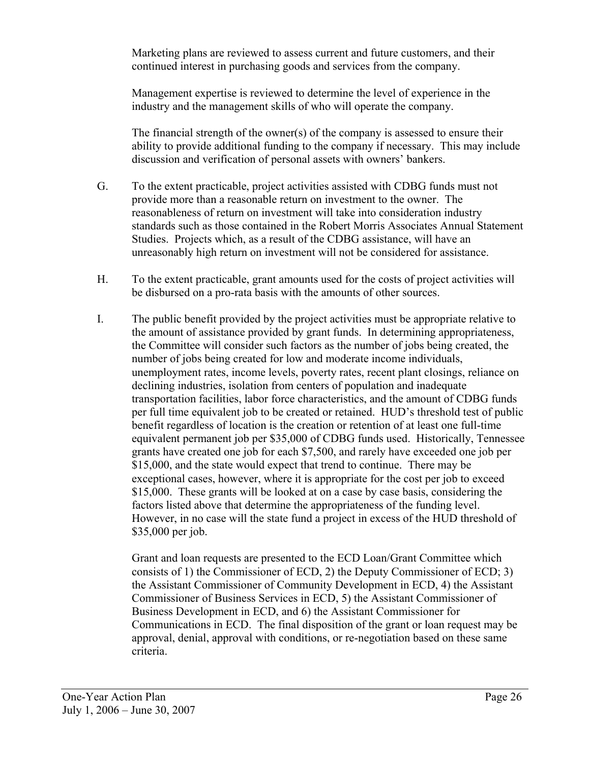Marketing plans are reviewed to assess current and future customers, and their continued interest in purchasing goods and services from the company.

 Management expertise is reviewed to determine the level of experience in the industry and the management skills of who will operate the company.

 The financial strength of the owner(s) of the company is assessed to ensure their ability to provide additional funding to the company if necessary. This may include discussion and verification of personal assets with owners' bankers.

- G. To the extent practicable, project activities assisted with CDBG funds must not provide more than a reasonable return on investment to the owner. The reasonableness of return on investment will take into consideration industry standards such as those contained in the Robert Morris Associates Annual Statement Studies. Projects which, as a result of the CDBG assistance, will have an unreasonably high return on investment will not be considered for assistance.
- H. To the extent practicable, grant amounts used for the costs of project activities will be disbursed on a pro-rata basis with the amounts of other sources.
- I. The public benefit provided by the project activities must be appropriate relative to the amount of assistance provided by grant funds. In determining appropriateness, the Committee will consider such factors as the number of jobs being created, the number of jobs being created for low and moderate income individuals, unemployment rates, income levels, poverty rates, recent plant closings, reliance on declining industries, isolation from centers of population and inadequate transportation facilities, labor force characteristics, and the amount of CDBG funds per full time equivalent job to be created or retained. HUD's threshold test of public benefit regardless of location is the creation or retention of at least one full-time equivalent permanent job per \$35,000 of CDBG funds used. Historically, Tennessee grants have created one job for each \$7,500, and rarely have exceeded one job per \$15,000, and the state would expect that trend to continue. There may be exceptional cases, however, where it is appropriate for the cost per job to exceed \$15,000. These grants will be looked at on a case by case basis, considering the factors listed above that determine the appropriateness of the funding level. However, in no case will the state fund a project in excess of the HUD threshold of \$35,000 per job.

 Grant and loan requests are presented to the ECD Loan/Grant Committee which consists of 1) the Commissioner of ECD, 2) the Deputy Commissioner of ECD; 3) the Assistant Commissioner of Community Development in ECD, 4) the Assistant Commissioner of Business Services in ECD, 5) the Assistant Commissioner of Business Development in ECD, and 6) the Assistant Commissioner for Communications in ECD. The final disposition of the grant or loan request may be approval, denial, approval with conditions, or re-negotiation based on these same criteria.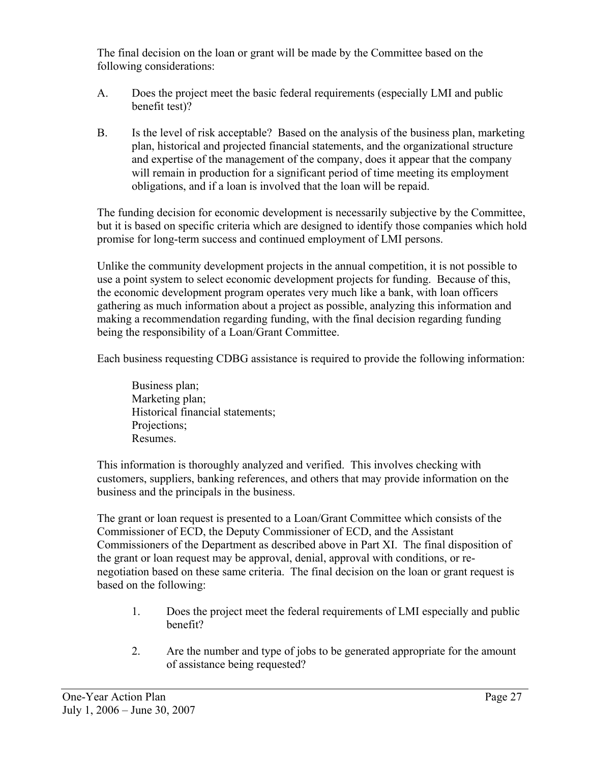The final decision on the loan or grant will be made by the Committee based on the following considerations:

- A. Does the project meet the basic federal requirements (especially LMI and public benefit test)?
- B. Is the level of risk acceptable? Based on the analysis of the business plan, marketing plan, historical and projected financial statements, and the organizational structure and expertise of the management of the company, does it appear that the company will remain in production for a significant period of time meeting its employment obligations, and if a loan is involved that the loan will be repaid.

The funding decision for economic development is necessarily subjective by the Committee, but it is based on specific criteria which are designed to identify those companies which hold promise for long-term success and continued employment of LMI persons.

Unlike the community development projects in the annual competition, it is not possible to use a point system to select economic development projects for funding. Because of this, the economic development program operates very much like a bank, with loan officers gathering as much information about a project as possible, analyzing this information and making a recommendation regarding funding, with the final decision regarding funding being the responsibility of a Loan/Grant Committee.

Each business requesting CDBG assistance is required to provide the following information:

Business plan; Marketing plan: Historical financial statements; Projections; Resumes.

This information is thoroughly analyzed and verified. This involves checking with customers, suppliers, banking references, and others that may provide information on the business and the principals in the business.

The grant or loan request is presented to a Loan/Grant Committee which consists of the Commissioner of ECD, the Deputy Commissioner of ECD, and the Assistant Commissioners of the Department as described above in Part XI. The final disposition of the grant or loan request may be approval, denial, approval with conditions, or renegotiation based on these same criteria. The final decision on the loan or grant request is based on the following:

- 1. Does the project meet the federal requirements of LMI especially and public benefit?
- 2. Are the number and type of jobs to be generated appropriate for the amount of assistance being requested?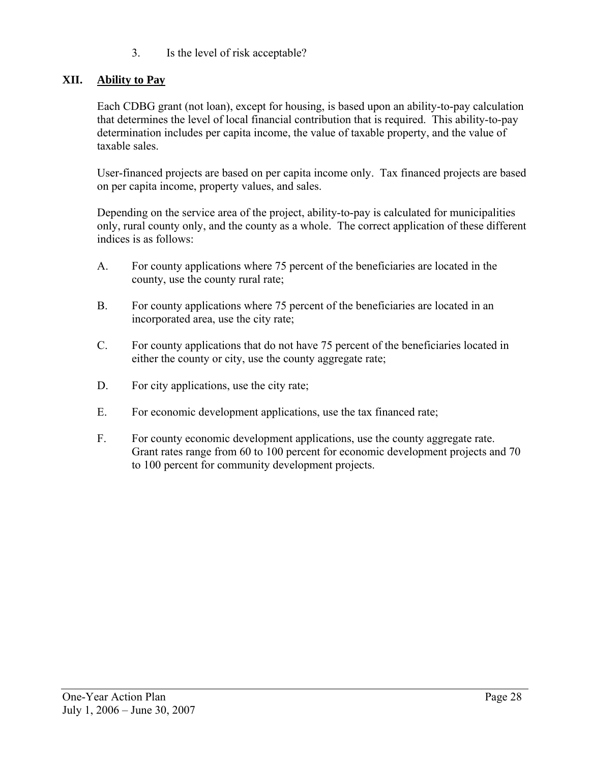3. Is the level of risk acceptable?

# **XII. Ability to Pay**

Each CDBG grant (not loan), except for housing, is based upon an ability-to-pay calculation that determines the level of local financial contribution that is required. This ability-to-pay determination includes per capita income, the value of taxable property, and the value of taxable sales.

User-financed projects are based on per capita income only. Tax financed projects are based on per capita income, property values, and sales.

Depending on the service area of the project, ability-to-pay is calculated for municipalities only, rural county only, and the county as a whole. The correct application of these different indices is as follows:

- A. For county applications where 75 percent of the beneficiaries are located in the county, use the county rural rate;
- B. For county applications where 75 percent of the beneficiaries are located in an incorporated area, use the city rate;
- C. For county applications that do not have 75 percent of the beneficiaries located in either the county or city, use the county aggregate rate;
- D. For city applications, use the city rate;
- E. For economic development applications, use the tax financed rate;
- F. For county economic development applications, use the county aggregate rate. Grant rates range from 60 to 100 percent for economic development projects and 70 to 100 percent for community development projects.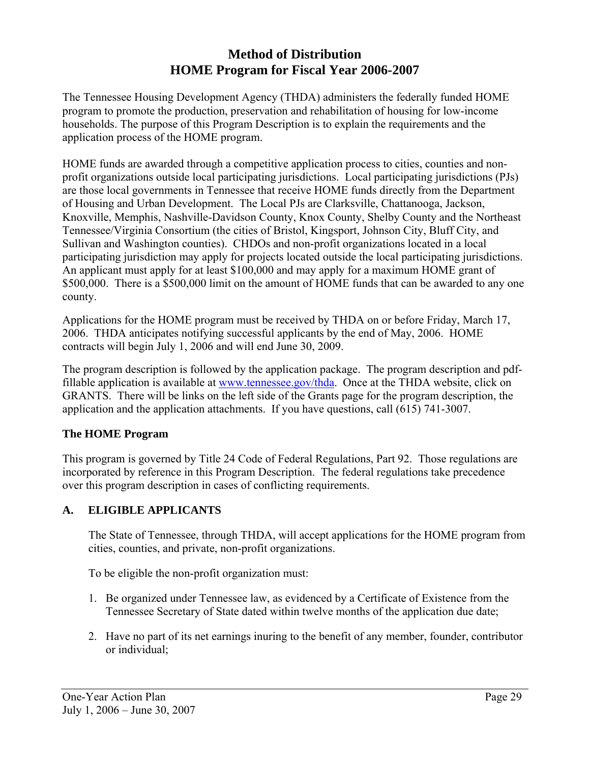# **Method of Distribution HOME Program for Fiscal Year 2006-2007**

The Tennessee Housing Development Agency (THDA) administers the federally funded HOME program to promote the production, preservation and rehabilitation of housing for low-income households. The purpose of this Program Description is to explain the requirements and the application process of the HOME program.

HOME funds are awarded through a competitive application process to cities, counties and nonprofit organizations outside local participating jurisdictions. Local participating jurisdictions (PJs) are those local governments in Tennessee that receive HOME funds directly from the Department of Housing and Urban Development. The Local PJs are Clarksville, Chattanooga, Jackson, Knoxville, Memphis, Nashville-Davidson County, Knox County, Shelby County and the Northeast Tennessee/Virginia Consortium (the cities of Bristol, Kingsport, Johnson City, Bluff City, and Sullivan and Washington counties). CHDOs and non-profit organizations located in a local participating jurisdiction may apply for projects located outside the local participating jurisdictions. An applicant must apply for at least \$100,000 and may apply for a maximum HOME grant of \$500,000. There is a \$500,000 limit on the amount of HOME funds that can be awarded to any one county.

Applications for the HOME program must be received by THDA on or before Friday, March 17, 2006. THDA anticipates notifying successful applicants by the end of May, 2006. HOME contracts will begin July 1, 2006 and will end June 30, 2009.

The program description is followed by the application package. The program description and pdffillable application is available at [www.tennessee.gov/thda](http://www.state.tn.us/thda). Once at the THDA website, click on GRANTS. There will be links on the left side of the Grants page for the program description, the application and the application attachments. If you have questions, call (615) 741-3007.

#### **The HOME Program**

This program is governed by Title 24 Code of Federal Regulations, Part 92. Those regulations are incorporated by reference in this Program Description. The federal regulations take precedence over this program description in cases of conflicting requirements.

#### **A. ELIGIBLE APPLICANTS**

The State of Tennessee, through THDA, will accept applications for the HOME program from cities, counties, and private, non-profit organizations.

To be eligible the non-profit organization must:

- 1. Be organized under Tennessee law, as evidenced by a Certificate of Existence from the Tennessee Secretary of State dated within twelve months of the application due date;
- 2. Have no part of its net earnings inuring to the benefit of any member, founder, contributor or individual;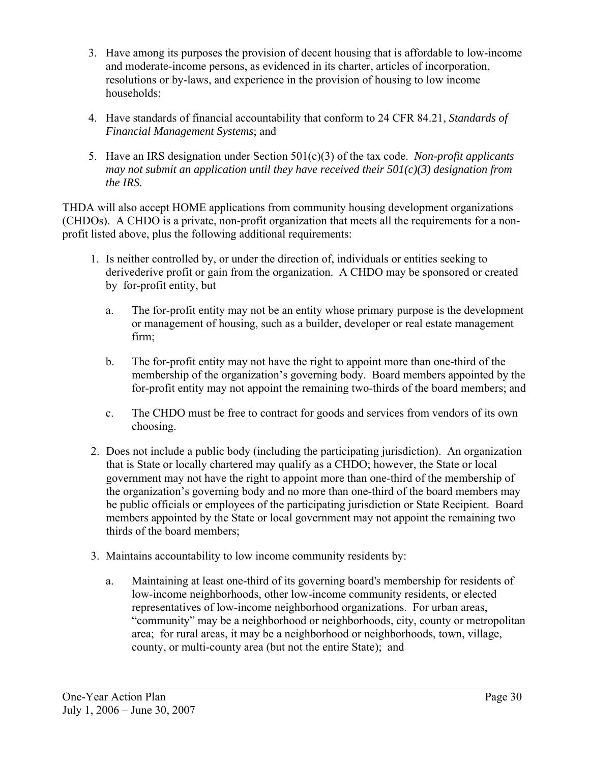- 3. Have among its purposes the provision of decent housing that is affordable to low-income and moderate-income persons, as evidenced in its charter, articles of incorporation, resolutions or by-laws, and experience in the provision of housing to low income households;
- 4. Have standards of financial accountability that conform to 24 CFR 84.21, *Standards of Financial Management Systems*; and
- 5. Have an IRS designation under Section 501(c)(3) of the tax code. *Non-profit applicants may not submit an application until they have received their 501(c)(3) designation from the IRS.*

THDA will also accept HOME applications from community housing development organizations (CHDOs). A CHDO is a private, non-profit organization that meets all the requirements for a nonprofit listed above, plus the following additional requirements:

- 1. Is neither controlled by, or under the direction of, individuals or entities seeking to derivederive profit or gain from the organization. A CHDO may be sponsored or created by for-profit entity, but
	- a. The for-profit entity may not be an entity whose primary purpose is the development or management of housing, such as a builder, developer or real estate management firm;
	- b. The for-profit entity may not have the right to appoint more than one-third of the membership of the organization's governing body. Board members appointed by the for-profit entity may not appoint the remaining two-thirds of the board members; and
	- c. The CHDO must be free to contract for goods and services from vendors of its own choosing.
- 2. Does not include a public body (including the participating jurisdiction). An organization that is State or locally chartered may qualify as a CHDO; however, the State or local government may not have the right to appoint more than one-third of the membership of the organization's governing body and no more than one-third of the board members may be public officials or employees of the participating jurisdiction or State Recipient. Board members appointed by the State or local government may not appoint the remaining two thirds of the board members;
- 3. Maintains accountability to low income community residents by:
	- a. Maintaining at least one-third of its governing board's membership for residents of low-income neighborhoods, other low-income community residents, or elected representatives of low-income neighborhood organizations. For urban areas, "community" may be a neighborhood or neighborhoods, city, county or metropolitan area; for rural areas, it may be a neighborhood or neighborhoods, town, village, county, or multi-county area (but not the entire State); and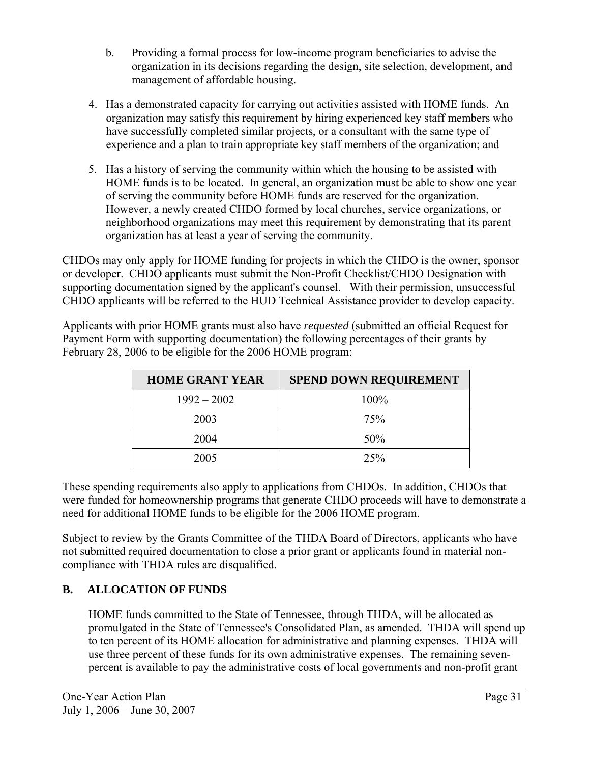- b. Providing a formal process for low-income program beneficiaries to advise the organization in its decisions regarding the design, site selection, development, and management of affordable housing.
- 4. Has a demonstrated capacity for carrying out activities assisted with HOME funds. An organization may satisfy this requirement by hiring experienced key staff members who have successfully completed similar projects, or a consultant with the same type of experience and a plan to train appropriate key staff members of the organization; and
- 5. Has a history of serving the community within which the housing to be assisted with HOME funds is to be located. In general, an organization must be able to show one year of serving the community before HOME funds are reserved for the organization. However, a newly created CHDO formed by local churches, service organizations, or neighborhood organizations may meet this requirement by demonstrating that its parent organization has at least a year of serving the community.

CHDOs may only apply for HOME funding for projects in which the CHDO is the owner, sponsor or developer. CHDO applicants must submit the Non-Profit Checklist/CHDO Designation with supporting documentation signed by the applicant's counsel. With their permission, unsuccessful CHDO applicants will be referred to the HUD Technical Assistance provider to develop capacity.

Applicants with prior HOME grants must also have *requested* (submitted an official Request for Payment Form with supporting documentation) the following percentages of their grants by February 28, 2006 to be eligible for the 2006 HOME program:

| <b>HOME GRANT YEAR</b> | <b>SPEND DOWN REQUIREMENT</b> |
|------------------------|-------------------------------|
| $1992 - 2002$          | $100\%$                       |
| 2003                   | 75%                           |
| 2004                   | 50%                           |
| 2005                   | 25%                           |

These spending requirements also apply to applications from CHDOs. In addition, CHDOs that were funded for homeownership programs that generate CHDO proceeds will have to demonstrate a need for additional HOME funds to be eligible for the 2006 HOME program.

Subject to review by the Grants Committee of the THDA Board of Directors, applicants who have not submitted required documentation to close a prior grant or applicants found in material noncompliance with THDA rules are disqualified.

# **B. ALLOCATION OF FUNDS**

HOME funds committed to the State of Tennessee, through THDA, will be allocated as promulgated in the State of Tennessee's Consolidated Plan, as amended. THDA will spend up to ten percent of its HOME allocation for administrative and planning expenses. THDA will use three percent of these funds for its own administrative expenses. The remaining sevenpercent is available to pay the administrative costs of local governments and non-profit grant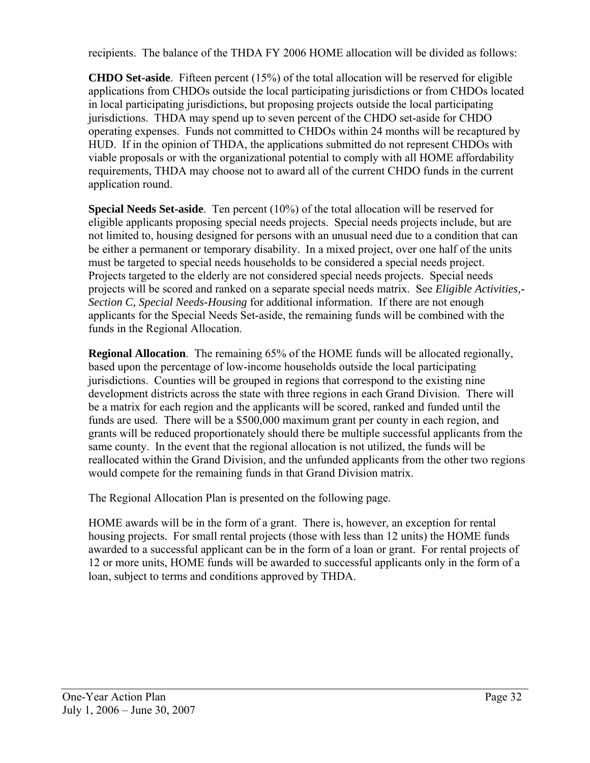recipients. The balance of the THDA FY 2006 HOME allocation will be divided as follows:

**CHDO Set-aside**. Fifteen percent (15%) of the total allocation will be reserved for eligible applications from CHDOs outside the local participating jurisdictions or from CHDOs located in local participating jurisdictions, but proposing projects outside the local participating jurisdictions. THDA may spend up to seven percent of the CHDO set-aside for CHDO operating expenses. Funds not committed to CHDOs within 24 months will be recaptured by HUD. If in the opinion of THDA, the applications submitted do not represent CHDOs with viable proposals or with the organizational potential to comply with all HOME affordability requirements, THDA may choose not to award all of the current CHDO funds in the current application round.

**Special Needs Set-aside**. Ten percent (10%) of the total allocation will be reserved for eligible applicants proposing special needs projects. Special needs projects include, but are not limited to, housing designed for persons with an unusual need due to a condition that can be either a permanent or temporary disability. In a mixed project, over one half of the units must be targeted to special needs households to be considered a special needs project. Projects targeted to the elderly are not considered special needs projects. Special needs projects will be scored and ranked on a separate special needs matrix. See *Eligible Activities,- Section C, Special Needs-Housing* for additional information. If there are not enough applicants for the Special Needs Set-aside, the remaining funds will be combined with the funds in the Regional Allocation.

**Regional Allocation**. The remaining 65% of the HOME funds will be allocated regionally, based upon the percentage of low-income households outside the local participating jurisdictions. Counties will be grouped in regions that correspond to the existing nine development districts across the state with three regions in each Grand Division. There will be a matrix for each region and the applicants will be scored, ranked and funded until the funds are used. There will be a \$500,000 maximum grant per county in each region, and grants will be reduced proportionately should there be multiple successful applicants from the same county. In the event that the regional allocation is not utilized, the funds will be reallocated within the Grand Division, and the unfunded applicants from the other two regions would compete for the remaining funds in that Grand Division matrix.

The Regional Allocation Plan is presented on the following page.

HOME awards will be in the form of a grant. There is, however, an exception for rental housing projects. For small rental projects (those with less than 12 units) the HOME funds awarded to a successful applicant can be in the form of a loan or grant. For rental projects of 12 or more units, HOME funds will be awarded to successful applicants only in the form of a loan, subject to terms and conditions approved by THDA.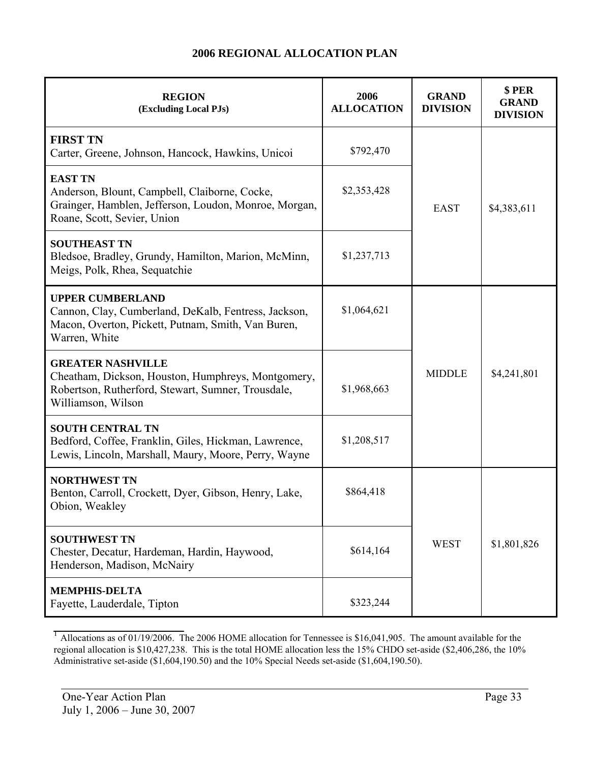#### **2006 REGIONAL ALLOCATION PLAN**

| <b>REGION</b><br>(Excluding Local PJs)                                                                                                                                                     | 2006<br><b>ALLOCATION</b> | <b>GRAND</b><br><b>DIVISION</b> | \$PER<br><b>GRAND</b><br><b>DIVISION</b> |  |
|--------------------------------------------------------------------------------------------------------------------------------------------------------------------------------------------|---------------------------|---------------------------------|------------------------------------------|--|
| <b>FIRST TN</b><br>Carter, Greene, Johnson, Hancock, Hawkins, Unicoi                                                                                                                       | \$792,470                 |                                 | \$4,383,611                              |  |
| <b>EAST TN</b><br>Anderson, Blount, Campbell, Claiborne, Cocke,<br>Grainger, Hamblen, Jefferson, Loudon, Monroe, Morgan,<br>Roane, Scott, Sevier, Union                                    | \$2,353,428               | <b>EAST</b>                     |                                          |  |
| <b>SOUTHEAST TN</b><br>Bledsoe, Bradley, Grundy, Hamilton, Marion, McMinn,<br>Meigs, Polk, Rhea, Sequatchie                                                                                | \$1,237,713               |                                 |                                          |  |
| <b>UPPER CUMBERLAND</b><br>Cannon, Clay, Cumberland, DeKalb, Fentress, Jackson,<br>Macon, Overton, Pickett, Putnam, Smith, Van Buren,<br>Warren, White                                     | \$1,064,621               |                                 |                                          |  |
| <b>GREATER NASHVILLE</b><br><b>MIDDLE</b><br>Cheatham, Dickson, Houston, Humphreys, Montgomery,<br>Robertson, Rutherford, Stewart, Sumner, Trousdale,<br>\$1,968,663<br>Williamson, Wilson |                           |                                 | \$4,241,801                              |  |
| <b>SOUTH CENTRAL TN</b><br>Bedford, Coffee, Franklin, Giles, Hickman, Lawrence,<br>Lewis, Lincoln, Marshall, Maury, Moore, Perry, Wayne                                                    | \$1,208,517               |                                 |                                          |  |
| <b>NORTHWEST TN</b><br>Benton, Carroll, Crockett, Dyer, Gibson, Henry, Lake,<br>Obion, Weakley                                                                                             | \$864,418                 |                                 |                                          |  |
| <b>SOUTHWEST TN</b><br>Chester, Decatur, Hardeman, Hardin, Haywood,<br>Henderson, Madison, McNairy                                                                                         | \$614,164                 | <b>WEST</b>                     | \$1,801,826                              |  |
| <b>MEMPHIS-DELTA</b><br>Fayette, Lauderdale, Tipton                                                                                                                                        | \$323,244                 |                                 |                                          |  |

<sup>1</sup> Allocations as of 01/19/2006. The 2006 HOME allocation for Tennessee is \$16,041,905. The amount available for the regional allocation is \$10,427,238. This is the total HOME allocation less the 15% CHDO set-aside (\$2,406,286, the 10% Administrative set-aside (\$1,604,190.50) and the 10% Special Needs set-aside (\$1,604,190.50).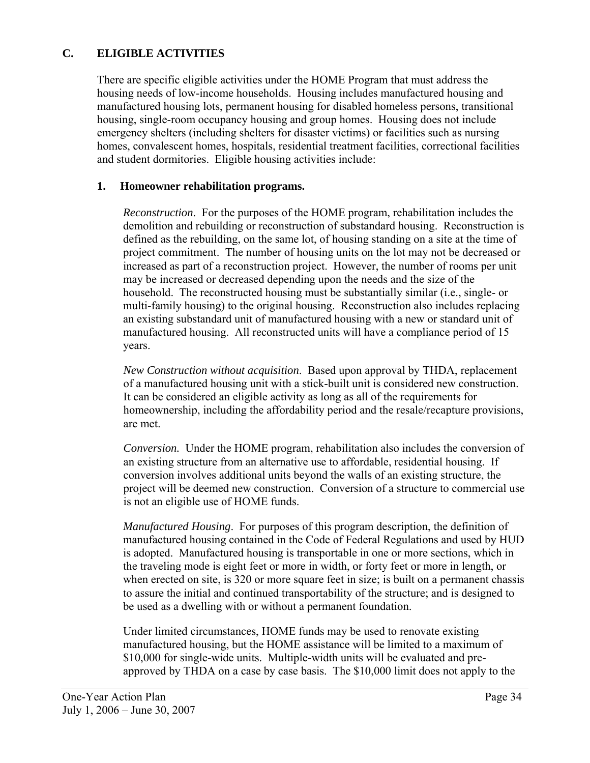# **C. ELIGIBLE ACTIVITIES**

There are specific eligible activities under the HOME Program that must address the housing needs of low-income households. Housing includes manufactured housing and manufactured housing lots, permanent housing for disabled homeless persons, transitional housing, single-room occupancy housing and group homes. Housing does not include emergency shelters (including shelters for disaster victims) or facilities such as nursing homes, convalescent homes, hospitals, residential treatment facilities, correctional facilities and student dormitories. Eligible housing activities include:

#### **1. Homeowner rehabilitation programs.**

*Reconstruction*. For the purposes of the HOME program, rehabilitation includes the demolition and rebuilding or reconstruction of substandard housing. Reconstruction is defined as the rebuilding, on the same lot, of housing standing on a site at the time of project commitment. The number of housing units on the lot may not be decreased or increased as part of a reconstruction project. However, the number of rooms per unit may be increased or decreased depending upon the needs and the size of the household. The reconstructed housing must be substantially similar (i.e., single- or multi-family housing) to the original housing. Reconstruction also includes replacing an existing substandard unit of manufactured housing with a new or standard unit of manufactured housing. All reconstructed units will have a compliance period of 15 years.

*New Construction without acquisition*. Based upon approval by THDA, replacement of a manufactured housing unit with a stick-built unit is considered new construction. It can be considered an eligible activity as long as all of the requirements for homeownership, including the affordability period and the resale/recapture provisions, are met.

*Conversion.* Under the HOME program, rehabilitation also includes the conversion of an existing structure from an alternative use to affordable, residential housing. If conversion involves additional units beyond the walls of an existing structure, the project will be deemed new construction. Conversion of a structure to commercial use is not an eligible use of HOME funds.

*Manufactured Housing*. For purposes of this program description, the definition of manufactured housing contained in the Code of Federal Regulations and used by HUD is adopted. Manufactured housing is transportable in one or more sections, which in the traveling mode is eight feet or more in width, or forty feet or more in length, or when erected on site, is 320 or more square feet in size; is built on a permanent chassis to assure the initial and continued transportability of the structure; and is designed to be used as a dwelling with or without a permanent foundation.

Under limited circumstances, HOME funds may be used to renovate existing manufactured housing, but the HOME assistance will be limited to a maximum of \$10,000 for single-wide units. Multiple-width units will be evaluated and preapproved by THDA on a case by case basis. The \$10,000 limit does not apply to the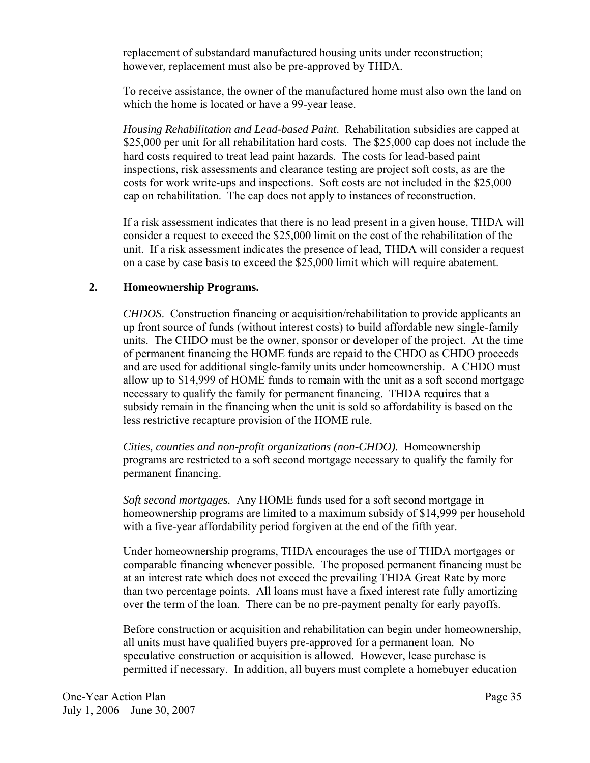replacement of substandard manufactured housing units under reconstruction; however, replacement must also be pre-approved by THDA.

To receive assistance, the owner of the manufactured home must also own the land on which the home is located or have a 99-year lease.

 *Housing Rehabilitation and Lead-based Paint*. Rehabilitation subsidies are capped at \$25,000 per unit for all rehabilitation hard costs. The \$25,000 cap does not include the hard costs required to treat lead paint hazards. The costs for lead-based paint inspections, risk assessments and clearance testing are project soft costs, as are the costs for work write-ups and inspections. Soft costs are not included in the \$25,000 cap on rehabilitation. The cap does not apply to instances of reconstruction.

If a risk assessment indicates that there is no lead present in a given house, THDA will consider a request to exceed the \$25,000 limit on the cost of the rehabilitation of the unit. If a risk assessment indicates the presence of lead, THDA will consider a request on a case by case basis to exceed the \$25,000 limit which will require abatement.

### **2. Homeownership Programs.**

*CHDOS*. Construction financing or acquisition/rehabilitation to provide applicants an up front source of funds (without interest costs) to build affordable new single-family units. The CHDO must be the owner, sponsor or developer of the project. At the time of permanent financing the HOME funds are repaid to the CHDO as CHDO proceeds and are used for additional single-family units under homeownership. A CHDO must allow up to \$14,999 of HOME funds to remain with the unit as a soft second mortgage necessary to qualify the family for permanent financing. THDA requires that a subsidy remain in the financing when the unit is sold so affordability is based on the less restrictive recapture provision of the HOME rule.

 *Cities, counties and non-profit organizations (non-CHDO).* Homeownership programs are restricted to a soft second mortgage necessary to qualify the family for permanent financing.

*Soft second mortgages.* Any HOME funds used for a soft second mortgage in homeownership programs are limited to a maximum subsidy of \$14,999 per household with a five-year affordability period forgiven at the end of the fifth year.

Under homeownership programs, THDA encourages the use of THDA mortgages or comparable financing whenever possible. The proposed permanent financing must be at an interest rate which does not exceed the prevailing THDA Great Rate by more than two percentage points. All loans must have a fixed interest rate fully amortizing over the term of the loan. There can be no pre-payment penalty for early payoffs.

Before construction or acquisition and rehabilitation can begin under homeownership, all units must have qualified buyers pre-approved for a permanent loan. No speculative construction or acquisition is allowed. However, lease purchase is permitted if necessary. In addition, all buyers must complete a homebuyer education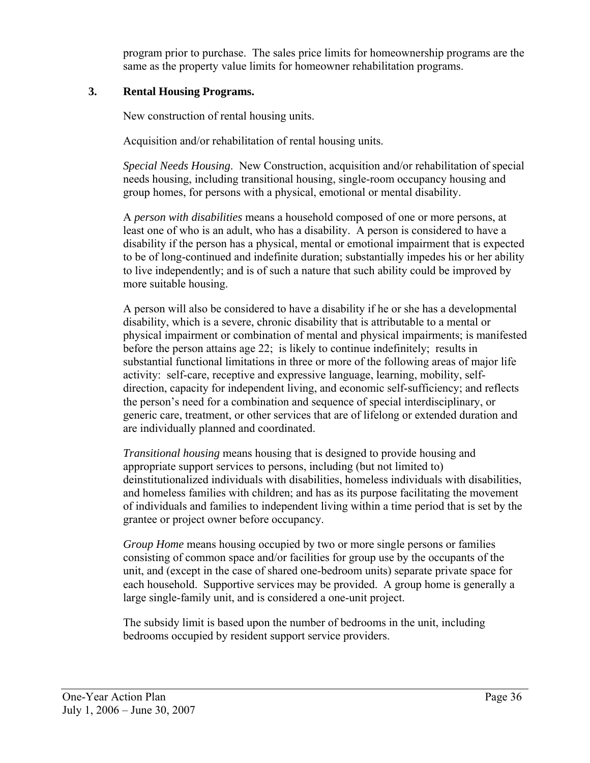program prior to purchase. The sales price limits for homeownership programs are the same as the property value limits for homeowner rehabilitation programs.

### **3. Rental Housing Programs.**

New construction of rental housing units.

Acquisition and/or rehabilitation of rental housing units.

*Special Needs Housing*. New Construction, acquisition and/or rehabilitation of special needs housing, including transitional housing, single-room occupancy housing and group homes, for persons with a physical, emotional or mental disability.

A *person with disabilities* means a household composed of one or more persons, at least one of who is an adult, who has a disability. A person is considered to have a disability if the person has a physical, mental or emotional impairment that is expected to be of long-continued and indefinite duration; substantially impedes his or her ability to live independently; and is of such a nature that such ability could be improved by more suitable housing.

A person will also be considered to have a disability if he or she has a developmental disability, which is a severe, chronic disability that is attributable to a mental or physical impairment or combination of mental and physical impairments; is manifested before the person attains age 22; is likely to continue indefinitely; results in substantial functional limitations in three or more of the following areas of major life activity: self-care, receptive and expressive language, learning, mobility, selfdirection, capacity for independent living, and economic self-sufficiency; and reflects the person's need for a combination and sequence of special interdisciplinary, or generic care, treatment, or other services that are of lifelong or extended duration and are individually planned and coordinated.

*Transitional housing* means housing that is designed to provide housing and appropriate support services to persons, including (but not limited to) deinstitutionalized individuals with disabilities, homeless individuals with disabilities, and homeless families with children; and has as its purpose facilitating the movement of individuals and families to independent living within a time period that is set by the grantee or project owner before occupancy.

*Group Home* means housing occupied by two or more single persons or families consisting of common space and/or facilities for group use by the occupants of the unit, and (except in the case of shared one-bedroom units) separate private space for each household. Supportive services may be provided. A group home is generally a large single-family unit, and is considered a one-unit project.

The subsidy limit is based upon the number of bedrooms in the unit, including bedrooms occupied by resident support service providers.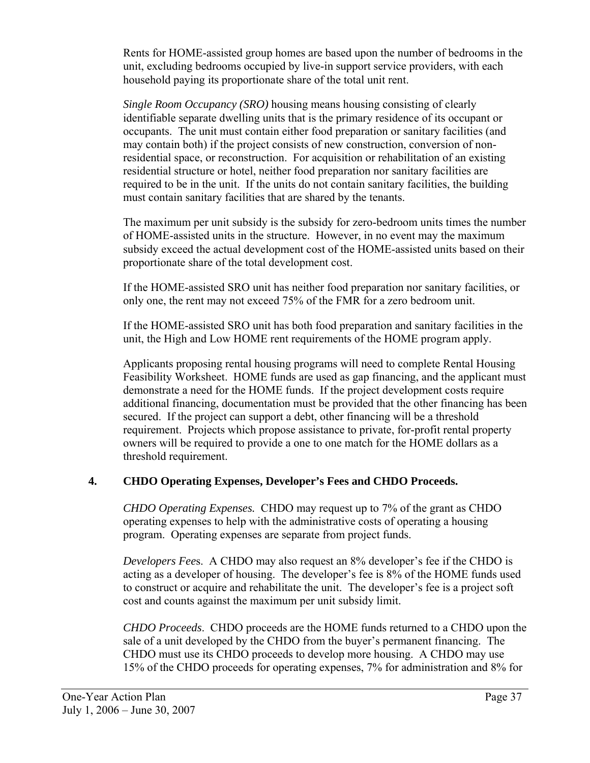Rents for HOME-assisted group homes are based upon the number of bedrooms in the unit, excluding bedrooms occupied by live-in support service providers, with each household paying its proportionate share of the total unit rent.

*Single Room Occupancy (SRO)* housing means housing consisting of clearly identifiable separate dwelling units that is the primary residence of its occupant or occupants. The unit must contain either food preparation or sanitary facilities (and may contain both) if the project consists of new construction, conversion of nonresidential space, or reconstruction. For acquisition or rehabilitation of an existing residential structure or hotel, neither food preparation nor sanitary facilities are required to be in the unit. If the units do not contain sanitary facilities, the building must contain sanitary facilities that are shared by the tenants.

The maximum per unit subsidy is the subsidy for zero-bedroom units times the number of HOME-assisted units in the structure. However, in no event may the maximum subsidy exceed the actual development cost of the HOME-assisted units based on their proportionate share of the total development cost.

If the HOME-assisted SRO unit has neither food preparation nor sanitary facilities, or only one, the rent may not exceed 75% of the FMR for a zero bedroom unit.

If the HOME-assisted SRO unit has both food preparation and sanitary facilities in the unit, the High and Low HOME rent requirements of the HOME program apply.

Applicants proposing rental housing programs will need to complete Rental Housing Feasibility Worksheet. HOME funds are used as gap financing, and the applicant must demonstrate a need for the HOME funds. If the project development costs require additional financing, documentation must be provided that the other financing has been secured. If the project can support a debt, other financing will be a threshold requirement. Projects which propose assistance to private, for-profit rental property owners will be required to provide a one to one match for the HOME dollars as a threshold requirement.

## **4. CHDO Operating Expenses, Developer's Fees and CHDO Proceeds.**

*CHDO Operating Expenses.* CHDO may request up to 7% of the grant as CHDO operating expenses to help with the administrative costs of operating a housing program. Operating expenses are separate from project funds.

*Developers Fee*s. A CHDO may also request an 8% developer's fee if the CHDO is acting as a developer of housing. The developer's fee is 8% of the HOME funds used to construct or acquire and rehabilitate the unit. The developer's fee is a project soft cost and counts against the maximum per unit subsidy limit.

*CHDO Proceeds*. CHDO proceeds are the HOME funds returned to a CHDO upon the sale of a unit developed by the CHDO from the buyer's permanent financing. The CHDO must use its CHDO proceeds to develop more housing. A CHDO may use 15% of the CHDO proceeds for operating expenses, 7% for administration and 8% for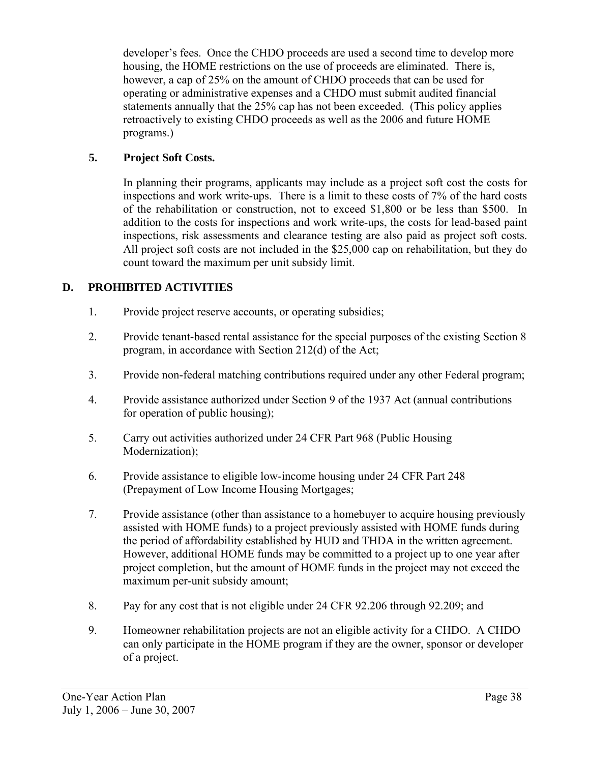developer's fees. Once the CHDO proceeds are used a second time to develop more housing, the HOME restrictions on the use of proceeds are eliminated. There is, however, a cap of 25% on the amount of CHDO proceeds that can be used for operating or administrative expenses and a CHDO must submit audited financial statements annually that the 25% cap has not been exceeded. (This policy applies retroactively to existing CHDO proceeds as well as the 2006 and future HOME programs.)

## **5. Project Soft Costs.**

In planning their programs, applicants may include as a project soft cost the costs for inspections and work write-ups. There is a limit to these costs of 7% of the hard costs of the rehabilitation or construction, not to exceed \$1,800 or be less than \$500. In addition to the costs for inspections and work write-ups, the costs for lead-based paint inspections, risk assessments and clearance testing are also paid as project soft costs. All project soft costs are not included in the \$25,000 cap on rehabilitation, but they do count toward the maximum per unit subsidy limit.

## **D. PROHIBITED ACTIVITIES**

- 1. Provide project reserve accounts, or operating subsidies;
- 2. Provide tenant-based rental assistance for the special purposes of the existing Section 8 program, in accordance with Section 212(d) of the Act;
- 3. Provide non-federal matching contributions required under any other Federal program;
- 4. Provide assistance authorized under Section 9 of the 1937 Act (annual contributions for operation of public housing);
- 5. Carry out activities authorized under 24 CFR Part 968 (Public Housing Modernization);
- 6. Provide assistance to eligible low-income housing under 24 CFR Part 248 (Prepayment of Low Income Housing Mortgages;
- 7. Provide assistance (other than assistance to a homebuyer to acquire housing previously assisted with HOME funds) to a project previously assisted with HOME funds during the period of affordability established by HUD and THDA in the written agreement. However, additional HOME funds may be committed to a project up to one year after project completion, but the amount of HOME funds in the project may not exceed the maximum per-unit subsidy amount;
- 8. Pay for any cost that is not eligible under 24 CFR 92.206 through 92.209; and
- 9. Homeowner rehabilitation projects are not an eligible activity for a CHDO. A CHDO can only participate in the HOME program if they are the owner, sponsor or developer of a project.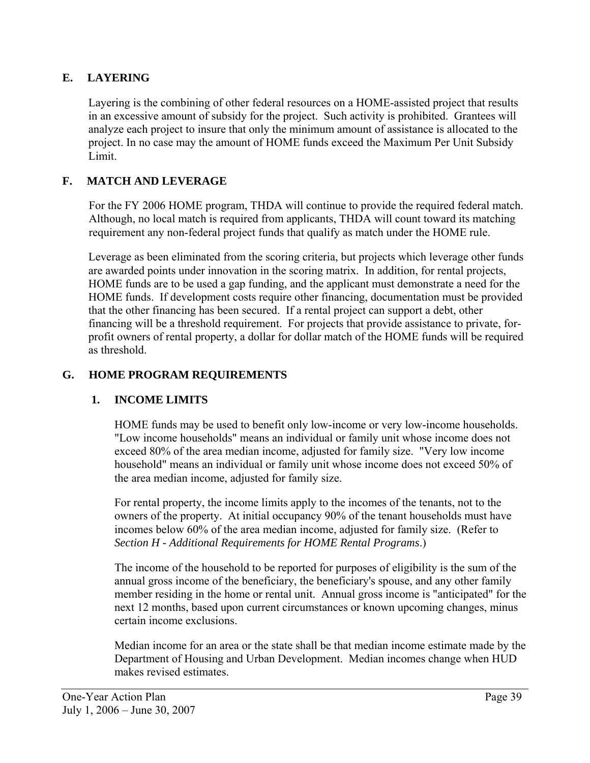# **E. LAYERING**

Layering is the combining of other federal resources on a HOME-assisted project that results in an excessive amount of subsidy for the project. Such activity is prohibited. Grantees will analyze each project to insure that only the minimum amount of assistance is allocated to the project. In no case may the amount of HOME funds exceed the Maximum Per Unit Subsidy Limit.

## **F. MATCH AND LEVERAGE**

For the FY 2006 HOME program, THDA will continue to provide the required federal match. Although, no local match is required from applicants, THDA will count toward its matching requirement any non-federal project funds that qualify as match under the HOME rule.

Leverage as been eliminated from the scoring criteria, but projects which leverage other funds are awarded points under innovation in the scoring matrix. In addition, for rental projects, HOME funds are to be used a gap funding, and the applicant must demonstrate a need for the HOME funds. If development costs require other financing, documentation must be provided that the other financing has been secured. If a rental project can support a debt, other financing will be a threshold requirement. For projects that provide assistance to private, forprofit owners of rental property, a dollar for dollar match of the HOME funds will be required as threshold.

### **G. HOME PROGRAM REQUIREMENTS**

## **1. INCOME LIMITS**

HOME funds may be used to benefit only low-income or very low-income households. "Low income households" means an individual or family unit whose income does not exceed 80% of the area median income, adjusted for family size. "Very low income household" means an individual or family unit whose income does not exceed 50% of the area median income, adjusted for family size.

For rental property, the income limits apply to the incomes of the tenants, not to the owners of the property. At initial occupancy 90% of the tenant households must have incomes below 60% of the area median income, adjusted for family size. (Refer to *Section H - Additional Requirements for HOME Rental Programs*.)

The income of the household to be reported for purposes of eligibility is the sum of the annual gross income of the beneficiary, the beneficiary's spouse, and any other family member residing in the home or rental unit. Annual gross income is "anticipated" for the next 12 months, based upon current circumstances or known upcoming changes, minus certain income exclusions.

Median income for an area or the state shall be that median income estimate made by the Department of Housing and Urban Development. Median incomes change when HUD makes revised estimates.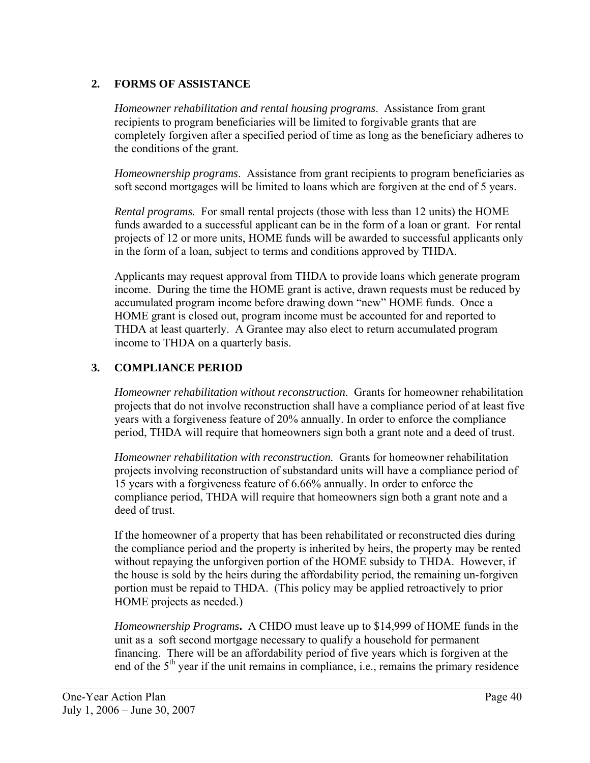## **2. FORMS OF ASSISTANCE**

*Homeowner rehabilitation and rental housing programs*. Assistance from grant recipients to program beneficiaries will be limited to forgivable grants that are completely forgiven after a specified period of time as long as the beneficiary adheres to the conditions of the grant.

*Homeownership programs*. Assistance from grant recipients to program beneficiaries as soft second mortgages will be limited to loans which are forgiven at the end of 5 years.

*Rental programs.* For small rental projects (those with less than 12 units) the HOME funds awarded to a successful applicant can be in the form of a loan or grant. For rental projects of 12 or more units, HOME funds will be awarded to successful applicants only in the form of a loan, subject to terms and conditions approved by THDA.

Applicants may request approval from THDA to provide loans which generate program income. During the time the HOME grant is active, drawn requests must be reduced by accumulated program income before drawing down "new" HOME funds. Once a HOME grant is closed out, program income must be accounted for and reported to THDA at least quarterly. A Grantee may also elect to return accumulated program income to THDA on a quarterly basis.

## **3. COMPLIANCE PERIOD**

 *Homeowner rehabilitation without reconstruction*.Grants for homeowner rehabilitation projects that do not involve reconstruction shall have a compliance period of at least five years with a forgiveness feature of 20% annually. In order to enforce the compliance period, THDA will require that homeowners sign both a grant note and a deed of trust.

*Homeowner rehabilitation with reconstruction.* Grants for homeowner rehabilitation projects involving reconstruction of substandard units will have a compliance period of 15 years with a forgiveness feature of 6.66% annually. In order to enforce the compliance period, THDA will require that homeowners sign both a grant note and a deed of trust.

If the homeowner of a property that has been rehabilitated or reconstructed dies during the compliance period and the property is inherited by heirs, the property may be rented without repaying the unforgiven portion of the HOME subsidy to THDA. However, if the house is sold by the heirs during the affordability period, the remaining un-forgiven portion must be repaid to THDA. (This policy may be applied retroactively to prior HOME projects as needed.)

*Homeownership Programs***.** A CHDO must leave up to \$14,999 of HOME funds in the unit as a soft second mortgage necessary to qualify a household for permanent financing. There will be an affordability period of five years which is forgiven at the end of the  $5<sup>th</sup>$  year if the unit remains in compliance, i.e., remains the primary residence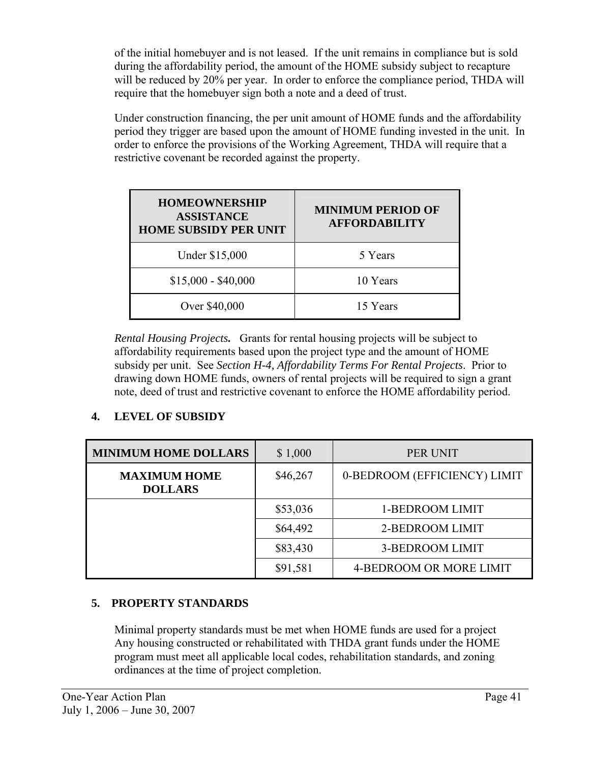of the initial homebuyer and is not leased. If the unit remains in compliance but is sold during the affordability period, the amount of the HOME subsidy subject to recapture will be reduced by 20% per year. In order to enforce the compliance period, THDA will require that the homebuyer sign both a note and a deed of trust.

Under construction financing, the per unit amount of HOME funds and the affordability period they trigger are based upon the amount of HOME funding invested in the unit. In order to enforce the provisions of the Working Agreement, THDA will require that a restrictive covenant be recorded against the property.

| <b>HOMEOWNERSHIP</b><br><b>ASSISTANCE</b><br><b>HOME SUBSIDY PER UNIT</b> | <b>MINIMUM PERIOD OF</b><br><b>AFFORDABILITY</b> |
|---------------------------------------------------------------------------|--------------------------------------------------|
| Under \$15,000                                                            | 5 Years                                          |
| $$15,000 - $40,000$                                                       | 10 Years                                         |
| Over \$40,000                                                             | 15 Years                                         |

*Rental Housing Projects.* Grants for rental housing projects will be subject to affordability requirements based upon the project type and the amount of HOME subsidy per unit. See *Section H-4, Affordability Terms For Rental Projects*. Prior to drawing down HOME funds, owners of rental projects will be required to sign a grant note, deed of trust and restrictive covenant to enforce the HOME affordability period.

# **4. LEVEL OF SUBSIDY**

| <b>MINIMUM HOME DOLLARS</b>           | \$1,000  | PER UNIT                       |
|---------------------------------------|----------|--------------------------------|
| <b>MAXIMUM HOME</b><br><b>DOLLARS</b> | \$46,267 | 0-BEDROOM (EFFICIENCY) LIMIT   |
|                                       | \$53,036 | 1-BEDROOM LIMIT                |
|                                       | \$64,492 | 2-BEDROOM LIMIT                |
|                                       | \$83,430 | <b>3-BEDROOM LIMIT</b>         |
|                                       | \$91,581 | <b>4-BEDROOM OR MORE LIMIT</b> |

# **5. PROPERTY STANDARDS**

 Minimal property standards must be met when HOME funds are used for a project Any housing constructed or rehabilitated with THDA grant funds under the HOME program must meet all applicable local codes, rehabilitation standards, and zoning ordinances at the time of project completion.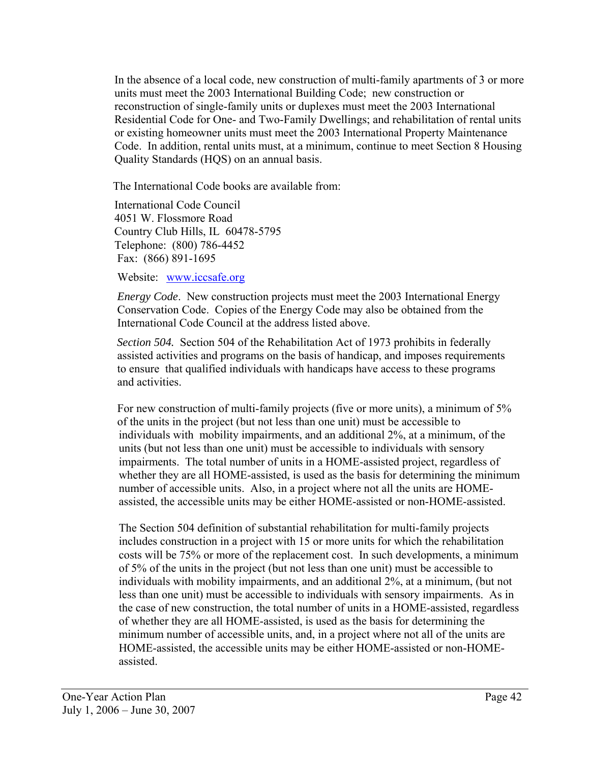In the absence of a local code, new construction of multi-family apartments of 3 or more units must meet the 2003 International Building Code; new construction or reconstruction of single-family units or duplexes must meet the 2003 International Residential Code for One- and Two-Family Dwellings; and rehabilitation of rental units or existing homeowner units must meet the 2003 International Property Maintenance Code. In addition, rental units must, at a minimum, continue to meet Section 8 Housing Quality Standards (HQS) on an annual basis.

The International Code books are available from:

 International Code Council 4051 W. Flossmore Road Country Club Hills, IL 60478-5795 Telephone: (800) 786-4452 Fax: (866) 891-1695

Website: [www.iccsafe.org](http://www.iccsafe.org/)

 *Energy Code*. New construction projects must meet the 2003 International Energy Conservation Code. Copies of the Energy Code may also be obtained from the International Code Council at the address listed above.

*Section 504.* Section 504 of the Rehabilitation Act of 1973 prohibits in federally assisted activities and programs on the basis of handicap, and imposes requirements to ensure that qualified individuals with handicaps have access to these programs and activities.

 For new construction of multi-family projects (five or more units), a minimum of 5% of the units in the project (but not less than one unit) must be accessible to individuals with mobility impairments, and an additional 2%, at a minimum, of the units (but not less than one unit) must be accessible to individuals with sensory impairments. The total number of units in a HOME-assisted project, regardless of whether they are all HOME-assisted, is used as the basis for determining the minimum number of accessible units. Also, in a project where not all the units are HOMEassisted, the accessible units may be either HOME-assisted or non-HOME-assisted.

The Section 504 definition of substantial rehabilitation for multi-family projects includes construction in a project with 15 or more units for which the rehabilitation costs will be 75% or more of the replacement cost. In such developments, a minimum of 5% of the units in the project (but not less than one unit) must be accessible to individuals with mobility impairments, and an additional 2%, at a minimum, (but not less than one unit) must be accessible to individuals with sensory impairments. As in the case of new construction, the total number of units in a HOME-assisted, regardless of whether they are all HOME-assisted, is used as the basis for determining the minimum number of accessible units, and, in a project where not all of the units are HOME-assisted, the accessible units may be either HOME-assisted or non-HOMEassisted.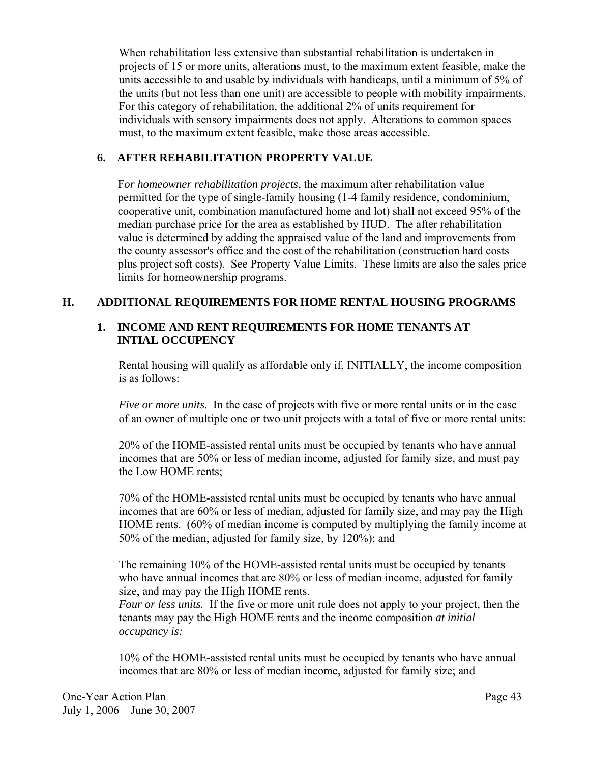When rehabilitation less extensive than substantial rehabilitation is undertaken in projects of 15 or more units, alterations must, to the maximum extent feasible, make the units accessible to and usable by individuals with handicaps, until a minimum of 5% of the units (but not less than one unit) are accessible to people with mobility impairments. For this category of rehabilitation, the additional 2% of units requirement for individuals with sensory impairments does not apply. Alterations to common spaces must, to the maximum extent feasible, make those areas accessible.

## **6. AFTER REHABILITATION PROPERTY VALUE**

F*or homeowner rehabilitation projects*, the maximum after rehabilitation value permitted for the type of single-family housing (1-4 family residence, condominium, cooperative unit, combination manufactured home and lot) shall not exceed 95% of the median purchase price for the area as established by HUD. The after rehabilitation value is determined by adding the appraised value of the land and improvements from the county assessor's office and the cost of the rehabilitation (construction hard costs plus project soft costs). See Property Value Limits. These limits are also the sales price limits for homeownership programs.

# **H. ADDITIONAL REQUIREMENTS FOR HOME RENTAL HOUSING PROGRAMS**

### **1. INCOME AND RENT REQUIREMENTS FOR HOME TENANTS AT INTIAL OCCUPENCY**

Rental housing will qualify as affordable only if, INITIALLY, the income composition is as follows:

*Five or more units.* In the case of projects with five or more rental units or in the case of an owner of multiple one or two unit projects with a total of five or more rental units:

 20% of the HOME-assisted rental units must be occupied by tenants who have annual incomes that are 50% or less of median income, adjusted for family size, and must pay the Low HOME rents;

70% of the HOME-assisted rental units must be occupied by tenants who have annual incomes that are 60% or less of median, adjusted for family size, and may pay the High HOME rents. (60% of median income is computed by multiplying the family income at 50% of the median, adjusted for family size, by 120%); and

The remaining 10% of the HOME-assisted rental units must be occupied by tenants who have annual incomes that are 80% or less of median income, adjusted for family size, and may pay the High HOME rents.

*Four or less units.* If the five or more unit rule does not apply to your project, then the tenants may pay the High HOME rents and the income composition *at initial occupancy is:*

10% of the HOME-assisted rental units must be occupied by tenants who have annual incomes that are 80% or less of median income, adjusted for family size; and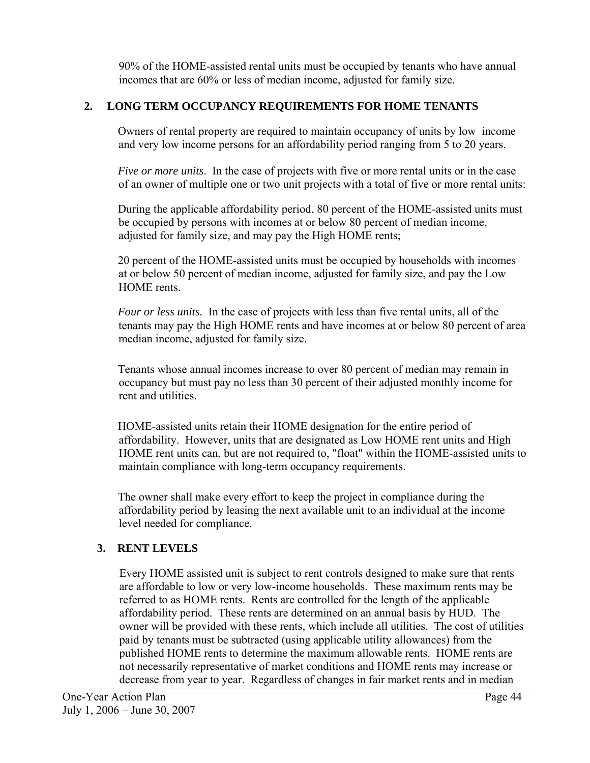90% of the HOME-assisted rental units must be occupied by tenants who have annual incomes that are 60% or less of median income, adjusted for family size.

# **2. LONG TERM OCCUPANCY REQUIREMENTS FOR HOME TENANTS**

Owners of rental property are required to maintain occupancy of units by low income and very low income persons for an affordability period ranging from 5 to 20 years.

*Five or more units*. In the case of projects with five or more rental units or in the case of an owner of multiple one or two unit projects with a total of five or more rental units:

During the applicable affordability period, 80 percent of the HOME-assisted units must be occupied by persons with incomes at or below 80 percent of median income, adjusted for family size, and may pay the High HOME rents;

20 percent of the HOME-assisted units must be occupied by households with incomes at or below 50 percent of median income, adjusted for family size, and pay the Low HOME rents.

*Four or less units.* In the case of projects with less than five rental units, all of the tenants may pay the High HOME rents and have incomes at or below 80 percent of area median income, adjusted for family size.

Tenants whose annual incomes increase to over 80 percent of median may remain in occupancy but must pay no less than 30 percent of their adjusted monthly income for rent and utilities.

HOME-assisted units retain their HOME designation for the entire period of affordability. However, units that are designated as Low HOME rent units and High HOME rent units can, but are not required to, "float" within the HOME-assisted units to maintain compliance with long-term occupancy requirements.

The owner shall make every effort to keep the project in compliance during the affordability period by leasing the next available unit to an individual at the income level needed for compliance.

# **3. RENT LEVELS**

Every HOME assisted unit is subject to rent controls designed to make sure that rents are affordable to low or very low-income households. These maximum rents may be referred to as HOME rents.Rents are controlled for the length of the applicable affordability period. These rents are determined on an annual basis by HUD. The owner will be provided with these rents, which include all utilities. The cost of utilities paid by tenants must be subtracted (using applicable utility allowances) from the published HOME rents to determine the maximum allowable rents. HOME rents are not necessarily representative of market conditions and HOME rents may increase or decrease from year to year. Regardless of changes in fair market rents and in median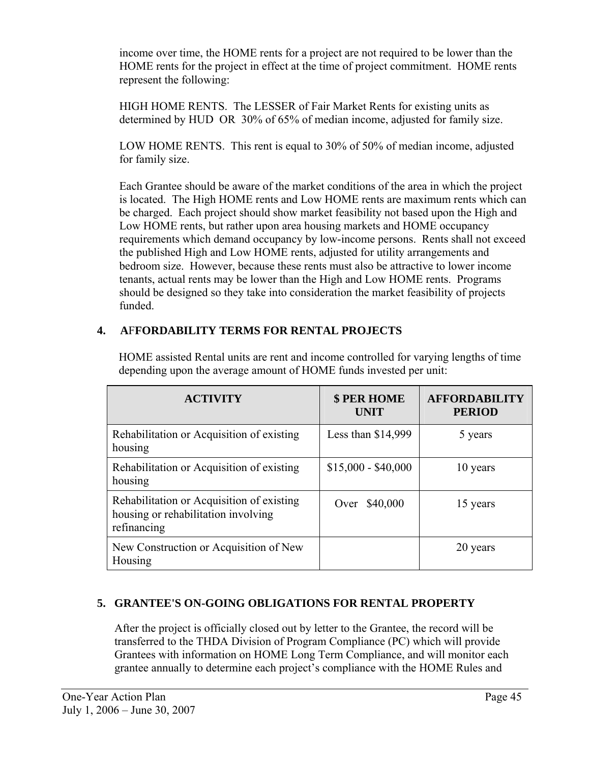income over time, the HOME rents for a project are not required to be lower than the HOME rents for the project in effect at the time of project commitment.HOME rents represent the following:

HIGH HOME RENTS. The LESSER of Fair Market Rents for existing units as determined by HUD OR 30% of 65% of median income, adjusted for family size.

LOW HOME RENTS. This rent is equal to 30% of 50% of median income, adjusted for family size.

Each Grantee should be aware of the market conditions of the area in which the project is located. The High HOME rents and Low HOME rents are maximum rents which can be charged. Each project should show market feasibility not based upon the High and Low HOME rents, but rather upon area housing markets and HOME occupancy requirements which demand occupancy by low-income persons. Rents shall not exceed the published High and Low HOME rents, adjusted for utility arrangements and bedroom size. However, because these rents must also be attractive to lower income tenants, actual rents may be lower than the High and Low HOME rents. Programs should be designed so they take into consideration the market feasibility of projects funded.

# **4. A**F**FORDABILITY TERMS FOR RENTAL PROJECTS**

| <b>ACTIVITY</b>                                                                                 | \$ PER HOME<br><b>UNIT</b> | <b>AFFORDABILITY</b><br><b>PERIOD</b> |
|-------------------------------------------------------------------------------------------------|----------------------------|---------------------------------------|
| Rehabilitation or Acquisition of existing<br>housing                                            | Less than $$14,999$        | 5 years                               |
| Rehabilitation or Acquisition of existing<br>housing                                            | $$15,000 - $40,000$        | 10 years                              |
| Rehabilitation or Acquisition of existing<br>housing or rehabilitation involving<br>refinancing | Over \$40,000              | 15 years                              |
| New Construction or Acquisition of New<br>Housing                                               |                            | 20 years                              |

 HOME assisted Rental units are rent and income controlled for varying lengths of time depending upon the average amount of HOME funds invested per unit:

# **5. GRANTEE'S ON-GOING OBLIGATIONS FOR RENTAL PROPERTY**

After the project is officially closed out by letter to the Grantee, the record will be transferred to the THDA Division of Program Compliance (PC) which will provide Grantees with information on HOME Long Term Compliance, and will monitor each grantee annually to determine each project's compliance with the HOME Rules and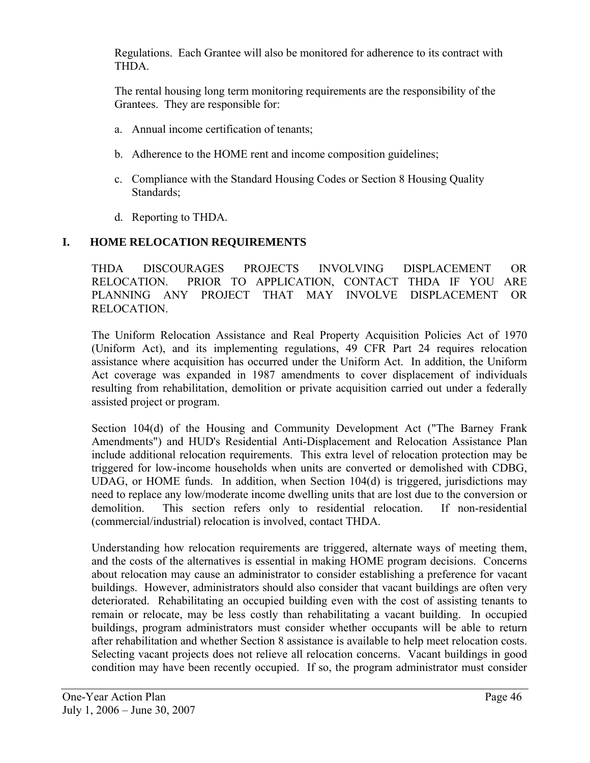Regulations. Each Grantee will also be monitored for adherence to its contract with **THDA** 

The rental housing long term monitoring requirements are the responsibility of the Grantees. They are responsible for:

- a. Annual income certification of tenants;
- b. Adherence to the HOME rent and income composition guidelines;
- c. Compliance with the Standard Housing Codes or Section 8 Housing Quality Standards;
- d. Reporting to THDA.

## **I. HOME RELOCATION REQUIREMENTS**

 THDA DISCOURAGES PROJECTS INVOLVING DISPLACEMENT OR RELOCATION. PRIOR TO APPLICATION, CONTACT THDA IF YOU ARE PLANNING ANY PROJECT THAT MAY INVOLVE DISPLACEMENT OR RELOCATION.

The Uniform Relocation Assistance and Real Property Acquisition Policies Act of 1970 (Uniform Act), and its implementing regulations, 49 CFR Part 24 requires relocation assistance where acquisition has occurred under the Uniform Act. In addition, the Uniform Act coverage was expanded in 1987 amendments to cover displacement of individuals resulting from rehabilitation, demolition or private acquisition carried out under a federally assisted project or program.

Section 104(d) of the Housing and Community Development Act ("The Barney Frank Amendments") and HUD's Residential Anti-Displacement and Relocation Assistance Plan include additional relocation requirements. This extra level of relocation protection may be triggered for low-income households when units are converted or demolished with CDBG, UDAG, or HOME funds. In addition, when Section 104(d) is triggered, jurisdictions may need to replace any low/moderate income dwelling units that are lost due to the conversion or demolition. This section refers only to residential relocation. If non-residential (commercial/industrial) relocation is involved, contact THDA.

Understanding how relocation requirements are triggered, alternate ways of meeting them, and the costs of the alternatives is essential in making HOME program decisions. Concerns about relocation may cause an administrator to consider establishing a preference for vacant buildings. However, administrators should also consider that vacant buildings are often very deteriorated. Rehabilitating an occupied building even with the cost of assisting tenants to remain or relocate, may be less costly than rehabilitating a vacant building. In occupied buildings, program administrators must consider whether occupants will be able to return after rehabilitation and whether Section 8 assistance is available to help meet relocation costs. Selecting vacant projects does not relieve all relocation concerns. Vacant buildings in good condition may have been recently occupied. If so, the program administrator must consider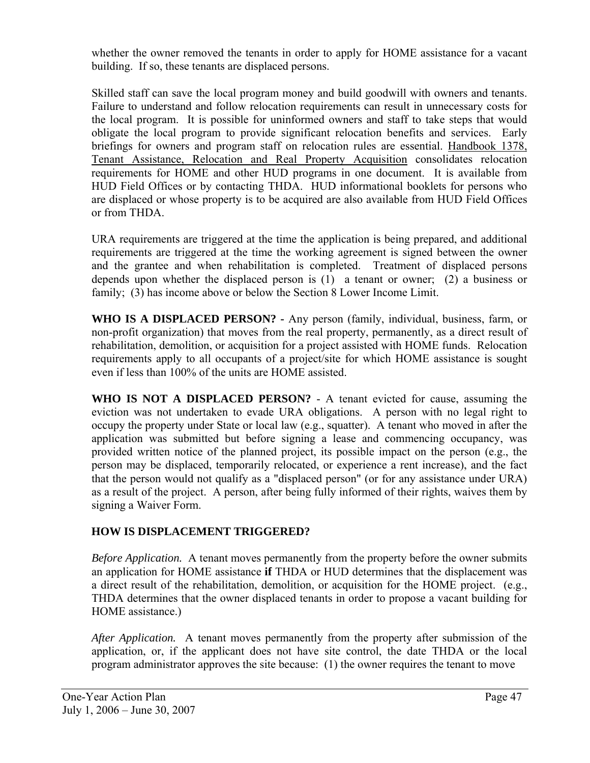whether the owner removed the tenants in order to apply for HOME assistance for a vacant building. If so, these tenants are displaced persons.

Skilled staff can save the local program money and build goodwill with owners and tenants. Failure to understand and follow relocation requirements can result in unnecessary costs for the local program. It is possible for uninformed owners and staff to take steps that would obligate the local program to provide significant relocation benefits and services. Early briefings for owners and program staff on relocation rules are essential. Handbook 1378, Tenant Assistance, Relocation and Real Property Acquisition consolidates relocation requirements for HOME and other HUD programs in one document. It is available from HUD Field Offices or by contacting THDA. HUD informational booklets for persons who are displaced or whose property is to be acquired are also available from HUD Field Offices or from THDA.

 URA requirements are triggered at the time the application is being prepared, and additional requirements are triggered at the time the working agreement is signed between the owner and the grantee and when rehabilitation is completed. Treatment of displaced persons depends upon whether the displaced person is (1) a tenant or owner; (2) a business or family; (3) has income above or below the Section 8 Lower Income Limit.

 **WHO IS A DISPLACED PERSON? -** Any person (family, individual, business, farm, or non-profit organization) that moves from the real property, permanently, as a direct result of rehabilitation, demolition, or acquisition for a project assisted with HOME funds. Relocation requirements apply to all occupants of a project/site for which HOME assistance is sought even if less than 100% of the units are HOME assisted.

 **WHO IS NOT A DISPLACED PERSON?** - A tenant evicted for cause, assuming the eviction was not undertaken to evade URA obligations. A person with no legal right to occupy the property under State or local law (e.g., squatter). A tenant who moved in after the application was submitted but before signing a lease and commencing occupancy, was provided written notice of the planned project, its possible impact on the person (e.g., the person may be displaced, temporarily relocated, or experience a rent increase), and the fact that the person would not qualify as a "displaced person" (or for any assistance under URA) as a result of the project. A person, after being fully informed of their rights, waives them by signing a Waiver Form.

## **HOW IS DISPLACEMENT TRIGGERED?**

*Before Application.* A tenant moves permanently from the property before the owner submits an application for HOME assistance **if** THDA or HUD determines that the displacement was a direct result of the rehabilitation, demolition, or acquisition for the HOME project. (e.g., THDA determines that the owner displaced tenants in order to propose a vacant building for HOME assistance.)

 *After Application.* A tenant moves permanently from the property after submission of the application, or, if the applicant does not have site control, the date THDA or the local program administrator approves the site because: (1) the owner requires the tenant to move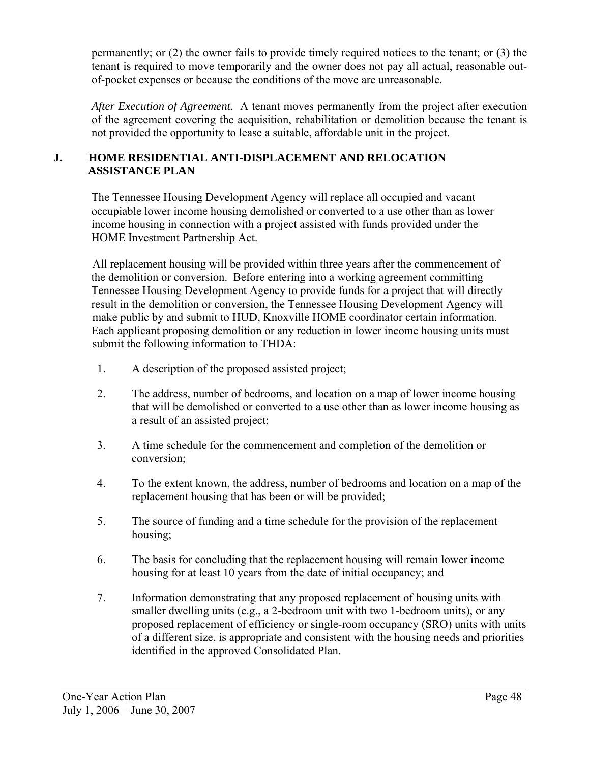permanently; or (2) the owner fails to provide timely required notices to the tenant; or (3) the tenant is required to move temporarily and the owner does not pay all actual, reasonable outof-pocket expenses or because the conditions of the move are unreasonable.

 *After Execution of Agreement.* A tenant moves permanently from the project after execution of the agreement covering the acquisition, rehabilitation or demolition because the tenant is not provided the opportunity to lease a suitable, affordable unit in the project.

### **J. HOME RESIDENTIAL ANTI-DISPLACEMENT AND RELOCATION ASSISTANCE PLAN**

The Tennessee Housing Development Agency will replace all occupied and vacant occupiable lower income housing demolished or converted to a use other than as lower income housing in connection with a project assisted with funds provided under the HOME Investment Partnership Act.

All replacement housing will be provided within three years after the commencement of the demolition or conversion. Before entering into a working agreement committing Tennessee Housing Development Agency to provide funds for a project that will directly result in the demolition or conversion, the Tennessee Housing Development Agency will make public by and submit to HUD, Knoxville HOME coordinator certain information. Each applicant proposing demolition or any reduction in lower income housing units must submit the following information to THDA:

- 1. A description of the proposed assisted project;
- 2. The address, number of bedrooms, and location on a map of lower income housing that will be demolished or converted to a use other than as lower income housing as a result of an assisted project;
- 3. A time schedule for the commencement and completion of the demolition or conversion;
- 4. To the extent known, the address, number of bedrooms and location on a map of the replacement housing that has been or will be provided;
- 5. The source of funding and a time schedule for the provision of the replacement housing;
- 6. The basis for concluding that the replacement housing will remain lower income housing for at least 10 years from the date of initial occupancy; and
- 7. Information demonstrating that any proposed replacement of housing units with smaller dwelling units (e.g., a 2-bedroom unit with two 1-bedroom units), or any proposed replacement of efficiency or single-room occupancy (SRO) units with units of a different size, is appropriate and consistent with the housing needs and priorities identified in the approved Consolidated Plan.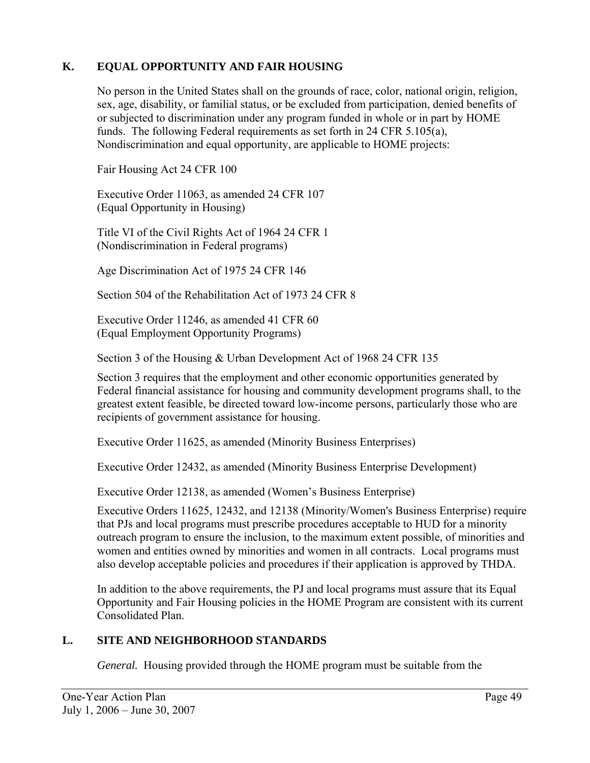## **K. EQUAL OPPORTUNITY AND FAIR HOUSING**

No person in the United States shall on the grounds of race, color, national origin, religion, sex, age, disability, or familial status, or be excluded from participation, denied benefits of or subjected to discrimination under any program funded in whole or in part by HOME funds. The following Federal requirements as set forth in 24 CFR 5.105(a), Nondiscrimination and equal opportunity, are applicable to HOME projects:

Fair Housing Act 24 CFR 100

 Executive Order 11063, as amended 24 CFR 107 (Equal Opportunity in Housing)

 Title VI of the Civil Rights Act of 1964 24 CFR 1 (Nondiscrimination in Federal programs)

Age Discrimination Act of 1975 24 CFR 146

Section 504 of the Rehabilitation Act of 1973 24 CFR 8

 Executive Order 11246, as amended 41 CFR 60 (Equal Employment Opportunity Programs)

Section 3 of the Housing & Urban Development Act of 1968 24 CFR 135

 Section 3 requires that the employment and other economic opportunities generated by Federal financial assistance for housing and community development programs shall, to the greatest extent feasible, be directed toward low-income persons, particularly those who are recipients of government assistance for housing.

Executive Order 11625, as amended (Minority Business Enterprises)

Executive Order 12432, as amended (Minority Business Enterprise Development)

Executive Order 12138, as amended (Women's Business Enterprise)

 Executive Orders 11625, 12432, and 12138 (Minority/Women's Business Enterprise) require that PJs and local programs must prescribe procedures acceptable to HUD for a minority outreach program to ensure the inclusion, to the maximum extent possible, of minorities and women and entities owned by minorities and women in all contracts. Local programs must also develop acceptable policies and procedures if their application is approved by THDA.

In addition to the above requirements, the PJ and local programs must assure that its Equal Opportunity and Fair Housing policies in the HOME Program are consistent with its current Consolidated Plan.

## **L. SITE AND NEIGHBORHOOD STANDARDS**

*General.* Housing provided through the HOME program must be suitable from the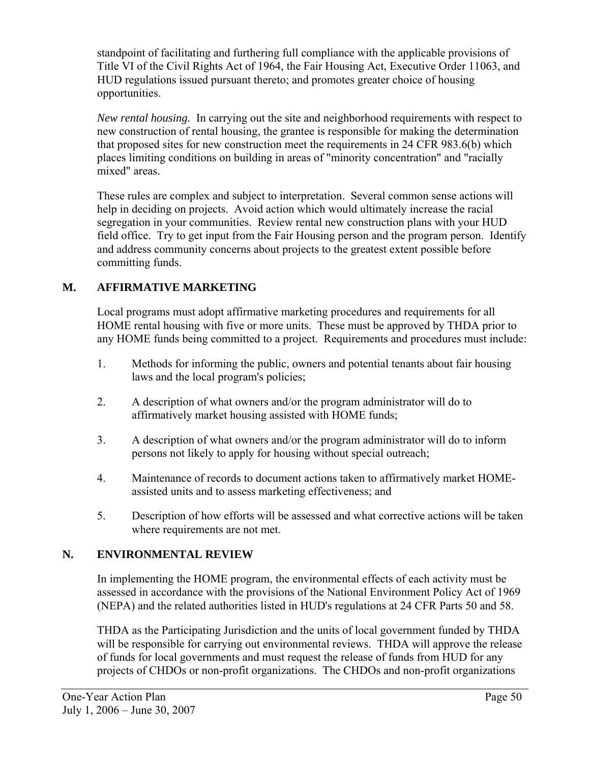standpoint of facilitating and furthering full compliance with the applicable provisions of Title VI of the Civil Rights Act of 1964, the Fair Housing Act, Executive Order 11063, and HUD regulations issued pursuant thereto; and promotes greater choice of housing opportunities.

 *New rental housing.* In carrying out the site and neighborhood requirements with respect to new construction of rental housing, the grantee is responsible for making the determination that proposed sites for new construction meet the requirements in 24 CFR 983.6(b) which places limiting conditions on building in areas of "minority concentration" and "racially mixed" areas.

These rules are complex and subject to interpretation. Several common sense actions will help in deciding on projects. Avoid action which would ultimately increase the racial segregation in your communities. Review rental new construction plans with your HUD field office. Try to get input from the Fair Housing person and the program person. Identify and address community concerns about projects to the greatest extent possible before committing funds.

# **M. AFFIRMATIVE MARKETING**

Local programs must adopt affirmative marketing procedures and requirements for all HOME rental housing with five or more units. These must be approved by THDA prior to any HOME funds being committed to a project. Requirements and procedures must include:

- 1. Methods for informing the public, owners and potential tenants about fair housing laws and the local program's policies;
- 2. A description of what owners and/or the program administrator will do to affirmatively market housing assisted with HOME funds;
- 3. A description of what owners and/or the program administrator will do to inform persons not likely to apply for housing without special outreach;
- 4. Maintenance of records to document actions taken to affirmatively market HOMEassisted units and to assess marketing effectiveness; and
- 5. Description of how efforts will be assessed and what corrective actions will be taken where requirements are not met.

# **N. ENVIRONMENTAL REVIEW**

In implementing the HOME program, the environmental effects of each activity must be assessed in accordance with the provisions of the National Environment Policy Act of 1969 (NEPA) and the related authorities listed in HUD's regulations at 24 CFR Parts 50 and 58.

THDA as the Participating Jurisdiction and the units of local government funded by THDA will be responsible for carrying out environmental reviews. THDA will approve the release of funds for local governments and must request the release of funds from HUD for any projects of CHDOs or non-profit organizations. The CHDOs and non-profit organizations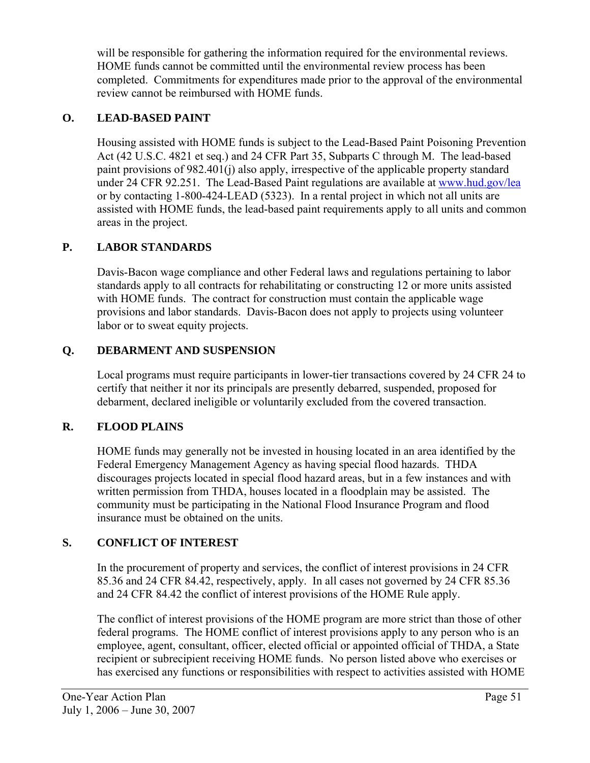will be responsible for gathering the information required for the environmental reviews. HOME funds cannot be committed until the environmental review process has been completed. Commitments for expenditures made prior to the approval of the environmental review cannot be reimbursed with HOME funds.

# **O. LEAD-BASED PAINT**

Housing assisted with HOME funds is subject to the Lead-Based Paint Poisoning Prevention Act (42 U.S.C. 4821 et seq.) and 24 CFR Part 35, Subparts C through M. The lead-based paint provisions of 982.401(j) also apply, irrespective of the applicable property standard under 24 CFR 92.251. The Lead-Based Paint regulations are available at [www.hud.gov/lea](http://www.hud.gov/lea) or by contacting 1-800-424-LEAD (5323). In a rental project in which not all units are assisted with HOME funds, the lead-based paint requirements apply to all units and common areas in the project.

# **P. LABOR STANDARDS**

Davis-Bacon wage compliance and other Federal laws and regulations pertaining to labor standards apply to all contracts for rehabilitating or constructing 12 or more units assisted with HOME funds. The contract for construction must contain the applicable wage provisions and labor standards. Davis-Bacon does not apply to projects using volunteer labor or to sweat equity projects.

## **Q. DEBARMENT AND SUSPENSION**

Local programs must require participants in lower-tier transactions covered by 24 CFR 24 to certify that neither it nor its principals are presently debarred, suspended, proposed for debarment, declared ineligible or voluntarily excluded from the covered transaction.

## **R. FLOOD PLAINS**

HOME funds may generally not be invested in housing located in an area identified by the Federal Emergency Management Agency as having special flood hazards. THDA discourages projects located in special flood hazard areas, but in a few instances and with written permission from THDA, houses located in a floodplain may be assisted. The community must be participating in the National Flood Insurance Program and flood insurance must be obtained on the units.

# **S. CONFLICT OF INTEREST**

In the procurement of property and services, the conflict of interest provisions in 24 CFR 85.36 and 24 CFR 84.42, respectively, apply. In all cases not governed by 24 CFR 85.36 and 24 CFR 84.42 the conflict of interest provisions of the HOME Rule apply.

The conflict of interest provisions of the HOME program are more strict than those of other federal programs. The HOME conflict of interest provisions apply to any person who is an employee, agent, consultant, officer, elected official or appointed official of THDA, a State recipient or subrecipient receiving HOME funds. No person listed above who exercises or has exercised any functions or responsibilities with respect to activities assisted with HOME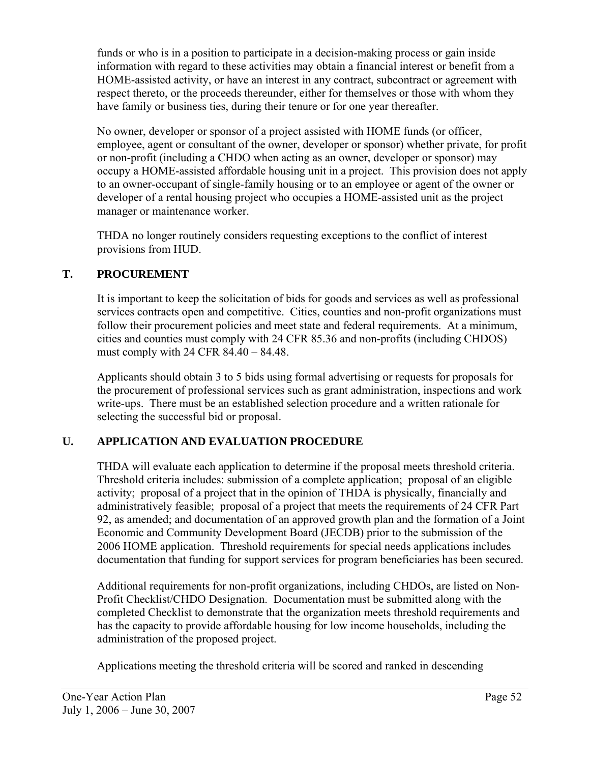funds or who is in a position to participate in a decision-making process or gain inside information with regard to these activities may obtain a financial interest or benefit from a HOME-assisted activity, or have an interest in any contract, subcontract or agreement with respect thereto, or the proceeds thereunder, either for themselves or those with whom they have family or business ties, during their tenure or for one year thereafter.

No owner, developer or sponsor of a project assisted with HOME funds (or officer, employee, agent or consultant of the owner, developer or sponsor) whether private, for profit or non-profit (including a CHDO when acting as an owner, developer or sponsor) may occupy a HOME-assisted affordable housing unit in a project. This provision does not apply to an owner-occupant of single-family housing or to an employee or agent of the owner or developer of a rental housing project who occupies a HOME-assisted unit as the project manager or maintenance worker.

THDA no longer routinely considers requesting exceptions to the conflict of interest provisions from HUD.

## **T. PROCUREMENT**

It is important to keep the solicitation of bids for goods and services as well as professional services contracts open and competitive. Cities, counties and non-profit organizations must follow their procurement policies and meet state and federal requirements. At a minimum, cities and counties must comply with 24 CFR 85.36 and non-profits (including CHDOS) must comply with 24 CFR 84.40 – 84.48.

Applicants should obtain 3 to 5 bids using formal advertising or requests for proposals for the procurement of professional services such as grant administration, inspections and work write-ups. There must be an established selection procedure and a written rationale for selecting the successful bid or proposal.

# **U. APPLICATION AND EVALUATION PROCEDURE**

THDA will evaluate each application to determine if the proposal meets threshold criteria. Threshold criteria includes: submission of a complete application; proposal of an eligible activity; proposal of a project that in the opinion of THDA is physically, financially and administratively feasible; proposal of a project that meets the requirements of 24 CFR Part 92, as amended; and documentation of an approved growth plan and the formation of a Joint Economic and Community Development Board (JECDB) prior to the submission of the 2006 HOME application. Threshold requirements for special needs applications includes documentation that funding for support services for program beneficiaries has been secured.

Additional requirements for non-profit organizations, including CHDOs, are listed on Non-Profit Checklist/CHDO Designation. Documentation must be submitted along with the completed Checklist to demonstrate that the organization meets threshold requirements and has the capacity to provide affordable housing for low income households, including the administration of the proposed project.

Applications meeting the threshold criteria will be scored and ranked in descending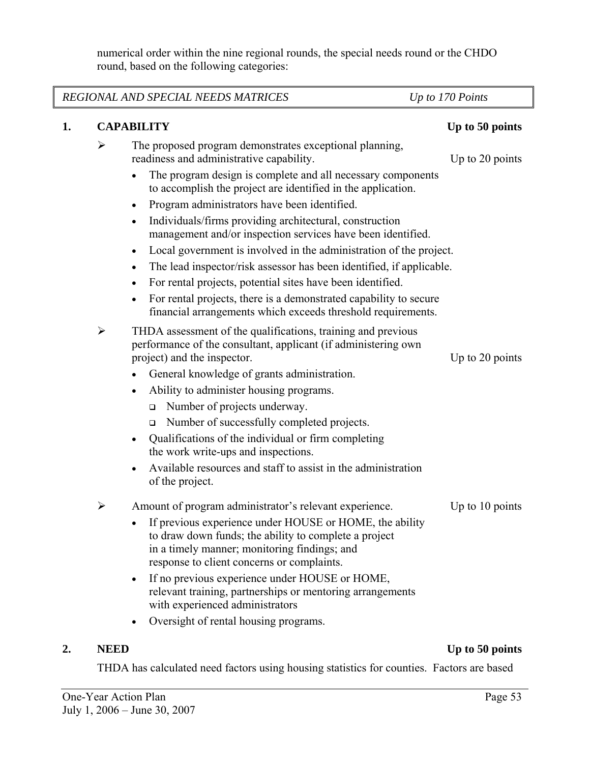numerical order within the nine regional rounds, the special needs round or the CHDO round, based on the following categories:

| REGIONAL AND SPECIAL NEEDS MATRICES<br>Up to 170 Points |                       |                                                                                                                                                                                                                |                 |
|---------------------------------------------------------|-----------------------|----------------------------------------------------------------------------------------------------------------------------------------------------------------------------------------------------------------|-----------------|
| 1.                                                      |                       | <b>CAPABILITY</b>                                                                                                                                                                                              | Up to 50 points |
|                                                         | $\blacktriangleright$ | The proposed program demonstrates exceptional planning,<br>readiness and administrative capability.                                                                                                            | Up to 20 points |
|                                                         |                       | The program design is complete and all necessary components<br>to accomplish the project are identified in the application.                                                                                    |                 |
|                                                         |                       | Program administrators have been identified.<br>$\bullet$                                                                                                                                                      |                 |
|                                                         |                       | Individuals/firms providing architectural, construction<br>$\bullet$<br>management and/or inspection services have been identified.                                                                            |                 |
|                                                         |                       | Local government is involved in the administration of the project.<br>$\bullet$                                                                                                                                |                 |
|                                                         |                       | The lead inspector/risk assessor has been identified, if applicable.<br>٠                                                                                                                                      |                 |
|                                                         |                       | For rental projects, potential sites have been identified.<br>٠<br>For rental projects, there is a demonstrated capability to secure<br>financial arrangements which exceeds threshold requirements.           |                 |
|                                                         | $\blacktriangleright$ | THDA assessment of the qualifications, training and previous<br>performance of the consultant, applicant (if administering own<br>project) and the inspector.                                                  | Up to 20 points |
|                                                         |                       | General knowledge of grants administration.                                                                                                                                                                    |                 |
|                                                         |                       | Ability to administer housing programs.                                                                                                                                                                        |                 |
|                                                         |                       | Number of projects underway.<br>$\Box$                                                                                                                                                                         |                 |
|                                                         |                       | Number of successfully completed projects.<br>$\Box$                                                                                                                                                           |                 |
|                                                         |                       | Qualifications of the individual or firm completing<br>the work write-ups and inspections.                                                                                                                     |                 |
|                                                         |                       | Available resources and staff to assist in the administration<br>of the project.                                                                                                                               |                 |
|                                                         | ➤                     | Amount of program administrator's relevant experience.                                                                                                                                                         | Up to 10 points |
|                                                         |                       | If previous experience under HOUSE or HOME, the ability<br>to draw down funds; the ability to complete a project<br>in a timely manner; monitoring findings; and<br>response to client concerns or complaints. |                 |
|                                                         |                       | If no previous experience under HOUSE or HOME,<br>relevant training, partnerships or mentoring arrangements<br>with experienced administrators                                                                 |                 |
|                                                         |                       | Oversight of rental housing programs.                                                                                                                                                                          |                 |

# **2.** NEED Up to 50 points

THDA has calculated need factors using housing statistics for counties. Factors are based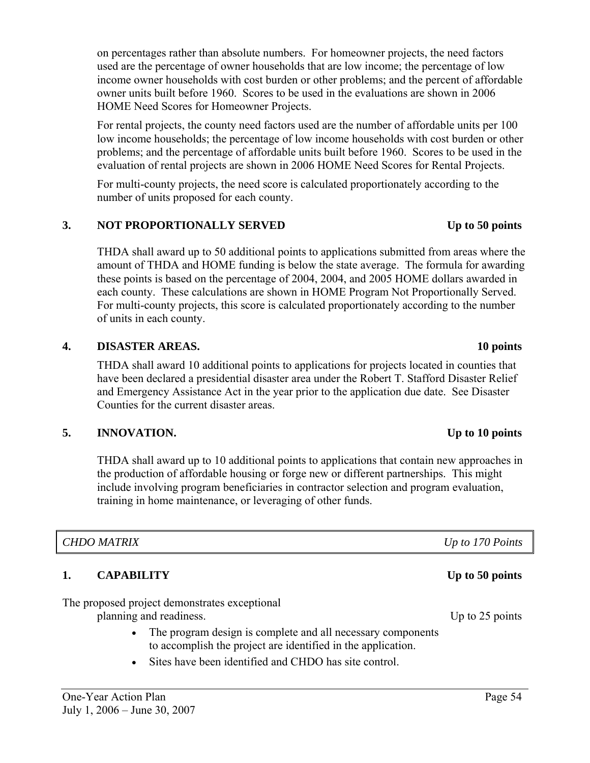on percentages rather than absolute numbers. For homeowner projects, the need factors used are the percentage of owner households that are low income; the percentage of low income owner households with cost burden or other problems; and the percent of affordable owner units built before 1960. Scores to be used in the evaluations are shown in 2006 HOME Need Scores for Homeowner Projects.

For rental projects, the county need factors used are the number of affordable units per 100 low income households; the percentage of low income households with cost burden or other problems; and the percentage of affordable units built before 1960. Scores to be used in the evaluation of rental projects are shown in 2006 HOME Need Scores for Rental Projects.

For multi-county projects, the need score is calculated proportionately according to the number of units proposed for each county.

### 3. NOT PROPORTIONALLY SERVED Up to 50 points

THDA shall award up to 50 additional points to applications submitted from areas where the amount of THDA and HOME funding is below the state average. The formula for awarding these points is based on the percentage of 2004, 2004, and 2005 HOME dollars awarded in each county. These calculations are shown in HOME Program Not Proportionally Served. For multi-county projects, this score is calculated proportionately according to the number of units in each county.

### **4. DISASTER AREAS. 10 points**

 THDA shall award 10 additional points to applications for projects located in counties that have been declared a presidential disaster area under the Robert T. Stafford Disaster Relief and Emergency Assistance Act in the year prior to the application due date. See Disaster Counties for the current disaster areas.

### **5. INNOVATION. Up to 10 points**

THDA shall award up to 10 additional points to applications that contain new approaches in the production of affordable housing or forge new or different partnerships. This might include involving program beneficiaries in contractor selection and program evaluation, training in home maintenance, or leveraging of other funds.

### *CHDO MATRIX Up to 170 Points*

## **1.** CAPABILITY Up to 50 points

The proposed project demonstrates exceptional planning and readiness. Up to 25 points

- The program design is complete and all necessary components to accomplish the project are identified in the application.
- Sites have been identified and CHDO has site control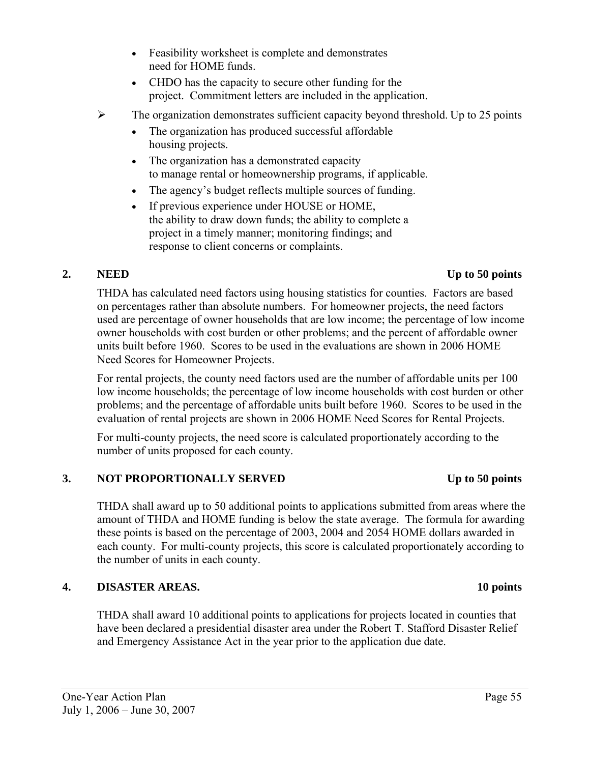July 1, 2006 – June 30, 2007

- Feasibility worksheet is complete and demonstrates need for HOME funds.
- CHDO has the capacity to secure other funding for the project. Commitment letters are included in the application.
- $\triangleright$  The organization demonstrates sufficient capacity beyond threshold. Up to 25 points
	- The organization has produced successful affordable housing projects.
	- The organization has a demonstrated capacity to manage rental or homeownership programs, if applicable.
	- The agency's budget reflects multiple sources of funding.
	- If previous experience under HOUSE or HOME, the ability to draw down funds; the ability to complete a project in a timely manner; monitoring findings; and response to client concerns or complaints.

### **2. NEED Up to 50 points**

 THDA has calculated need factors using housing statistics for counties. Factors are based on percentages rather than absolute numbers. For homeowner projects, the need factors used are percentage of owner households that are low income; the percentage of low income owner households with cost burden or other problems; and the percent of affordable owner units built before 1960. Scores to be used in the evaluations are shown in 2006 HOME Need Scores for Homeowner Projects.

For rental projects, the county need factors used are the number of affordable units per 100 low income households; the percentage of low income households with cost burden or other problems; and the percentage of affordable units built before 1960. Scores to be used in the evaluation of rental projects are shown in 2006 HOME Need Scores for Rental Projects.

For multi-county projects, the need score is calculated proportionately according to the number of units proposed for each county.

## **3.** NOT PROPORTIONALLY SERVED Up to 50 points

THDA shall award up to 50 additional points to applications submitted from areas where the amount of THDA and HOME funding is below the state average. The formula for awarding these points is based on the percentage of 2003, 2004 and 2054 HOME dollars awarded in each county. For multi-county projects, this score is calculated proportionately according to the number of units in each county.

# **4. DISASTER AREAS. 10 points**

THDA shall award 10 additional points to applications for projects located in counties that have been declared a presidential disaster area under the Robert T. Stafford Disaster Relief and Emergency Assistance Act in the year prior to the application due date.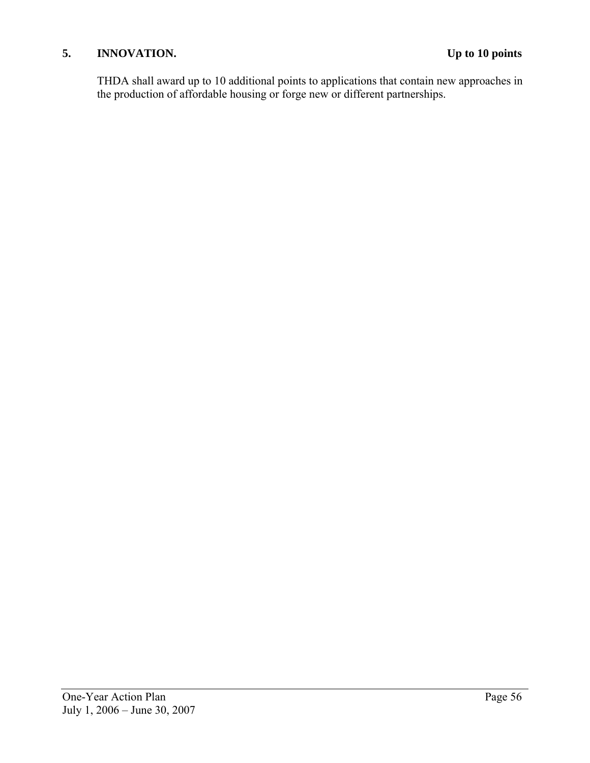## **5. INNOVATION. Up to 10 points**

THDA shall award up to 10 additional points to applications that contain new approaches in the production of affordable housing or forge new or different partnerships.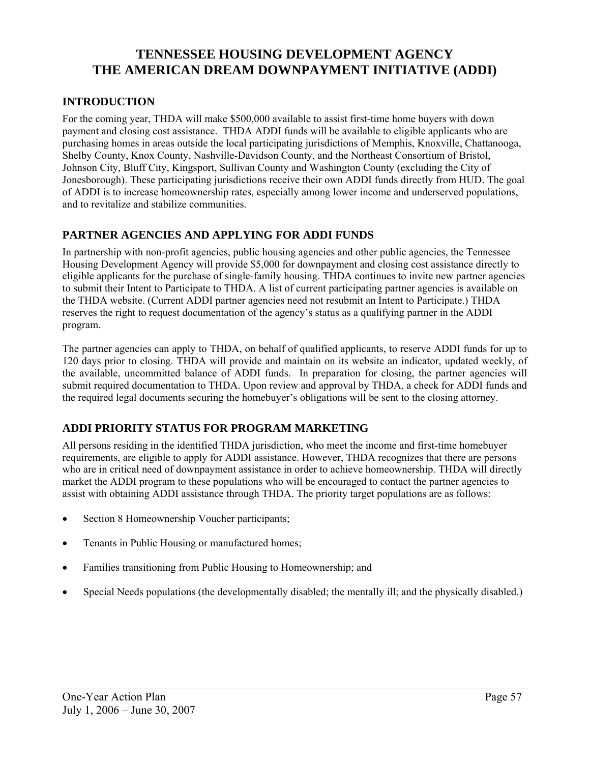# **TENNESSEE HOUSING DEVELOPMENT AGENCY THE AMERICAN DREAM DOWNPAYMENT INITIATIVE (ADDI)**

### **INTRODUCTION**

For the coming year, THDA will make \$500,000 available to assist first-time home buyers with down payment and closing cost assistance. THDA ADDI funds will be available to eligible applicants who are purchasing homes in areas outside the local participating jurisdictions of Memphis, Knoxville, Chattanooga, Shelby County, Knox County, Nashville-Davidson County, and the Northeast Consortium of Bristol, Johnson City, Bluff City, Kingsport, Sullivan County and Washington County (excluding the City of Jonesborough). These participating jurisdictions receive their own ADDI funds directly from HUD. The goal of ADDI is to increase homeownership rates, especially among lower income and underserved populations, and to revitalize and stabilize communities.

### **PARTNER AGENCIES AND APPLYING FOR ADDI FUNDS**

In partnership with non-profit agencies, public housing agencies and other public agencies, the Tennessee Housing Development Agency will provide \$5,000 for downpayment and closing cost assistance directly to eligible applicants for the purchase of single-family housing. THDA continues to invite new partner agencies to submit their Intent to Participate to THDA. A list of current participating partner agencies is available on the THDA website. (Current ADDI partner agencies need not resubmit an Intent to Participate.) THDA reserves the right to request documentation of the agency's status as a qualifying partner in the ADDI program.

The partner agencies can apply to THDA, on behalf of qualified applicants, to reserve ADDI funds for up to 120 days prior to closing. THDA will provide and maintain on its website an indicator, updated weekly, of the available, uncommitted balance of ADDI funds. In preparation for closing, the partner agencies will submit required documentation to THDA. Upon review and approval by THDA, a check for ADDI funds and the required legal documents securing the homebuyer's obligations will be sent to the closing attorney.

## **ADDI PRIORITY STATUS FOR PROGRAM MARKETING**

All persons residing in the identified THDA jurisdiction, who meet the income and first-time homebuyer requirements, are eligible to apply for ADDI assistance. However, THDA recognizes that there are persons who are in critical need of downpayment assistance in order to achieve homeownership. THDA will directly market the ADDI program to these populations who will be encouraged to contact the partner agencies to assist with obtaining ADDI assistance through THDA. The priority target populations are as follows:

- Section 8 Homeownership Voucher participants;
- Tenants in Public Housing or manufactured homes;
- Families transitioning from Public Housing to Homeownership; and
- Special Needs populations (the developmentally disabled; the mentally ill; and the physically disabled.)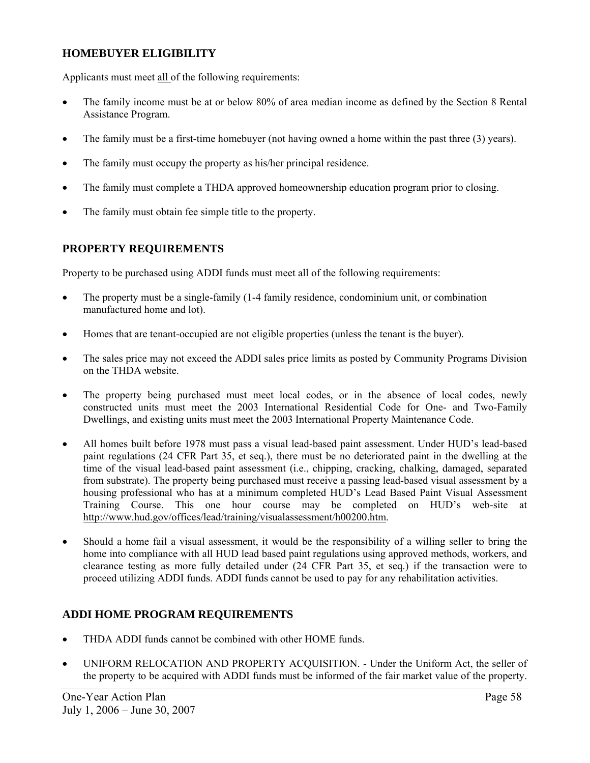### **HOMEBUYER ELIGIBILITY**

Applicants must meet all of the following requirements:

- The family income must be at or below 80% of area median income as defined by the Section 8 Rental Assistance Program.
- The family must be a first-time homebuyer (not having owned a home within the past three (3) years).
- The family must occupy the property as his/her principal residence.
- The family must complete a THDA approved homeownership education program prior to closing.
- The family must obtain fee simple title to the property.

### **PROPERTY REQUIREMENTS**

Property to be purchased using ADDI funds must meet all of the following requirements:

- The property must be a single-family (1-4 family residence, condominium unit, or combination manufactured home and lot).
- Homes that are tenant-occupied are not eligible properties (unless the tenant is the buyer).
- The sales price may not exceed the ADDI sales price limits as posted by Community Programs Division on the THDA website.
- The property being purchased must meet local codes, or in the absence of local codes, newly constructed units must meet the 2003 International Residential Code for One- and Two-Family Dwellings, and existing units must meet the 2003 International Property Maintenance Code.
- All homes built before 1978 must pass a visual lead-based paint assessment. Under HUD's lead-based paint regulations (24 CFR Part 35, et seq.), there must be no deteriorated paint in the dwelling at the time of the visual lead-based paint assessment (i.e., chipping, cracking, chalking, damaged, separated from substrate). The property being purchased must receive a passing lead-based visual assessment by a housing professional who has at a minimum completed HUD's Lead Based Paint Visual Assessment Training Course. This one hour course may be completed on HUD's web-site at http://www.hud.gov/offices/lead/training/visualassessment/h00200.htm.
- Should a home fail a visual assessment, it would be the responsibility of a willing seller to bring the home into compliance with all HUD lead based paint regulations using approved methods, workers, and clearance testing as more fully detailed under (24 CFR Part 35, et seq.) if the transaction were to proceed utilizing ADDI funds. ADDI funds cannot be used to pay for any rehabilitation activities.

## **ADDI HOME PROGRAM REQUIREMENTS**

- THDA ADDI funds cannot be combined with other HOME funds.
- UNIFORM RELOCATION AND PROPERTY ACQUISITION. Under the Uniform Act, the seller of the property to be acquired with ADDI funds must be informed of the fair market value of the property.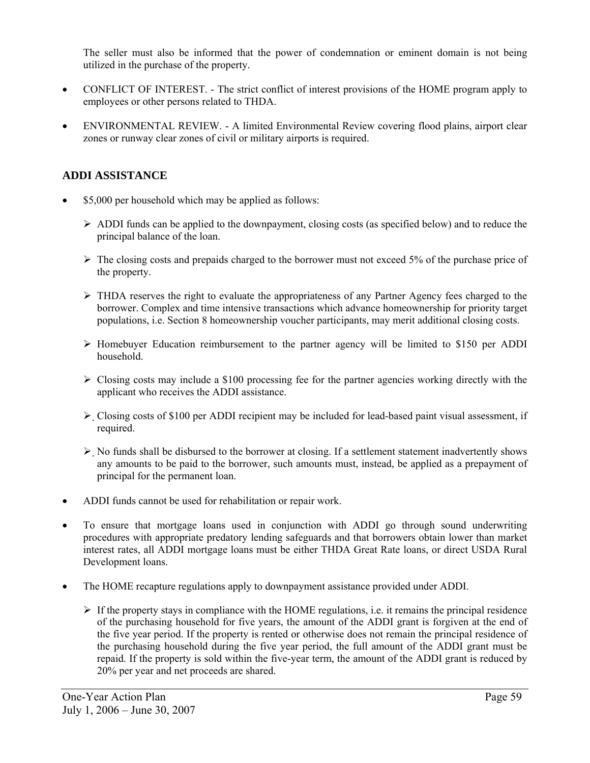The seller must also be informed that the power of condemnation or eminent domain is not being utilized in the purchase of the property.

- CONFLICT OF INTEREST. The strict conflict of interest provisions of the HOME program apply to employees or other persons related to THDA.
- ENVIRONMENTAL REVIEW. A limited Environmental Review covering flood plains, airport clear zones or runway clear zones of civil or military airports is required.

### **ADDI ASSISTANCE**

- \$5,000 per household which may be applied as follows:
	- $\triangleright$  ADDI funds can be applied to the downpayment, closing costs (as specified below) and to reduce the principal balance of the loan.
	- $\triangleright$  The closing costs and prepaids charged to the borrower must not exceed 5% of the purchase price of the property.
	- $\triangleright$  THDA reserves the right to evaluate the appropriateness of any Partner Agency fees charged to the borrower. Complex and time intensive transactions which advance homeownership for priority target populations, i.e. Section 8 homeownership voucher participants, may merit additional closing costs.
	- ¾ Homebuyer Education reimbursement to the partner agency will be limited to \$150 per ADDI household.
	- $\triangleright$  Closing costs may include a \$100 processing fee for the partner agencies working directly with the applicant who receives the ADDI assistance.
	- $\triangleright$  Closing costs of \$100 per ADDI recipient may be included for lead-based paint visual assessment, if required.
	- $\triangleright$  No funds shall be disbursed to the borrower at closing. If a settlement statement inadvertently shows any amounts to be paid to the borrower, such amounts must, instead, be applied as a prepayment of principal for the permanent loan.
- ADDI funds cannot be used for rehabilitation or repair work.
- To ensure that mortgage loans used in conjunction with ADDI go through sound underwriting procedures with appropriate predatory lending safeguards and that borrowers obtain lower than market interest rates, all ADDI mortgage loans must be either THDA Great Rate loans, or direct USDA Rural Development loans.
- The HOME recapture regulations apply to downpayment assistance provided under ADDI.
	- $\triangleright$  If the property stays in compliance with the HOME regulations, i.e. it remains the principal residence of the purchasing household for five years, the amount of the ADDI grant is forgiven at the end of the five year period. If the property is rented or otherwise does not remain the principal residence of the purchasing household during the five year period, the full amount of the ADDI grant must be repaid. If the property is sold within the five-year term, the amount of the ADDI grant is reduced by 20% per year and net proceeds are shared.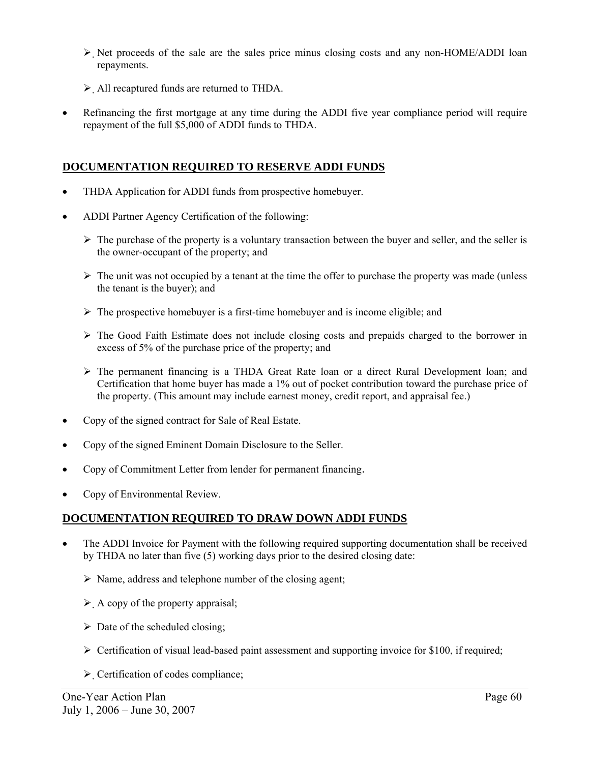- $\triangleright$  Net proceeds of the sale are the sales price minus closing costs and any non-HOME/ADDI loan repayments.
- $\triangleright$  All recaptured funds are returned to THDA.
- Refinancing the first mortgage at any time during the ADDI five year compliance period will require repayment of the full \$5,000 of ADDI funds to THDA.

### **DOCUMENTATION REQUIRED TO RESERVE ADDI FUNDS**

- THDA Application for ADDI funds from prospective homebuyer.
- ADDI Partner Agency Certification of the following:
	- $\triangleright$  The purchase of the property is a voluntary transaction between the buyer and seller, and the seller is the owner-occupant of the property; and
	- $\triangleright$  The unit was not occupied by a tenant at the time the offer to purchase the property was made (unless the tenant is the buyer); and
	- $\triangleright$  The prospective homebuyer is a first-time homebuyer and is income eligible; and
	- $\triangleright$  The Good Faith Estimate does not include closing costs and prepaids charged to the borrower in excess of 5% of the purchase price of the property; and
	- ¾ The permanent financing is a THDA Great Rate loan or a direct Rural Development loan; and Certification that home buyer has made a 1% out of pocket contribution toward the purchase price of the property. (This amount may include earnest money, credit report, and appraisal fee.)
- Copy of the signed contract for Sale of Real Estate.
- Copy of the signed Eminent Domain Disclosure to the Seller.
- Copy of Commitment Letter from lender for permanent financing.
- Copy of Environmental Review.

### **DOCUMENTATION REQUIRED TO DRAW DOWN ADDI FUNDS**

- The ADDI Invoice for Payment with the following required supporting documentation shall be received by THDA no later than five (5) working days prior to the desired closing date:
	- $\triangleright$  Name, address and telephone number of the closing agent;
	- $\triangleright$  A copy of the property appraisal;
	- $\triangleright$  Date of the scheduled closing;
	- $\triangleright$  Certification of visual lead-based paint assessment and supporting invoice for \$100, if required;
	- $\triangleright$  Certification of codes compliance: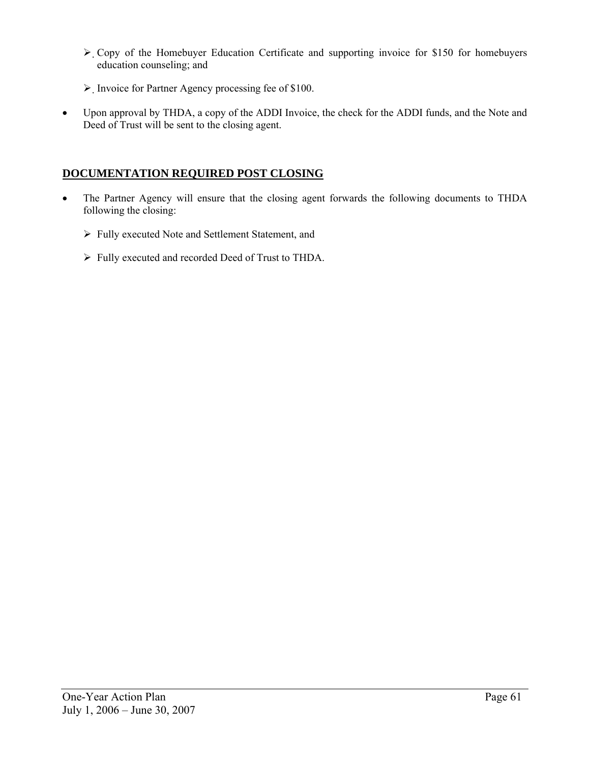- ¾ Copy of the Homebuyer Education Certificate and supporting invoice for \$150 for homebuyers education counseling; and
- ¾ Invoice for Partner Agency processing fee of \$100.
- Upon approval by THDA, a copy of the ADDI Invoice, the check for the ADDI funds, and the Note and Deed of Trust will be sent to the closing agent.

### **DOCUMENTATION REQUIRED POST CLOSING**

- The Partner Agency will ensure that the closing agent forwards the following documents to THDA following the closing:
	- ¾ Fully executed Note and Settlement Statement, and
	- ¾ Fully executed and recorded Deed of Trust to THDA.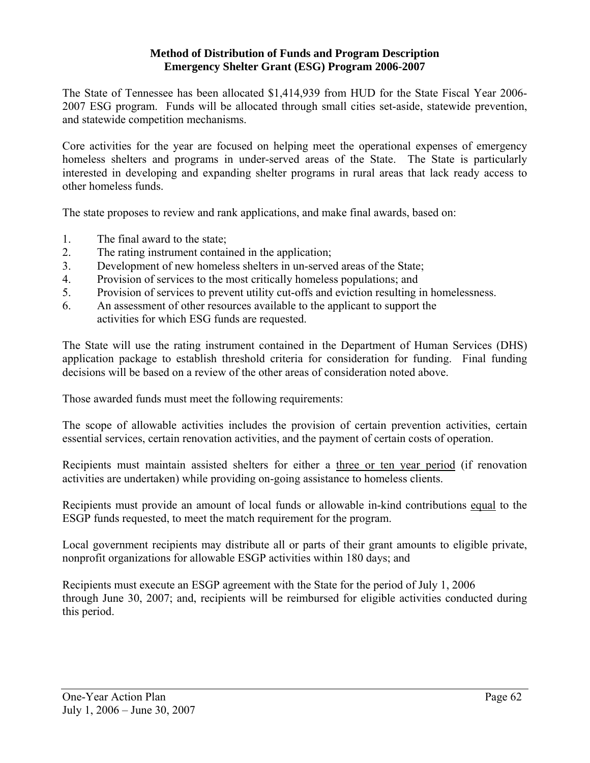### **Method of Distribution of Funds and Program Description Emergency Shelter Grant (ESG) Program 2006-2007**

The State of Tennessee has been allocated \$1,414,939 from HUD for the State Fiscal Year 2006- 2007 ESG program. Funds will be allocated through small cities set-aside, statewide prevention, and statewide competition mechanisms.

Core activities for the year are focused on helping meet the operational expenses of emergency homeless shelters and programs in under-served areas of the State. The State is particularly interested in developing and expanding shelter programs in rural areas that lack ready access to other homeless funds.

The state proposes to review and rank applications, and make final awards, based on:

- 1. The final award to the state;
- 2. The rating instrument contained in the application;
- 3. Development of new homeless shelters in un-served areas of the State;
- 4. Provision of services to the most critically homeless populations; and
- 5. Provision of services to prevent utility cut-offs and eviction resulting in homelessness.
- 6. An assessment of other resources available to the applicant to support the activities for which ESG funds are requested.

The State will use the rating instrument contained in the Department of Human Services (DHS) application package to establish threshold criteria for consideration for funding. Final funding decisions will be based on a review of the other areas of consideration noted above.

Those awarded funds must meet the following requirements:

The scope of allowable activities includes the provision of certain prevention activities, certain essential services, certain renovation activities, and the payment of certain costs of operation.

Recipients must maintain assisted shelters for either a three or ten year period (if renovation activities are undertaken) while providing on-going assistance to homeless clients.

Recipients must provide an amount of local funds or allowable in-kind contributions equal to the ESGP funds requested, to meet the match requirement for the program.

Local government recipients may distribute all or parts of their grant amounts to eligible private, nonprofit organizations for allowable ESGP activities within 180 days; and

Recipients must execute an ESGP agreement with the State for the period of July 1, 2006 through June 30, 2007; and, recipients will be reimbursed for eligible activities conducted during this period.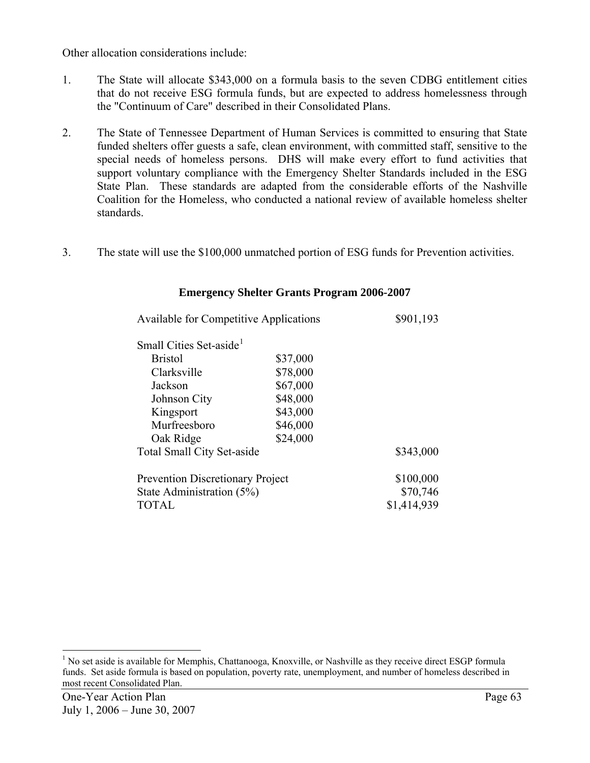Other allocation considerations include:

- 1. The State will allocate \$343,000 on a formula basis to the seven CDBG entitlement cities that do not receive ESG formula funds, but are expected to address homelessness through the "Continuum of Care" described in their Consolidated Plans.
- 2. The State of Tennessee Department of Human Services is committed to ensuring that State funded shelters offer guests a safe, clean environment, with committed staff, sensitive to the special needs of homeless persons. DHS will make every effort to fund activities that support voluntary compliance with the Emergency Shelter Standards included in the ESG State Plan. These standards are adapted from the considerable efforts of the Nashville Coalition for the Homeless, who conducted a national review of available homeless shelter standards.
- 3. The state will use the \$100,000 unmatched portion of ESG funds for Prevention activities.

| <b>Available for Competitive Applications</b> |          | \$901,193   |
|-----------------------------------------------|----------|-------------|
| Small Cities Set-aside <sup>1</sup>           |          |             |
| <b>Bristol</b>                                | \$37,000 |             |
| Clarksville                                   | \$78,000 |             |
| Jackson                                       | \$67,000 |             |
| Johnson City                                  | \$48,000 |             |
| Kingsport                                     | \$43,000 |             |
| Murfreesboro                                  | \$46,000 |             |
| Oak Ridge                                     | \$24,000 |             |
| <b>Total Small City Set-aside</b>             |          | \$343,000   |
| <b>Prevention Discretionary Project</b>       |          | \$100,000   |
| State Administration (5%)                     |          | \$70,746    |
| TOTAL                                         |          | \$1,414,939 |

### **Emergency Shelter Grants Program 2006-2007**

l

<span id="page-64-0"></span><sup>&</sup>lt;sup>1</sup> No set aside is available for Memphis, Chattanooga, Knoxville, or Nashville as they receive direct ESGP formula funds. Set aside formula is based on population, poverty rate, unemployment, and number of homeless described in most recent Consolidated Plan.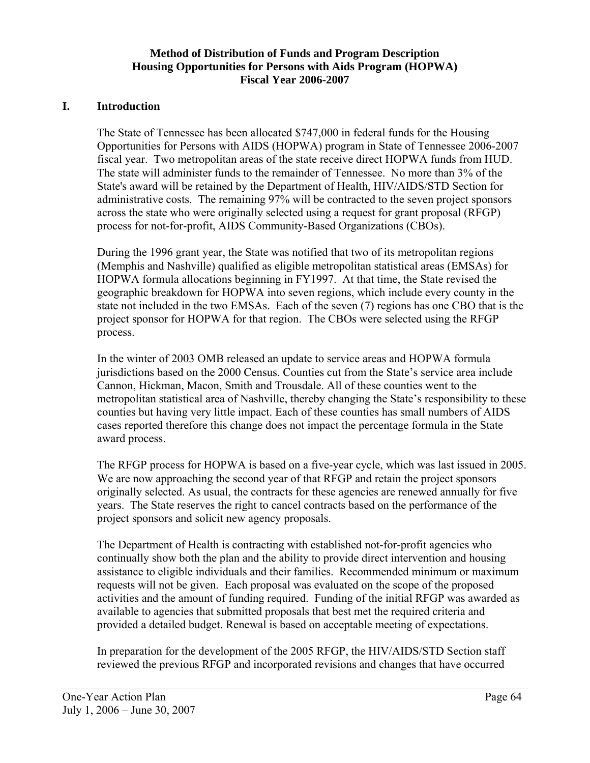### **Method of Distribution of Funds and Program Description Housing Opportunities for Persons with Aids Program (HOPWA) Fiscal Year 2006-2007**

### **I. Introduction**

The State of Tennessee has been allocated \$747,000 in federal funds for the Housing Opportunities for Persons with AIDS (HOPWA) program in State of Tennessee 2006-2007 fiscal year. Two metropolitan areas of the state receive direct HOPWA funds from HUD. The state will administer funds to the remainder of Tennessee. No more than 3% of the State's award will be retained by the Department of Health, HIV/AIDS/STD Section for administrative costs. The remaining 97% will be contracted to the seven project sponsors across the state who were originally selected using a request for grant proposal (RFGP) process for not-for-profit, AIDS Community-Based Organizations (CBOs).

During the 1996 grant year, the State was notified that two of its metropolitan regions (Memphis and Nashville) qualified as eligible metropolitan statistical areas (EMSAs) for HOPWA formula allocations beginning in FY1997. At that time, the State revised the geographic breakdown for HOPWA into seven regions, which include every county in the state not included in the two EMSAs. Each of the seven (7) regions has one CBO that is the project sponsor for HOPWA for that region. The CBOs were selected using the RFGP process.

In the winter of 2003 OMB released an update to service areas and HOPWA formula jurisdictions based on the 2000 Census. Counties cut from the State's service area include Cannon, Hickman, Macon, Smith and Trousdale. All of these counties went to the metropolitan statistical area of Nashville, thereby changing the State's responsibility to these counties but having very little impact. Each of these counties has small numbers of AIDS cases reported therefore this change does not impact the percentage formula in the State award process.

The RFGP process for HOPWA is based on a five-year cycle, which was last issued in 2005. We are now approaching the second year of that RFGP and retain the project sponsors originally selected. As usual, the contracts for these agencies are renewed annually for five years. The State reserves the right to cancel contracts based on the performance of the project sponsors and solicit new agency proposals.

The Department of Health is contracting with established not-for-profit agencies who continually show both the plan and the ability to provide direct intervention and housing assistance to eligible individuals and their families. Recommended minimum or maximum requests will not be given. Each proposal was evaluated on the scope of the proposed activities and the amount of funding required. Funding of the initial RFGP was awarded as available to agencies that submitted proposals that best met the required criteria and provided a detailed budget. Renewal is based on acceptable meeting of expectations.

In preparation for the development of the 2005 RFGP, the HIV/AIDS/STD Section staff reviewed the previous RFGP and incorporated revisions and changes that have occurred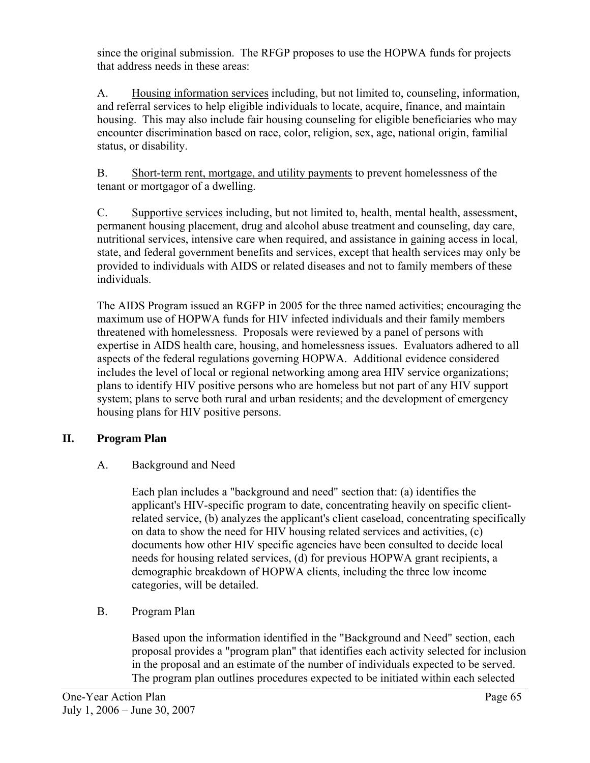since the original submission. The RFGP proposes to use the HOPWA funds for projects that address needs in these areas:

A. Housing information services including, but not limited to, counseling, information, and referral services to help eligible individuals to locate, acquire, finance, and maintain housing. This may also include fair housing counseling for eligible beneficiaries who may encounter discrimination based on race, color, religion, sex, age, national origin, familial status, or disability.

B. Short-term rent, mortgage, and utility payments to prevent homelessness of the tenant or mortgagor of a dwelling.

C. Supportive services including, but not limited to, health, mental health, assessment, permanent housing placement, drug and alcohol abuse treatment and counseling, day care, nutritional services, intensive care when required, and assistance in gaining access in local, state, and federal government benefits and services, except that health services may only be provided to individuals with AIDS or related diseases and not to family members of these individuals.

The AIDS Program issued an RGFP in 2005 for the three named activities; encouraging the maximum use of HOPWA funds for HIV infected individuals and their family members threatened with homelessness. Proposals were reviewed by a panel of persons with expertise in AIDS health care, housing, and homelessness issues. Evaluators adhered to all aspects of the federal regulations governing HOPWA. Additional evidence considered includes the level of local or regional networking among area HIV service organizations; plans to identify HIV positive persons who are homeless but not part of any HIV support system; plans to serve both rural and urban residents; and the development of emergency housing plans for HIV positive persons.

# **II. Program Plan**

## A. Background and Need

Each plan includes a "background and need" section that: (a) identifies the applicant's HIV-specific program to date, concentrating heavily on specific clientrelated service, (b) analyzes the applicant's client caseload, concentrating specifically on data to show the need for HIV housing related services and activities, (c) documents how other HIV specific agencies have been consulted to decide local needs for housing related services, (d) for previous HOPWA grant recipients, a demographic breakdown of HOPWA clients, including the three low income categories, will be detailed.

B. Program Plan

Based upon the information identified in the "Background and Need" section, each proposal provides a "program plan" that identifies each activity selected for inclusion in the proposal and an estimate of the number of individuals expected to be served. The program plan outlines procedures expected to be initiated within each selected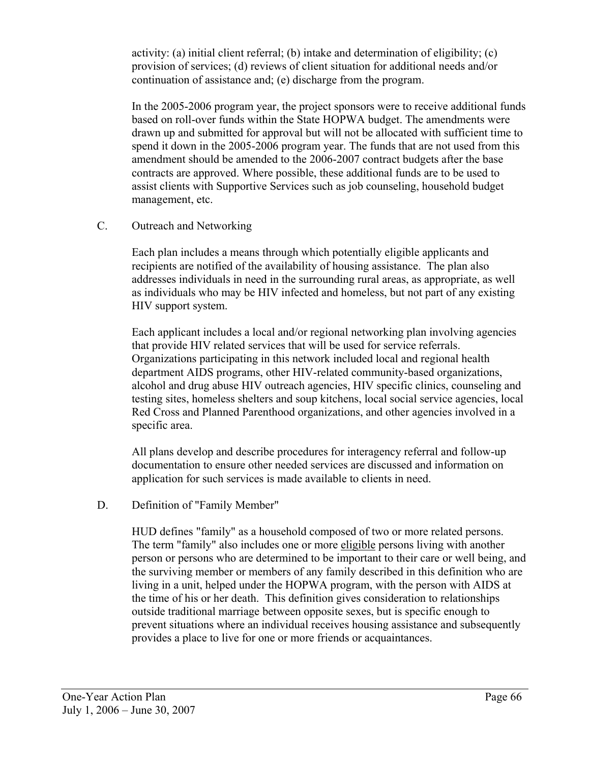activity: (a) initial client referral; (b) intake and determination of eligibility; (c) provision of services; (d) reviews of client situation for additional needs and/or continuation of assistance and; (e) discharge from the program.

In the 2005-2006 program year, the project sponsors were to receive additional funds based on roll-over funds within the State HOPWA budget. The amendments were drawn up and submitted for approval but will not be allocated with sufficient time to spend it down in the 2005-2006 program year. The funds that are not used from this amendment should be amended to the 2006-2007 contract budgets after the base contracts are approved. Where possible, these additional funds are to be used to assist clients with Supportive Services such as job counseling, household budget management, etc.

### C. Outreach and Networking

Each plan includes a means through which potentially eligible applicants and recipients are notified of the availability of housing assistance. The plan also addresses individuals in need in the surrounding rural areas, as appropriate, as well as individuals who may be HIV infected and homeless, but not part of any existing HIV support system.

Each applicant includes a local and/or regional networking plan involving agencies that provide HIV related services that will be used for service referrals. Organizations participating in this network included local and regional health department AIDS programs, other HIV-related community-based organizations, alcohol and drug abuse HIV outreach agencies, HIV specific clinics, counseling and testing sites, homeless shelters and soup kitchens, local social service agencies, local Red Cross and Planned Parenthood organizations, and other agencies involved in a specific area.

All plans develop and describe procedures for interagency referral and follow-up documentation to ensure other needed services are discussed and information on application for such services is made available to clients in need.

### D. Definition of "Family Member"

HUD defines "family" as a household composed of two or more related persons. The term "family" also includes one or more eligible persons living with another person or persons who are determined to be important to their care or well being, and the surviving member or members of any family described in this definition who are living in a unit, helped under the HOPWA program, with the person with AIDS at the time of his or her death. This definition gives consideration to relationships outside traditional marriage between opposite sexes, but is specific enough to prevent situations where an individual receives housing assistance and subsequently provides a place to live for one or more friends or acquaintances.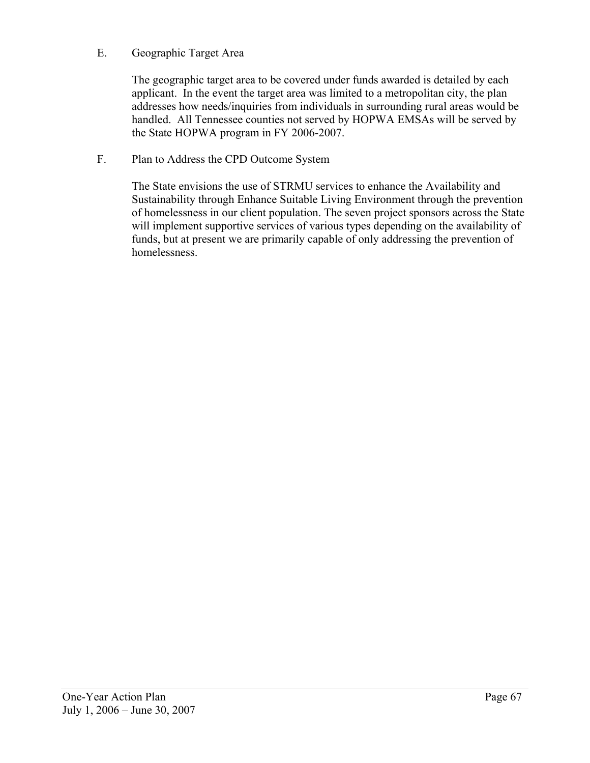### E. Geographic Target Area

The geographic target area to be covered under funds awarded is detailed by each applicant. In the event the target area was limited to a metropolitan city, the plan addresses how needs/inquiries from individuals in surrounding rural areas would be handled. All Tennessee counties not served by HOPWA EMSAs will be served by the State HOPWA program in FY 2006-2007.

### F. Plan to Address the CPD Outcome System

The State envisions the use of STRMU services to enhance the Availability and Sustainability through Enhance Suitable Living Environment through the prevention of homelessness in our client population. The seven project sponsors across the State will implement supportive services of various types depending on the availability of funds, but at present we are primarily capable of only addressing the prevention of homelessness.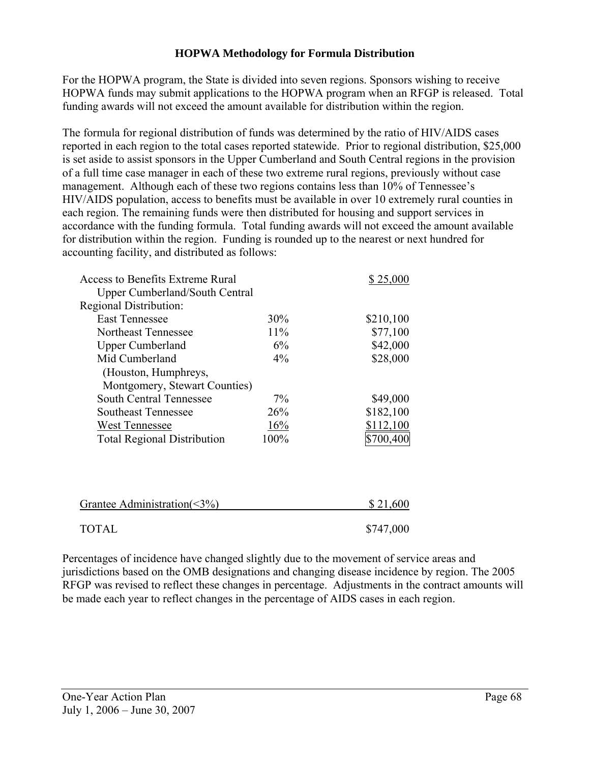### **HOPWA Methodology for Formula Distribution**

For the HOPWA program, the State is divided into seven regions. Sponsors wishing to receive HOPWA funds may submit applications to the HOPWA program when an RFGP is released. Total funding awards will not exceed the amount available for distribution within the region.

The formula for regional distribution of funds was determined by the ratio of HIV/AIDS cases reported in each region to the total cases reported statewide. Prior to regional distribution, \$25,000 is set aside to assist sponsors in the Upper Cumberland and South Central regions in the provision of a full time case manager in each of these two extreme rural regions, previously without case management. Although each of these two regions contains less than 10% of Tennessee's HIV/AIDS population, access to benefits must be available in over 10 extremely rural counties in each region. The remaining funds were then distributed for housing and support services in accordance with the funding formula. Total funding awards will not exceed the amount available for distribution within the region. Funding is rounded up to the nearest or next hundred for accounting facility, and distributed as follows:

| Access to Benefits Extreme Rural      |       | \$25,000  |
|---------------------------------------|-------|-----------|
| <b>Upper Cumberland/South Central</b> |       |           |
| Regional Distribution:                |       |           |
| <b>East Tennessee</b>                 | 30%   | \$210,100 |
| Northeast Tennessee                   | 11%   | \$77,100  |
| <b>Upper Cumberland</b>               | 6%    | \$42,000  |
| Mid Cumberland                        | $4\%$ | \$28,000  |
| (Houston, Humphreys,                  |       |           |
| Montgomery, Stewart Counties)         |       |           |
| South Central Tennessee               | $7\%$ | \$49,000  |
| Southeast Tennessee                   | 26%   | \$182,100 |
| <b>West Tennessee</b>                 | 16%   | \$112,100 |
| <b>Total Regional Distribution</b>    | 100%  |           |
|                                       |       |           |

| Grantee Administration( $\leq 3\%$ ) | \$21,600  |
|--------------------------------------|-----------|
|                                      |           |
| TOTAL                                | \$747,000 |

Percentages of incidence have changed slightly due to the movement of service areas and jurisdictions based on the OMB designations and changing disease incidence by region. The 2005 RFGP was revised to reflect these changes in percentage. Adjustments in the contract amounts will be made each year to reflect changes in the percentage of AIDS cases in each region.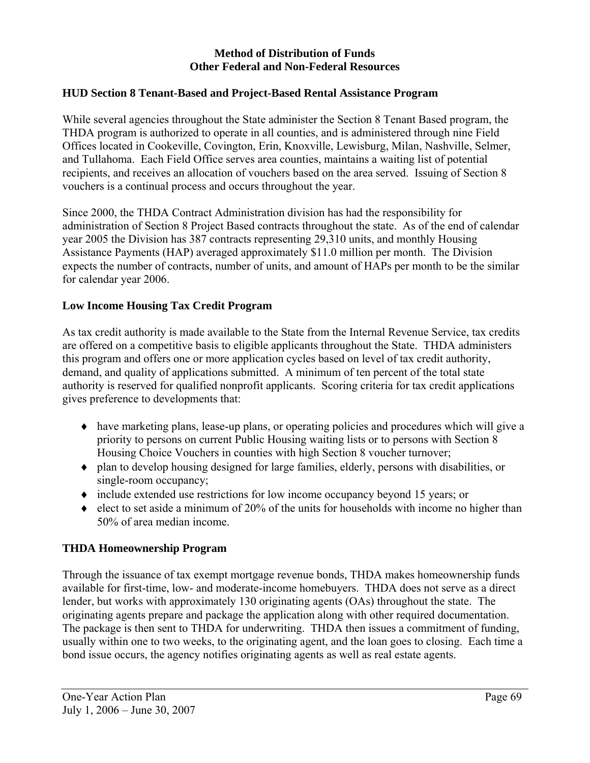### **Method of Distribution of Funds Other Federal and Non-Federal Resources**

### **HUD Section 8 Tenant-Based and Project-Based Rental Assistance Program**

While several agencies throughout the State administer the Section 8 Tenant Based program, the THDA program is authorized to operate in all counties, and is administered through nine Field Offices located in Cookeville, Covington, Erin, Knoxville, Lewisburg, Milan, Nashville, Selmer, and Tullahoma. Each Field Office serves area counties, maintains a waiting list of potential recipients, and receives an allocation of vouchers based on the area served. Issuing of Section 8 vouchers is a continual process and occurs throughout the year.

Since 2000, the THDA Contract Administration division has had the responsibility for administration of Section 8 Project Based contracts throughout the state. As of the end of calendar year 2005 the Division has 387 contracts representing 29,310 units, and monthly Housing Assistance Payments (HAP) averaged approximately \$11.0 million per month. The Division expects the number of contracts, number of units, and amount of HAPs per month to be the similar for calendar year 2006.

### **Low Income Housing Tax Credit Program**

As tax credit authority is made available to the State from the Internal Revenue Service, tax credits are offered on a competitive basis to eligible applicants throughout the State. THDA administers this program and offers one or more application cycles based on level of tax credit authority, demand, and quality of applications submitted. A minimum of ten percent of the total state authority is reserved for qualified nonprofit applicants. Scoring criteria for tax credit applications gives preference to developments that:

- ♦ have marketing plans, lease-up plans, or operating policies and procedures which will give a priority to persons on current Public Housing waiting lists or to persons with Section 8 Housing Choice Vouchers in counties with high Section 8 voucher turnover;
- ♦ plan to develop housing designed for large families, elderly, persons with disabilities, or single-room occupancy;
- ♦ include extended use restrictions for low income occupancy beyond 15 years; or
- $\bullet$  elect to set aside a minimum of 20% of the units for households with income no higher than 50% of area median income.

## **THDA Homeownership Program**

Through the issuance of tax exempt mortgage revenue bonds, THDA makes homeownership funds available for first-time, low- and moderate-income homebuyers. THDA does not serve as a direct lender, but works with approximately 130 originating agents (OAs) throughout the state. The originating agents prepare and package the application along with other required documentation. The package is then sent to THDA for underwriting. THDA then issues a commitment of funding, usually within one to two weeks, to the originating agent, and the loan goes to closing. Each time a bond issue occurs, the agency notifies originating agents as well as real estate agents.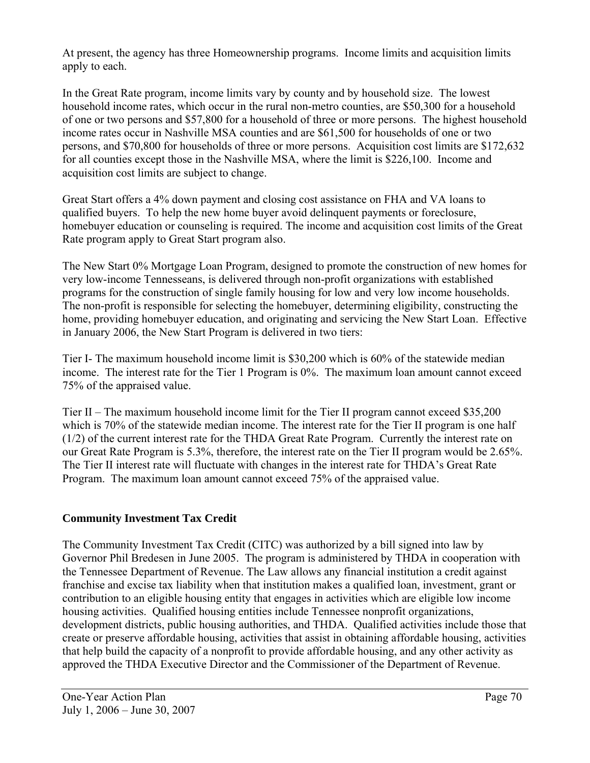At present, the agency has three Homeownership programs. Income limits and acquisition limits apply to each.

In the Great Rate program, income limits vary by county and by household size. The lowest household income rates, which occur in the rural non-metro counties, are \$50,300 for a household of one or two persons and \$57,800 for a household of three or more persons. The highest household income rates occur in Nashville MSA counties and are \$61,500 for households of one or two persons, and \$70,800 for households of three or more persons. Acquisition cost limits are \$172,632 for all counties except those in the Nashville MSA, where the limit is \$226,100. Income and acquisition cost limits are subject to change.

Great Start offers a 4% down payment and closing cost assistance on FHA and VA loans to qualified buyers. To help the new home buyer avoid delinquent payments or foreclosure, homebuyer education or counseling is required. The income and acquisition cost limits of the Great Rate program apply to Great Start program also.

The New Start 0% Mortgage Loan Program, designed to promote the construction of new homes for very low-income Tennesseans, is delivered through non-profit organizations with established programs for the construction of single family housing for low and very low income households. The non-profit is responsible for selecting the homebuyer, determining eligibility, constructing the home, providing homebuyer education, and originating and servicing the New Start Loan. Effective in January 2006, the New Start Program is delivered in two tiers:

Tier I- The maximum household income limit is \$30,200 which is 60% of the statewide median income. The interest rate for the Tier 1 Program is 0%. The maximum loan amount cannot exceed 75% of the appraised value.

Tier II – The maximum household income limit for the Tier II program cannot exceed \$35,200 which is 70% of the statewide median income. The interest rate for the Tier II program is one half (1/2) of the current interest rate for the THDA Great Rate Program. Currently the interest rate on our Great Rate Program is 5.3%, therefore, the interest rate on the Tier II program would be 2.65%. The Tier II interest rate will fluctuate with changes in the interest rate for THDA's Great Rate Program. The maximum loan amount cannot exceed 75% of the appraised value.

## **Community Investment Tax Credit**

The Community Investment Tax Credit (CITC) was authorized by a bill signed into law by Governor Phil Bredesen in June 2005. The program is administered by THDA in cooperation with the Tennessee Department of Revenue. The Law allows any financial institution a credit against franchise and excise tax liability when that institution makes a qualified loan, investment, grant or contribution to an eligible housing entity that engages in activities which are eligible low income housing activities. Qualified housing entities include Tennessee nonprofit organizations, development districts, public housing authorities, and THDA. Qualified activities include those that create or preserve affordable housing, activities that assist in obtaining affordable housing, activities that help build the capacity of a nonprofit to provide affordable housing, and any other activity as approved the THDA Executive Director and the Commissioner of the Department of Revenue.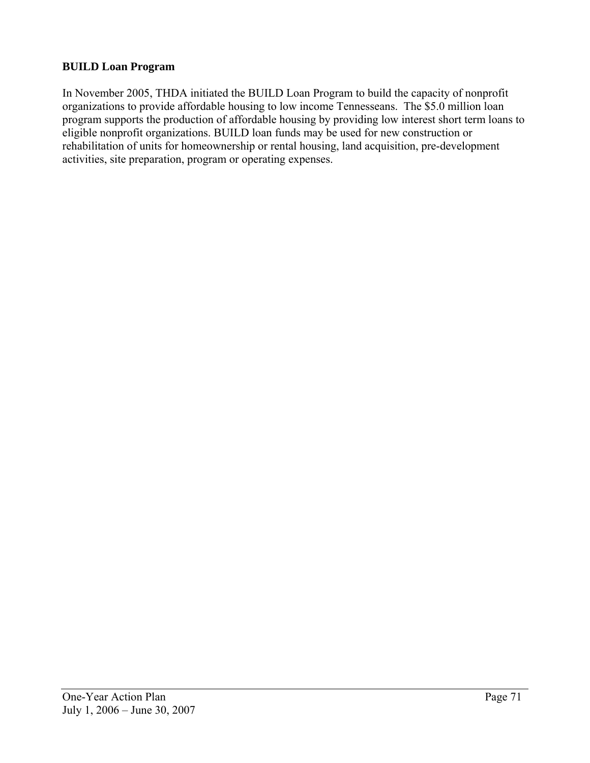## **BUILD Loan Program**

In November 2005, THDA initiated the BUILD Loan Program to build the capacity of nonprofit organizations to provide affordable housing to low income Tennesseans. The \$5.0 million loan program supports the production of affordable housing by providing low interest short term loans to eligible nonprofit organizations. BUILD loan funds may be used for new construction or rehabilitation of units for homeownership or rental housing, land acquisition, pre-development activities, site preparation, program or operating expenses.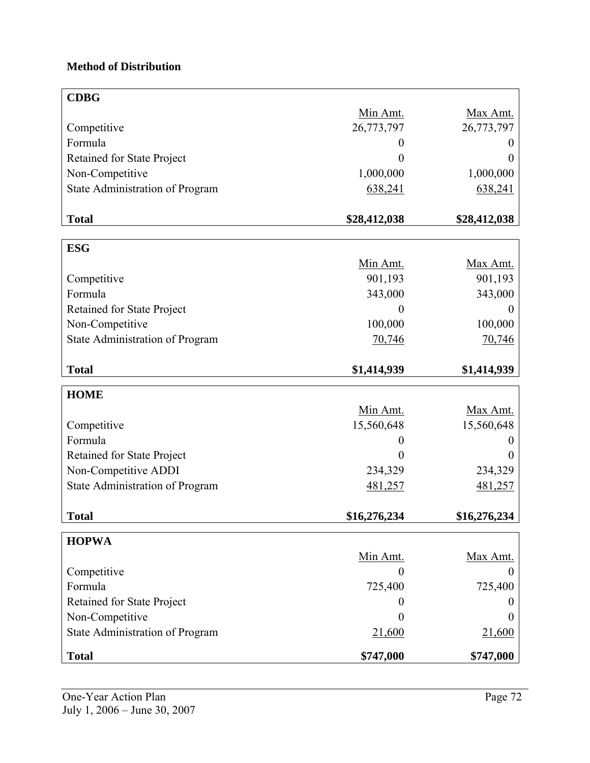## **Method of Distribution**

| <b>CDBG</b>                       |                |                 |
|-----------------------------------|----------------|-----------------|
|                                   | Min Amt.       | Max Amt.        |
| Competitive                       | 26,773,797     | 26,773,797      |
| Formula                           | 0              |                 |
| Retained for State Project        | 0              | 0               |
| Non-Competitive                   | 1,000,000      | 1,000,000       |
| State Administration of Program   | 638,241        | 638,241         |
|                                   |                |                 |
| <b>Total</b>                      | \$28,412,038   | \$28,412,038    |
| <b>ESG</b>                        |                |                 |
|                                   | Min Amt.       | Max Amt.        |
| Competitive                       | 901,193        | 901,193         |
| Formula                           | 343,000        | 343,000         |
| <b>Retained for State Project</b> | 0              | $\theta$        |
| Non-Competitive                   | 100,000        | 100,000         |
| State Administration of Program   | 70,746         | 70,746          |
|                                   |                |                 |
| <b>Total</b>                      | \$1,414,939    | \$1,414,939     |
| <b>HOME</b>                       |                |                 |
|                                   | Min Amt.       | Max Amt.        |
| Competitive                       | 15,560,648     | 15,560,648      |
| Formula                           |                |                 |
| Retained for State Project        | $\overline{0}$ | $\theta$        |
| Non-Competitive ADDI              | 234,329        | 234,329         |
| State Administration of Program   | 481,257        | 481,257         |
|                                   |                |                 |
| <b>Total</b>                      | \$16,276,234   | \$16,276,234    |
| <b>HOPWA</b>                      |                |                 |
|                                   | Min Amt.       | <b>Max Amt.</b> |
| Competitive                       | $\theta$       | 0               |
| Formula                           | 725,400        | 725,400         |
| <b>Retained for State Project</b> | 0              |                 |
| Non-Competitive                   | 0              | 0               |
| State Administration of Program   | 21,600         | 21,600          |
|                                   |                |                 |
| <b>Total</b>                      | \$747,000      | \$747,000       |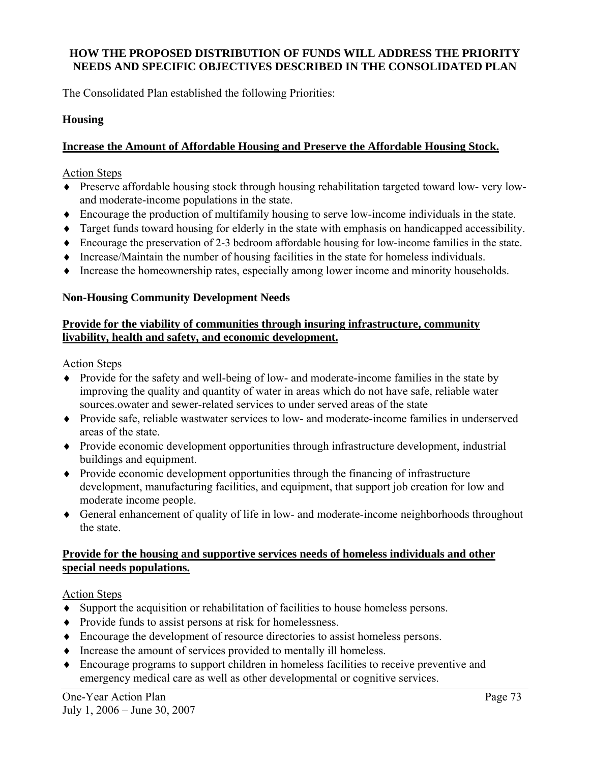## **HOW THE PROPOSED DISTRIBUTION OF FUNDS WILL ADDRESS THE PRIORITY NEEDS AND SPECIFIC OBJECTIVES DESCRIBED IN THE CONSOLIDATED PLAN**

The Consolidated Plan established the following Priorities:

## **Housing**

## **Increase the Amount of Affordable Housing and Preserve the Affordable Housing Stock.**

#### Action Steps

- ♦ Preserve affordable housing stock through housing rehabilitation targeted toward low- very lowand moderate-income populations in the state.
- ♦ Encourage the production of multifamily housing to serve low-income individuals in the state.
- ♦ Target funds toward housing for elderly in the state with emphasis on handicapped accessibility.
- ♦ Encourage the preservation of 2-3 bedroom affordable housing for low-income families in the state.
- ♦ Increase/Maintain the number of housing facilities in the state for homeless individuals.
- ♦ Increase the homeownership rates, especially among lower income and minority households.

## **Non-Housing Community Development Needs**

## **Provide for the viability of communities through insuring infrastructure, community livability, health and safety, and economic development.**

#### Action Steps

- ♦ Provide for the safety and well-being of low- and moderate-income families in the state by improving the quality and quantity of water in areas which do not have safe, reliable water sources.owater and sewer-related services to under served areas of the state
- ♦ Provide safe, reliable wastwater services to low- and moderate-income families in underserved areas of the state.
- ♦ Provide economic development opportunities through infrastructure development, industrial buildings and equipment.
- ♦ Provide economic development opportunities through the financing of infrastructure development, manufacturing facilities, and equipment, that support job creation for low and moderate income people.
- ♦ General enhancement of quality of life in low- and moderate-income neighborhoods throughout the state.

## **Provide for the housing and supportive services needs of homeless individuals and other special needs populations.**

## Action Steps

- ♦ Support the acquisition or rehabilitation of facilities to house homeless persons.
- ♦ Provide funds to assist persons at risk for homelessness.
- ♦ Encourage the development of resource directories to assist homeless persons.
- ♦ Increase the amount of services provided to mentally ill homeless.
- ♦ Encourage programs to support children in homeless facilities to receive preventive and emergency medical care as well as other developmental or cognitive services.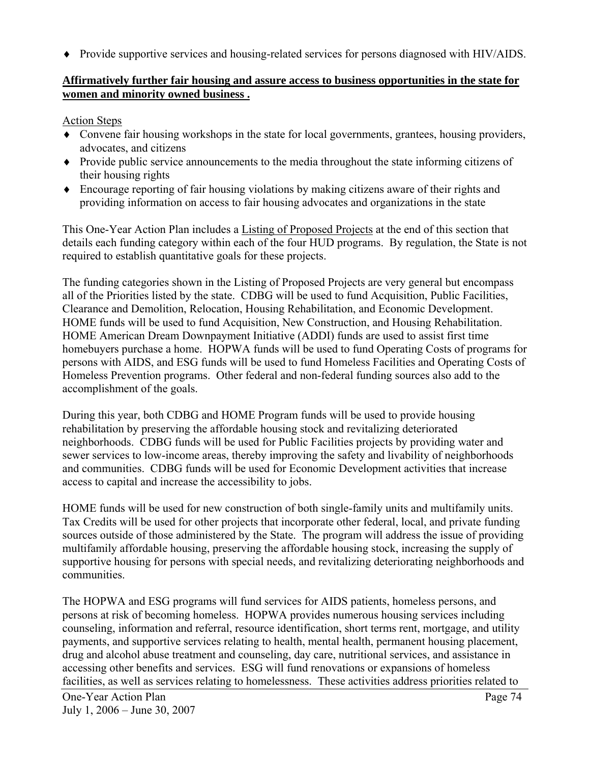♦ Provide supportive services and housing-related services for persons diagnosed with HIV/AIDS.

## **Affirmatively further fair housing and assure access to business opportunities in the state for women and minority owned business .**

## Action Steps

- ♦ Convene fair housing workshops in the state for local governments, grantees, housing providers, advocates, and citizens
- ♦ Provide public service announcements to the media throughout the state informing citizens of their housing rights
- ♦ Encourage reporting of fair housing violations by making citizens aware of their rights and providing information on access to fair housing advocates and organizations in the state

This One-Year Action Plan includes a Listing of Proposed Projects at the end of this section that details each funding category within each of the four HUD programs. By regulation, the State is not required to establish quantitative goals for these projects.

The funding categories shown in the Listing of Proposed Projects are very general but encompass all of the Priorities listed by the state. CDBG will be used to fund Acquisition, Public Facilities, Clearance and Demolition, Relocation, Housing Rehabilitation, and Economic Development. HOME funds will be used to fund Acquisition, New Construction, and Housing Rehabilitation. HOME American Dream Downpayment Initiative (ADDI) funds are used to assist first time homebuyers purchase a home. HOPWA funds will be used to fund Operating Costs of programs for persons with AIDS, and ESG funds will be used to fund Homeless Facilities and Operating Costs of Homeless Prevention programs. Other federal and non-federal funding sources also add to the accomplishment of the goals.

During this year, both CDBG and HOME Program funds will be used to provide housing rehabilitation by preserving the affordable housing stock and revitalizing deteriorated neighborhoods. CDBG funds will be used for Public Facilities projects by providing water and sewer services to low-income areas, thereby improving the safety and livability of neighborhoods and communities. CDBG funds will be used for Economic Development activities that increase access to capital and increase the accessibility to jobs.

HOME funds will be used for new construction of both single-family units and multifamily units. Tax Credits will be used for other projects that incorporate other federal, local, and private funding sources outside of those administered by the State. The program will address the issue of providing multifamily affordable housing, preserving the affordable housing stock, increasing the supply of supportive housing for persons with special needs, and revitalizing deteriorating neighborhoods and communities.

The HOPWA and ESG programs will fund services for AIDS patients, homeless persons, and persons at risk of becoming homeless. HOPWA provides numerous housing services including counseling, information and referral, resource identification, short terms rent, mortgage, and utility payments, and supportive services relating to health, mental health, permanent housing placement, drug and alcohol abuse treatment and counseling, day care, nutritional services, and assistance in accessing other benefits and services. ESG will fund renovations or expansions of homeless facilities, as well as services relating to homelessness. These activities address priorities related to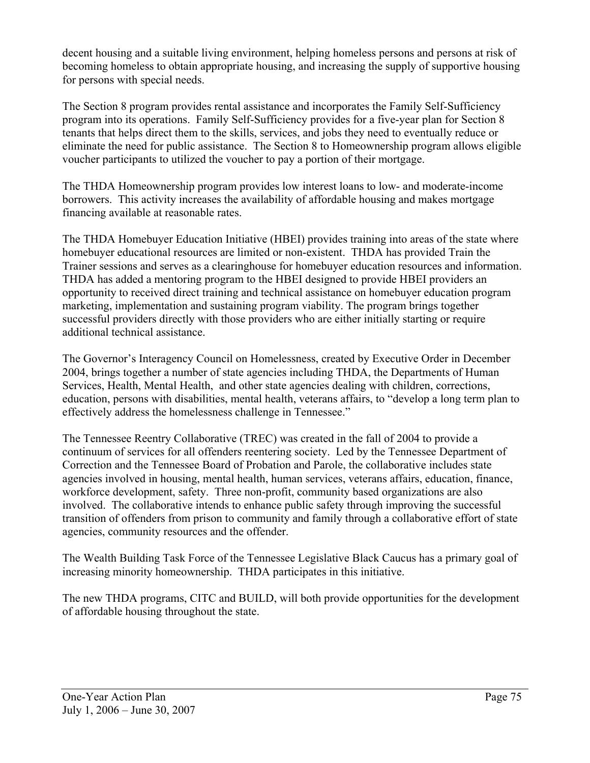decent housing and a suitable living environment, helping homeless persons and persons at risk of becoming homeless to obtain appropriate housing, and increasing the supply of supportive housing for persons with special needs.

The Section 8 program provides rental assistance and incorporates the Family Self-Sufficiency program into its operations. Family Self-Sufficiency provides for a five-year plan for Section 8 tenants that helps direct them to the skills, services, and jobs they need to eventually reduce or eliminate the need for public assistance. The Section 8 to Homeownership program allows eligible voucher participants to utilized the voucher to pay a portion of their mortgage.

The THDA Homeownership program provides low interest loans to low- and moderate-income borrowers. This activity increases the availability of affordable housing and makes mortgage financing available at reasonable rates.

The THDA Homebuyer Education Initiative (HBEI) provides training into areas of the state where homebuyer educational resources are limited or non-existent. THDA has provided Train the Trainer sessions and serves as a clearinghouse for homebuyer education resources and information. THDA has added a mentoring program to the HBEI designed to provide HBEI providers an opportunity to received direct training and technical assistance on homebuyer education program marketing, implementation and sustaining program viability. The program brings together successful providers directly with those providers who are either initially starting or require additional technical assistance.

The Governor's Interagency Council on Homelessness, created by Executive Order in December 2004, brings together a number of state agencies including THDA, the Departments of Human Services, Health, Mental Health, and other state agencies dealing with children, corrections, education, persons with disabilities, mental health, veterans affairs, to "develop a long term plan to effectively address the homelessness challenge in Tennessee."

The Tennessee Reentry Collaborative (TREC) was created in the fall of 2004 to provide a continuum of services for all offenders reentering society. Led by the Tennessee Department of Correction and the Tennessee Board of Probation and Parole, the collaborative includes state agencies involved in housing, mental health, human services, veterans affairs, education, finance, workforce development, safety. Three non-profit, community based organizations are also involved. The collaborative intends to enhance public safety through improving the successful transition of offenders from prison to community and family through a collaborative effort of state agencies, community resources and the offender.

The Wealth Building Task Force of the Tennessee Legislative Black Caucus has a primary goal of increasing minority homeownership. THDA participates in this initiative.

The new THDA programs, CITC and BUILD, will both provide opportunities for the development of affordable housing throughout the state.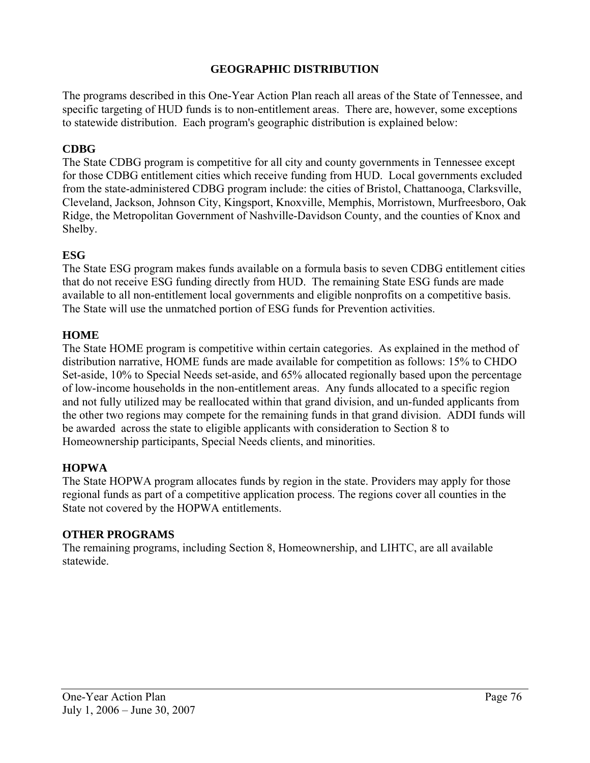## **GEOGRAPHIC DISTRIBUTION**

The programs described in this One-Year Action Plan reach all areas of the State of Tennessee, and specific targeting of HUD funds is to non-entitlement areas. There are, however, some exceptions to statewide distribution. Each program's geographic distribution is explained below:

## **CDBG**

The State CDBG program is competitive for all city and county governments in Tennessee except for those CDBG entitlement cities which receive funding from HUD. Local governments excluded from the state-administered CDBG program include: the cities of Bristol, Chattanooga, Clarksville, Cleveland, Jackson, Johnson City, Kingsport, Knoxville, Memphis, Morristown, Murfreesboro, Oak Ridge, the Metropolitan Government of Nashville-Davidson County, and the counties of Knox and Shelby.

## **ESG**

The State ESG program makes funds available on a formula basis to seven CDBG entitlement cities that do not receive ESG funding directly from HUD. The remaining State ESG funds are made available to all non-entitlement local governments and eligible nonprofits on a competitive basis. The State will use the unmatched portion of ESG funds for Prevention activities.

## **HOME**

The State HOME program is competitive within certain categories. As explained in the method of distribution narrative, HOME funds are made available for competition as follows: 15% to CHDO Set-aside, 10% to Special Needs set-aside, and 65% allocated regionally based upon the percentage of low-income households in the non-entitlement areas. Any funds allocated to a specific region and not fully utilized may be reallocated within that grand division, and un-funded applicants from the other two regions may compete for the remaining funds in that grand division. ADDI funds will be awarded across the state to eligible applicants with consideration to Section 8 to Homeownership participants, Special Needs clients, and minorities.

## **HOPWA**

The State HOPWA program allocates funds by region in the state. Providers may apply for those regional funds as part of a competitive application process. The regions cover all counties in the State not covered by the HOPWA entitlements.

## **OTHER PROGRAMS**

The remaining programs, including Section 8, Homeownership, and LIHTC, are all available statewide.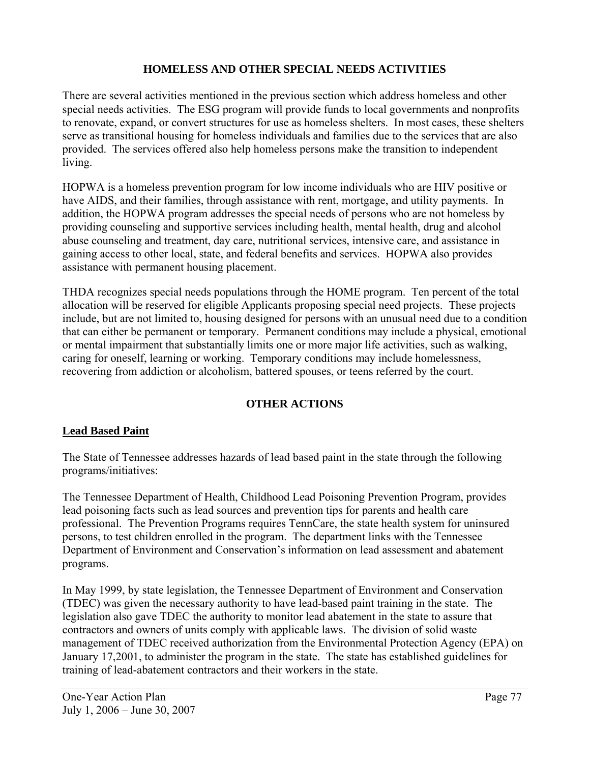## **HOMELESS AND OTHER SPECIAL NEEDS ACTIVITIES**

There are several activities mentioned in the previous section which address homeless and other special needs activities. The ESG program will provide funds to local governments and nonprofits to renovate, expand, or convert structures for use as homeless shelters. In most cases, these shelters serve as transitional housing for homeless individuals and families due to the services that are also provided. The services offered also help homeless persons make the transition to independent living.

HOPWA is a homeless prevention program for low income individuals who are HIV positive or have AIDS, and their families, through assistance with rent, mortgage, and utility payments. In addition, the HOPWA program addresses the special needs of persons who are not homeless by providing counseling and supportive services including health, mental health, drug and alcohol abuse counseling and treatment, day care, nutritional services, intensive care, and assistance in gaining access to other local, state, and federal benefits and services. HOPWA also provides assistance with permanent housing placement.

THDA recognizes special needs populations through the HOME program. Ten percent of the total allocation will be reserved for eligible Applicants proposing special need projects. These projects include, but are not limited to, housing designed for persons with an unusual need due to a condition that can either be permanent or temporary. Permanent conditions may include a physical, emotional or mental impairment that substantially limits one or more major life activities, such as walking, caring for oneself, learning or working. Temporary conditions may include homelessness, recovering from addiction or alcoholism, battered spouses, or teens referred by the court.

## **OTHER ACTIONS**

## **Lead Based Paint**

The State of Tennessee addresses hazards of lead based paint in the state through the following programs/initiatives:

The Tennessee Department of Health, Childhood Lead Poisoning Prevention Program, provides lead poisoning facts such as lead sources and prevention tips for parents and health care professional. The Prevention Programs requires TennCare, the state health system for uninsured persons, to test children enrolled in the program. The department links with the Tennessee Department of Environment and Conservation's information on lead assessment and abatement programs.

In May 1999, by state legislation, the Tennessee Department of Environment and Conservation (TDEC) was given the necessary authority to have lead-based paint training in the state. The legislation also gave TDEC the authority to monitor lead abatement in the state to assure that contractors and owners of units comply with applicable laws. The division of solid waste management of TDEC received authorization from the Environmental Protection Agency (EPA) on January 17,2001, to administer the program in the state. The state has established guidelines for training of lead-abatement contractors and their workers in the state.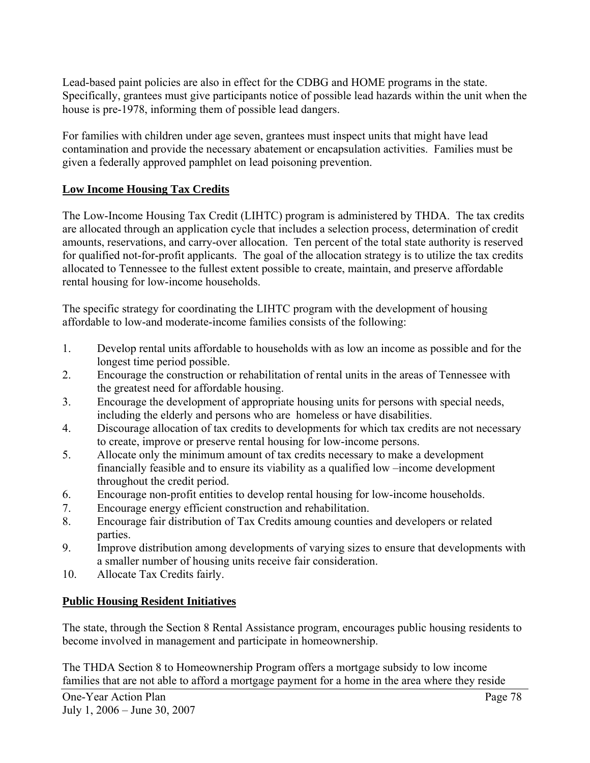Lead-based paint policies are also in effect for the CDBG and HOME programs in the state. Specifically, grantees must give participants notice of possible lead hazards within the unit when the house is pre-1978, informing them of possible lead dangers.

For families with children under age seven, grantees must inspect units that might have lead contamination and provide the necessary abatement or encapsulation activities. Families must be given a federally approved pamphlet on lead poisoning prevention.

## **Low Income Housing Tax Credits**

The Low-Income Housing Tax Credit (LIHTC) program is administered by THDA. The tax credits are allocated through an application cycle that includes a selection process, determination of credit amounts, reservations, and carry-over allocation. Ten percent of the total state authority is reserved for qualified not-for-profit applicants. The goal of the allocation strategy is to utilize the tax credits allocated to Tennessee to the fullest extent possible to create, maintain, and preserve affordable rental housing for low-income households.

The specific strategy for coordinating the LIHTC program with the development of housing affordable to low-and moderate-income families consists of the following:

- 1. Develop rental units affordable to households with as low an income as possible and for the longest time period possible.
- 2. Encourage the construction or rehabilitation of rental units in the areas of Tennessee with the greatest need for affordable housing.
- 3. Encourage the development of appropriate housing units for persons with special needs, including the elderly and persons who are homeless or have disabilities.
- 4. Discourage allocation of tax credits to developments for which tax credits are not necessary to create, improve or preserve rental housing for low-income persons.
- 5. Allocate only the minimum amount of tax credits necessary to make a development financially feasible and to ensure its viability as a qualified low –income development throughout the credit period.
- 6. Encourage non-profit entities to develop rental housing for low-income households.
- 7. Encourage energy efficient construction and rehabilitation.
- 8. Encourage fair distribution of Tax Credits amoung counties and developers or related parties.
- 9. Improve distribution among developments of varying sizes to ensure that developments with a smaller number of housing units receive fair consideration.
- 10. Allocate Tax Credits fairly.

## **Public Housing Resident Initiatives**

The state, through the Section 8 Rental Assistance program, encourages public housing residents to become involved in management and participate in homeownership.

The THDA Section 8 to Homeownership Program offers a mortgage subsidy to low income families that are not able to afford a mortgage payment for a home in the area where they reside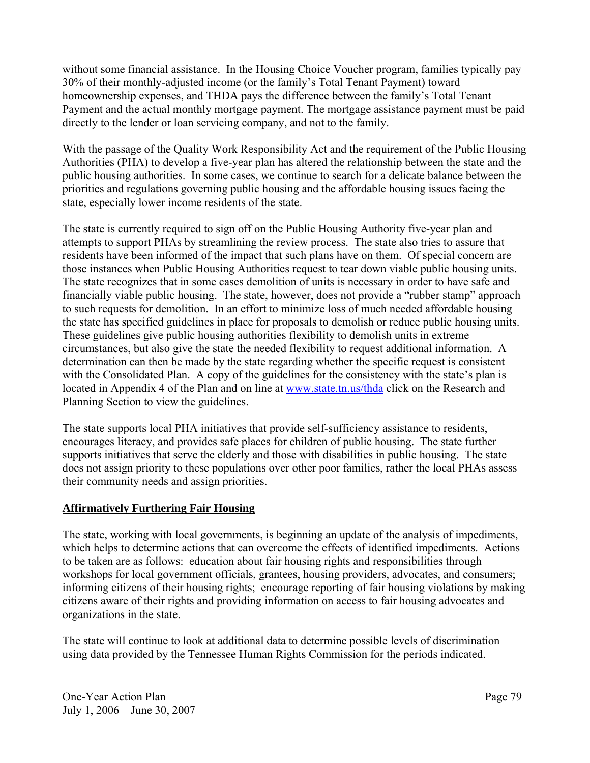without some financial assistance. In the Housing Choice Voucher program, families typically pay 30% of their monthly-adjusted income (or the family's Total Tenant Payment) toward homeownership expenses, and THDA pays the difference between the family's Total Tenant Payment and the actual monthly mortgage payment. The mortgage assistance payment must be paid directly to the lender or loan servicing company, and not to the family.

With the passage of the Quality Work Responsibility Act and the requirement of the Public Housing Authorities (PHA) to develop a five-year plan has altered the relationship between the state and the public housing authorities. In some cases, we continue to search for a delicate balance between the priorities and regulations governing public housing and the affordable housing issues facing the state, especially lower income residents of the state.

The state is currently required to sign off on the Public Housing Authority five-year plan and attempts to support PHAs by streamlining the review process. The state also tries to assure that residents have been informed of the impact that such plans have on them. Of special concern are those instances when Public Housing Authorities request to tear down viable public housing units. The state recognizes that in some cases demolition of units is necessary in order to have safe and financially viable public housing. The state, however, does not provide a "rubber stamp" approach to such requests for demolition. In an effort to minimize loss of much needed affordable housing the state has specified guidelines in place for proposals to demolish or reduce public housing units. These guidelines give public housing authorities flexibility to demolish units in extreme circumstances, but also give the state the needed flexibility to request additional information. A determination can then be made by the state regarding whether the specific request is consistent with the Consolidated Plan. A copy of the guidelines for the consistency with the state's plan is located in Appendix 4 of the Plan and on line at [www.state.tn.us/thda](http://www.state.tn.us/thda) click on the Research and Planning Section to view the guidelines.

The state supports local PHA initiatives that provide self-sufficiency assistance to residents, encourages literacy, and provides safe places for children of public housing. The state further supports initiatives that serve the elderly and those with disabilities in public housing. The state does not assign priority to these populations over other poor families, rather the local PHAs assess their community needs and assign priorities.

## **Affirmatively Furthering Fair Housing**

The state, working with local governments, is beginning an update of the analysis of impediments, which helps to determine actions that can overcome the effects of identified impediments. Actions to be taken are as follows: education about fair housing rights and responsibilities through workshops for local government officials, grantees, housing providers, advocates, and consumers; informing citizens of their housing rights; encourage reporting of fair housing violations by making citizens aware of their rights and providing information on access to fair housing advocates and organizations in the state.

The state will continue to look at additional data to determine possible levels of discrimination using data provided by the Tennessee Human Rights Commission for the periods indicated.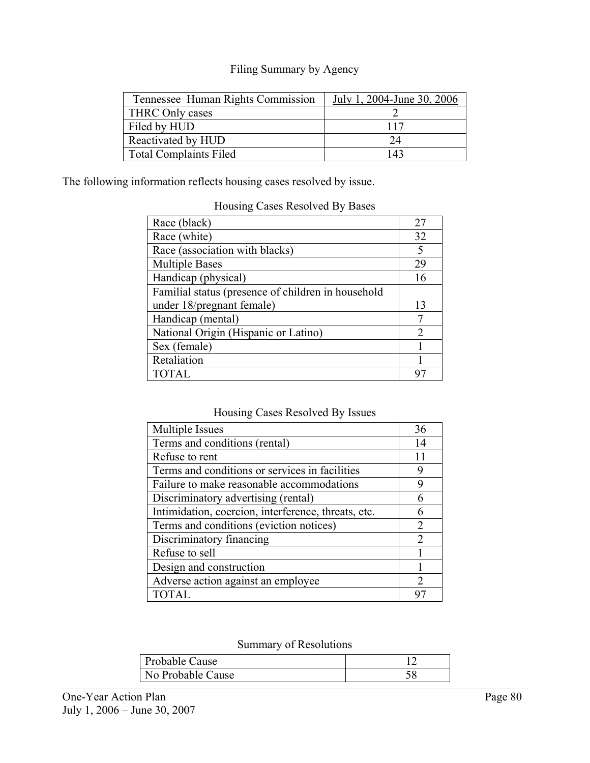## Filing Summary by Agency

| Tennessee Human Rights Commission | July 1, 2004-June 30, 2006 |
|-----------------------------------|----------------------------|
| THRC Only cases                   |                            |
| Filed by HUD                      | 117                        |
| Reactivated by HUD                | 24                         |
| <b>Total Complaints Filed</b>     | 143                        |

The following information reflects housing cases resolved by issue.

#### Housing Cases Resolved By Bases

| Race (black)                                       | 27                          |
|----------------------------------------------------|-----------------------------|
| Race (white)                                       | 32                          |
| Race (association with blacks)                     | 5                           |
| <b>Multiple Bases</b>                              | 29                          |
| Handicap (physical)                                | 16                          |
| Familial status (presence of children in household |                             |
| under 18/pregnant female)                          | 13                          |
| Handicap (mental)                                  |                             |
| National Origin (Hispanic or Latino)               | $\mathcal{D}_{\mathcal{A}}$ |
| Sex (female)                                       |                             |
| Retaliation                                        |                             |
| <b>TOTAL</b>                                       |                             |

## Housing Cases Resolved By Issues

| Multiple Issues                                     | 36                          |
|-----------------------------------------------------|-----------------------------|
| Terms and conditions (rental)                       | 14                          |
| Refuse to rent                                      | 11                          |
| Terms and conditions or services in facilities      | q                           |
| Failure to make reasonable accommodations           | q                           |
| Discriminatory advertising (rental)                 |                             |
| Intimidation, coercion, interference, threats, etc. |                             |
| Terms and conditions (eviction notices)             | 2                           |
| Discriminatory financing                            | $\mathcal{D}_{\mathcal{L}}$ |
| Refuse to sell                                      |                             |
| Design and construction                             |                             |
| Adverse action against an employee                  | $\mathcal{D}$               |
| <b>TOTAL</b>                                        |                             |

## Summary of Resolutions

| Probable Cause    |  |
|-------------------|--|
| No Probable Cause |  |
|                   |  |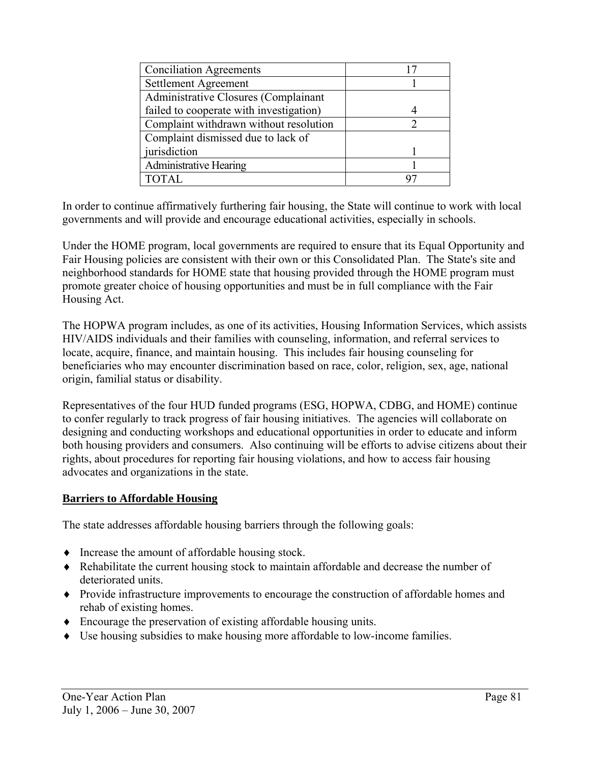| <b>Conciliation Agreements</b>          |  |
|-----------------------------------------|--|
| Settlement Agreement                    |  |
| Administrative Closures (Complainant    |  |
| failed to cooperate with investigation) |  |
| Complaint withdrawn without resolution  |  |
| Complaint dismissed due to lack of      |  |
| jurisdiction                            |  |
| <b>Administrative Hearing</b>           |  |
|                                         |  |

In order to continue affirmatively furthering fair housing, the State will continue to work with local governments and will provide and encourage educational activities, especially in schools.

Under the HOME program, local governments are required to ensure that its Equal Opportunity and Fair Housing policies are consistent with their own or this Consolidated Plan. The State's site and neighborhood standards for HOME state that housing provided through the HOME program must promote greater choice of housing opportunities and must be in full compliance with the Fair Housing Act.

The HOPWA program includes, as one of its activities, Housing Information Services, which assists HIV/AIDS individuals and their families with counseling, information, and referral services to locate, acquire, finance, and maintain housing. This includes fair housing counseling for beneficiaries who may encounter discrimination based on race, color, religion, sex, age, national origin, familial status or disability.

Representatives of the four HUD funded programs (ESG, HOPWA, CDBG, and HOME) continue to confer regularly to track progress of fair housing initiatives. The agencies will collaborate on designing and conducting workshops and educational opportunities in order to educate and inform both housing providers and consumers. Also continuing will be efforts to advise citizens about their rights, about procedures for reporting fair housing violations, and how to access fair housing advocates and organizations in the state.

## **Barriers to Affordable Housing**

The state addresses affordable housing barriers through the following goals:

- ♦ Increase the amount of affordable housing stock.
- ♦ Rehabilitate the current housing stock to maintain affordable and decrease the number of deteriorated units.
- ♦ Provide infrastructure improvements to encourage the construction of affordable homes and rehab of existing homes.
- ♦ Encourage the preservation of existing affordable housing units.
- ♦ Use housing subsidies to make housing more affordable to low-income families.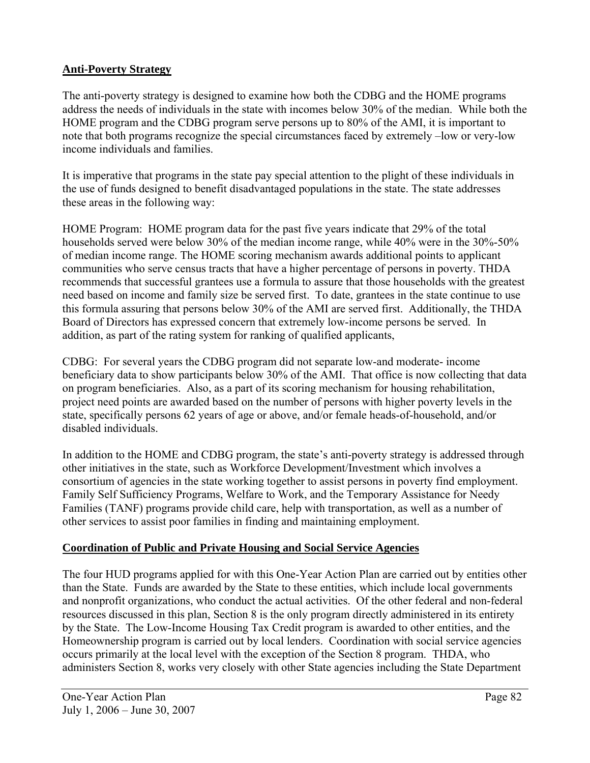## **Anti-Poverty Strategy**

The anti-poverty strategy is designed to examine how both the CDBG and the HOME programs address the needs of individuals in the state with incomes below 30% of the median. While both the HOME program and the CDBG program serve persons up to 80% of the AMI, it is important to note that both programs recognize the special circumstances faced by extremely –low or very-low income individuals and families.

It is imperative that programs in the state pay special attention to the plight of these individuals in the use of funds designed to benefit disadvantaged populations in the state. The state addresses these areas in the following way:

HOME Program: HOME program data for the past five years indicate that 29% of the total households served were below 30% of the median income range, while 40% were in the 30%-50% of median income range. The HOME scoring mechanism awards additional points to applicant communities who serve census tracts that have a higher percentage of persons in poverty. THDA recommends that successful grantees use a formula to assure that those households with the greatest need based on income and family size be served first. To date, grantees in the state continue to use this formula assuring that persons below 30% of the AMI are served first. Additionally, the THDA Board of Directors has expressed concern that extremely low-income persons be served. In addition, as part of the rating system for ranking of qualified applicants,

CDBG: For several years the CDBG program did not separate low-and moderate- income beneficiary data to show participants below 30% of the AMI. That office is now collecting that data on program beneficiaries. Also, as a part of its scoring mechanism for housing rehabilitation, project need points are awarded based on the number of persons with higher poverty levels in the state, specifically persons 62 years of age or above, and/or female heads-of-household, and/or disabled individuals.

In addition to the HOME and CDBG program, the state's anti-poverty strategy is addressed through other initiatives in the state, such as Workforce Development/Investment which involves a consortium of agencies in the state working together to assist persons in poverty find employment. Family Self Sufficiency Programs, Welfare to Work, and the Temporary Assistance for Needy Families (TANF) programs provide child care, help with transportation, as well as a number of other services to assist poor families in finding and maintaining employment.

## **Coordination of Public and Private Housing and Social Service Agencies**

The four HUD programs applied for with this One-Year Action Plan are carried out by entities other than the State. Funds are awarded by the State to these entities, which include local governments and nonprofit organizations, who conduct the actual activities. Of the other federal and non-federal resources discussed in this plan, Section 8 is the only program directly administered in its entirety by the State. The Low-Income Housing Tax Credit program is awarded to other entities, and the Homeownership program is carried out by local lenders. Coordination with social service agencies occurs primarily at the local level with the exception of the Section 8 program. THDA, who administers Section 8, works very closely with other State agencies including the State Department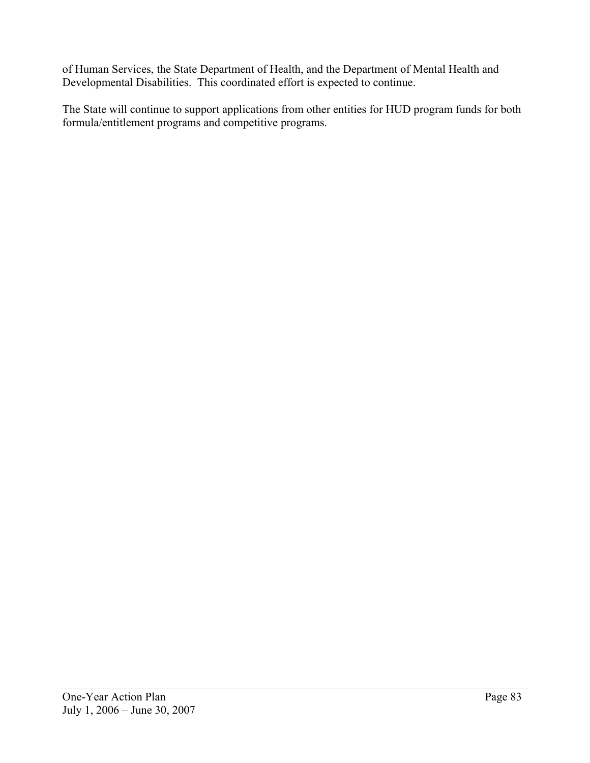of Human Services, the State Department of Health, and the Department of Mental Health and Developmental Disabilities. This coordinated effort is expected to continue.

The State will continue to support applications from other entities for HUD program funds for both formula/entitlement programs and competitive programs.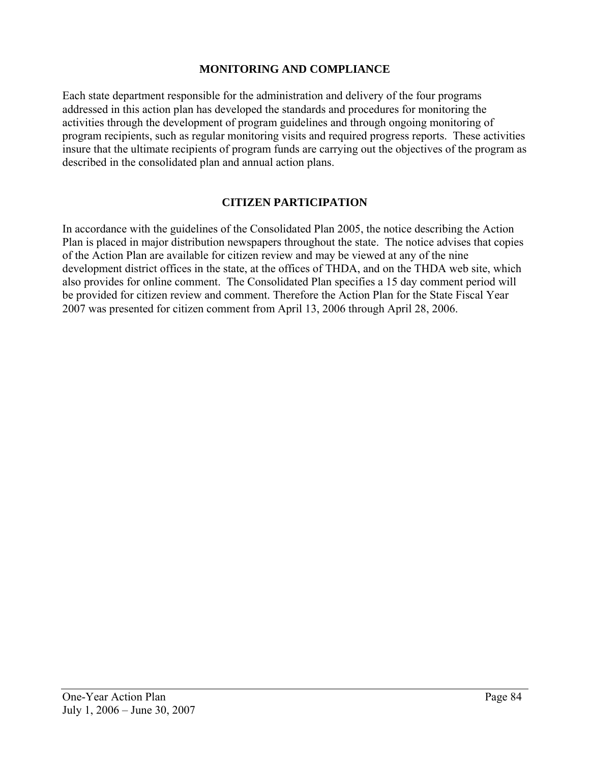## **MONITORING AND COMPLIANCE**

Each state department responsible for the administration and delivery of the four programs addressed in this action plan has developed the standards and procedures for monitoring the activities through the development of program guidelines and through ongoing monitoring of program recipients, such as regular monitoring visits and required progress reports. These activities insure that the ultimate recipients of program funds are carrying out the objectives of the program as described in the consolidated plan and annual action plans.

## **CITIZEN PARTICIPATION**

In accordance with the guidelines of the Consolidated Plan 2005, the notice describing the Action Plan is placed in major distribution newspapers throughout the state. The notice advises that copies of the Action Plan are available for citizen review and may be viewed at any of the nine development district offices in the state, at the offices of THDA, and on the THDA web site, which also provides for online comment. The Consolidated Plan specifies a 15 day comment period will be provided for citizen review and comment. Therefore the Action Plan for the State Fiscal Year 2007 was presented for citizen comment from April 13, 2006 through April 28, 2006.